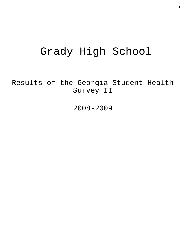# Grady High School

Results of the Georgia Student Health Survey II

2008-2009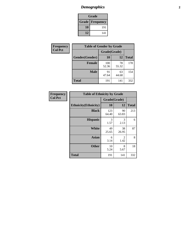# *Demographics* **2**

| Grade                    |     |  |  |
|--------------------------|-----|--|--|
| <b>Grade   Frequency</b> |     |  |  |
| 10                       | 191 |  |  |
| 12                       | 141 |  |  |

| Frequency      | <b>Table of Gender by Grade</b> |              |             |              |  |  |
|----------------|---------------------------------|--------------|-------------|--------------|--|--|
| <b>Col Pct</b> |                                 | Grade(Grade) |             |              |  |  |
|                | Gender(Gender)                  | 10           | 12          | <b>Total</b> |  |  |
|                | <b>Female</b>                   | 100<br>52.36 | 78<br>55.32 | 178          |  |  |
|                | <b>Male</b>                     | 91<br>47.64  | 63<br>44.68 | 154          |  |  |
|                | <b>Total</b>                    | 191          | 141         | 332          |  |  |

| Frequency<br>Col Pct |
|----------------------|

| <b>Table of Ethnicity by Grade</b> |              |             |              |  |  |  |
|------------------------------------|--------------|-------------|--------------|--|--|--|
|                                    | Grade(Grade) |             |              |  |  |  |
| <b>Ethnicity</b> (Ethnicity)       | 10           | 12          | <b>Total</b> |  |  |  |
| <b>Black</b>                       | 123<br>64.40 | 90<br>63.83 | 213          |  |  |  |
| <b>Hispanic</b>                    | 3<br>1.57    | 3<br>2.13   | 6            |  |  |  |
| White                              | 49<br>25.65  | 38<br>26.95 | 87           |  |  |  |
| <b>Asian</b>                       | 6<br>3.14    | 2<br>1.42   | 8            |  |  |  |
| <b>Other</b>                       | 10<br>5.24   | 8<br>5.67   | 18           |  |  |  |
| <b>Total</b>                       | 191          | 141         | 332          |  |  |  |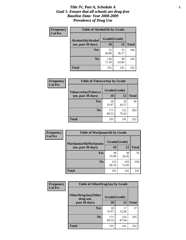#### *Title IV, Part A, Schedule A* **3** *Goal 1: Ensure that all schools are drug-free Baseline Data: Year 2008-2009 Prevalence of Drug Use*

| Frequency<br><b>Col Pct</b> | <b>Table of AlcoholAlt by Grade</b> |              |             |              |  |
|-----------------------------|-------------------------------------|--------------|-------------|--------------|--|
|                             | AlcoholAlt(Alcohol                  | Grade(Grade) |             |              |  |
|                             | use, past 30 days)                  | <b>10</b>    | 12          | <b>Total</b> |  |
|                             | Yes                                 | 55<br>28.80  | 51<br>36.17 | 106          |  |
|                             | N <sub>0</sub>                      | 136<br>71.20 | 90<br>63.83 | 226          |  |
|                             | Total                               | 191          | 141         | 332          |  |

| Frequency      | <b>Table of TobaccoAny by Grade</b> |              |              |              |  |
|----------------|-------------------------------------|--------------|--------------|--------------|--|
| <b>Col Pct</b> | <b>TobaccoAny(Tobacco</b>           | Grade(Grade) |              |              |  |
|                | use, past 30 days)                  | 10           | 12           | <b>Total</b> |  |
|                | Yes                                 | 20<br>10.47  | 29<br>20.57  | 49           |  |
|                | N <sub>0</sub>                      | 171<br>89.53 | 112<br>79.43 | 283          |  |
|                | <b>Total</b>                        | 191          | 141          | 332          |  |

| Frequency<br><b>Col Pct</b> | <b>Table of MarijuanaAlt by Grade</b> |              |              |              |  |
|-----------------------------|---------------------------------------|--------------|--------------|--------------|--|
|                             | MarijuanaAlt(Marijuana                | Grade(Grade) |              |              |  |
|                             | use, past 30 days)                    | 10           | 12           | <b>Total</b> |  |
|                             | <b>Yes</b>                            | 38<br>19.90  | 38<br>26.95  | 76           |  |
|                             | N <sub>0</sub>                        | 153<br>80.10 | 103<br>73.05 | 256          |  |
|                             | <b>Total</b>                          | 191          | 141          | 332          |  |

| <b>Frequency</b> | <b>Table of OtherDrugAny by Grade</b>  |              |              |              |  |
|------------------|----------------------------------------|--------------|--------------|--------------|--|
| <b>Col Pct</b>   | <b>OtherDrugAny(Other</b><br>drug use, |              | Grade(Grade) |              |  |
|                  | past 30 days)                          | 10           | 12           | <b>Total</b> |  |
|                  | Yes                                    | 20<br>10.47  | 17<br>12.06  | 37           |  |
|                  | N <sub>0</sub>                         | 171<br>89.53 | 124<br>87.94 | 295          |  |
|                  | <b>Total</b>                           | 191          | 141          | 332          |  |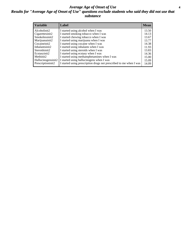#### *Average Age of Onset of Use* **4** *Results for "Average Age of Onset of Use" questions exclude students who said they did not use that substance*

| <b>Variable</b>    | Label                                                              | <b>Mean</b> |
|--------------------|--------------------------------------------------------------------|-------------|
| Alcoholinit2       | I started using alcohol when I was                                 | 13.50       |
| Cigarettesinit2    | I started smoking tobacco when I was                               | 14.13       |
| Smokelessinit2     | I started chewing tobacco when I was                               | 13.67       |
| Marijuanainit2     | I started using marijuana when I was                               | 13.77       |
| Cocaineinit2       | I started using cocaine when I was                                 | 14.38       |
| Inhalantsinit2     | I started using inhalants when I was                               | 11.93       |
| Steroidsinit2      | I started using steroids when I was                                | 13.83       |
| Ecstasyinit2       | I started using ecstasy when I was                                 | 14.36       |
| Methinit2          | I started using methamphetamines when I was                        | 15.00       |
| Hallucinogensinit2 | I started using hallucinogens when I was                           | 15.09       |
| Prescriptioninit2  | I started using prescription drugs not prescribed to me when I was | 14.09       |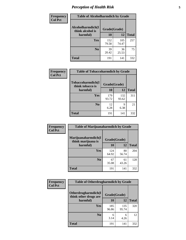# *Perception of Health Risk* **5**

| Frequency      | <b>Table of Alcoholharmdich by Grade</b> |              |              |              |  |
|----------------|------------------------------------------|--------------|--------------|--------------|--|
| <b>Col Pct</b> | Alcoholharmdich(I<br>think alcohol is    | Grade(Grade) |              |              |  |
|                | harmful)                                 | 10           | 12           | <b>Total</b> |  |
|                | Yes                                      | 152<br>79.58 | 105<br>74.47 | 257          |  |
|                | N <sub>0</sub>                           | 39<br>20.42  | 36<br>25.53  | 75           |  |
|                | <b>Total</b>                             | 191          | 141          | 332          |  |

| Frequency      | <b>Table of Tobaccoharmdich by Grade</b> |              |              |              |  |
|----------------|------------------------------------------|--------------|--------------|--------------|--|
| <b>Col Pct</b> | Tobaccoharmdich(I<br>think tobacco is    | Grade(Grade) |              |              |  |
|                | harmful)                                 | 10           | 12           | <b>Total</b> |  |
|                | Yes                                      | 179<br>93.72 | 132<br>93.62 | 311          |  |
|                | N <sub>0</sub>                           | 12<br>6.28   | 9<br>6.38    | 21           |  |
|                | <b>Total</b>                             | 191          | 141          | 332          |  |

| Frequency      | <b>Table of Marijuanaharmdich by Grade</b> |              |             |              |  |  |
|----------------|--------------------------------------------|--------------|-------------|--------------|--|--|
| <b>Col Pct</b> | Marijuanaharmdich(I<br>think marijuana is  | Grade(Grade) |             |              |  |  |
|                | harmful)                                   | 10           | 12          | <b>Total</b> |  |  |
|                | Yes                                        | 124<br>64.92 | 80<br>56.74 | 204          |  |  |
|                | N <sub>0</sub>                             | 67<br>35.08  | 61<br>43.26 | 128          |  |  |
|                | <b>Total</b>                               | 191          | 141         | 332          |  |  |

| Frequency      | <b>Table of Otherdrugharmdich by Grade</b>                   |              |              |              |  |
|----------------|--------------------------------------------------------------|--------------|--------------|--------------|--|
| <b>Col Pct</b> | Otherdrugharmdich(I<br>Grade(Grade)<br>think other drugs are |              |              |              |  |
|                | harmful)                                                     | <b>10</b>    | 12           | <b>Total</b> |  |
|                | <b>Yes</b>                                                   | 185<br>96.86 | 135<br>95.74 | 320          |  |
|                | N <sub>0</sub>                                               | 6<br>3.14    | 6<br>4.26    | 12           |  |
|                | <b>Total</b>                                                 | 191          | 141          | 332          |  |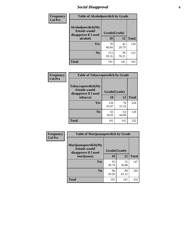# *Social Disapproval* **6**

| <b>Frequency</b> | <b>Table of Alcoholpeerdich by Grade</b>                    |              |             |              |
|------------------|-------------------------------------------------------------|--------------|-------------|--------------|
| <b>Col Pct</b>   | Alcoholpeerdich(My<br>friends would<br>disapprove if I used | Grade(Grade) |             |              |
|                  | alcohol)                                                    | 10           | 12          | <b>Total</b> |
|                  | Yes                                                         | 78<br>40.84  | 42<br>29.79 | 120          |
|                  | N <sub>0</sub>                                              | 113<br>59.16 | 99<br>70.21 | 212          |
|                  | <b>Total</b>                                                | 191          | 141         | 332          |

| <b>Frequency</b> |
|------------------|
| <b>Col Pct</b>   |

| <b>Table of Tobaccopeerdich by Grade</b>                    |              |             |              |  |  |
|-------------------------------------------------------------|--------------|-------------|--------------|--|--|
| Tobaccopeerdich(My<br>friends would<br>disapprove if I used | Grade(Grade) |             |              |  |  |
| tobacco)                                                    | 10           | 12          | <b>Total</b> |  |  |
| Yes                                                         | 126<br>65.97 | 78<br>55.32 | 204          |  |  |
| N <sub>0</sub>                                              | 65<br>34.03  | 63<br>44.68 | 128          |  |  |
| <b>Total</b>                                                | 191          | 141         | 332          |  |  |

| Frequency      | <b>Table of Marijuanapeerdich by Grade</b>                    |              |             |              |  |
|----------------|---------------------------------------------------------------|--------------|-------------|--------------|--|
| <b>Col Pct</b> | Marijuanapeerdich(My<br>friends would<br>disapprove if I used | Grade(Grade) |             |              |  |
|                | marijuana)                                                    |              | 12          | <b>Total</b> |  |
|                | <b>Yes</b>                                                    | 95<br>49.74  | 52<br>36.88 | 147          |  |
|                | N <sub>0</sub>                                                | 96<br>50.26  | 89<br>63.12 | 185          |  |
|                | <b>Total</b>                                                  | 191          | 141         | 332          |  |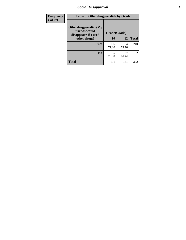# *Social Disapproval* **7**

| Frequency      | <b>Table of Otherdrugpeerdich by Grade</b>                    |              |              |              |  |
|----------------|---------------------------------------------------------------|--------------|--------------|--------------|--|
| <b>Col Pct</b> | Otherdrugpeerdich(My<br>friends would<br>disapprove if I used | Grade(Grade) |              |              |  |
|                | other drugs)                                                  | 10           | 12           | <b>Total</b> |  |
|                | Yes                                                           | 136<br>71.20 | 104<br>73.76 | 240          |  |
|                | N <sub>0</sub>                                                | 55<br>28.80  | 37<br>26.24  | 92           |  |
|                | <b>Total</b>                                                  | 191          | 141          | 332          |  |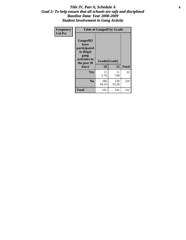### Title IV, Part A, Schedule A **8** *Goal 2: To help ensure that all schools are safe and disciplined Baseline Data: Year 2008-2009 Student Involvement in Gang Activity*

| Frequency      | <b>Table of Gangself by Grade</b>                                                                 |                    |              |              |  |
|----------------|---------------------------------------------------------------------------------------------------|--------------------|--------------|--------------|--|
| <b>Col Pct</b> | Gangself(I<br>have<br>participated<br>in illegal<br>gang<br>activities in<br>the past 30<br>days) | Grade(Grade)<br>10 | 12           | <b>Total</b> |  |
|                | Yes                                                                                               | 11<br>5.76         | 11<br>7.80   | 22           |  |
|                | N <sub>0</sub>                                                                                    | 180<br>94.24       | 130<br>92.20 | 310          |  |
|                | Total                                                                                             | 191                | 141          | 332          |  |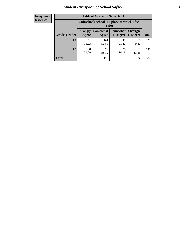# *Student Perception of School Safety* **9**

| <b>Frequency</b><br>Row Pct |
|-----------------------------|
|                             |

| <b>Table of Grade by Safeschool</b> |                                                                                                                                           |                                                        |             |             |     |  |
|-------------------------------------|-------------------------------------------------------------------------------------------------------------------------------------------|--------------------------------------------------------|-------------|-------------|-----|--|
|                                     |                                                                                                                                           | Safeschool (School is a place at which I feel<br>safe) |             |             |     |  |
| Grade(Grade)                        | <b>Somewhat</b><br><b>Somewhat</b><br><b>Strongly</b><br><b>Strongly</b><br><b>Disagree</b><br>Agree<br>Disagree<br><b>Total</b><br>Agree |                                                        |             |             |     |  |
| 10                                  | 31<br>16.23                                                                                                                               | 101<br>52.88                                           | 41<br>21.47 | 18<br>9.42  | 191 |  |
| 12                                  | 30<br>21.28                                                                                                                               | 75<br>53.19                                            | 20<br>14.18 | 16<br>11.35 | 141 |  |
| <b>Total</b>                        | 61                                                                                                                                        | 176                                                    | 61          | 34          | 332 |  |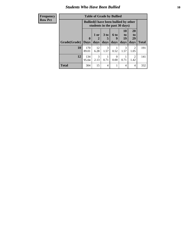### *Students Who Have Been Bullied* **10**

| <b>Frequency</b> | <b>Table of Grade by Bullied</b> |              |                                                                               |                 |           |                       |                        |              |
|------------------|----------------------------------|--------------|-------------------------------------------------------------------------------|-----------------|-----------|-----------------------|------------------------|--------------|
| <b>Row Pct</b>   |                                  |              | <b>Bullied</b> (I have been bullied by other<br>students in the past 30 days) |                 |           |                       |                        |              |
|                  |                                  | $\mathbf{0}$ | 1 or<br>2                                                                     | 3 <sub>to</sub> | 6 to<br>g | <b>10</b><br>to<br>19 | <b>20</b><br>to<br>29  |              |
|                  | Grade(Grade)                     | <b>Days</b>  | days                                                                          | days            | days      | days                  | days                   | <b>Total</b> |
|                  | 10                               | 170<br>89.01 | 12<br>6.28                                                                    | 3<br>1.57       | 0.52      | 3<br>1.57             | $\overline{2}$<br>1.05 | 191          |
|                  | 12                               | 134<br>95.04 | $\mathcal{R}$<br>2.13                                                         | 0.71            | 0<br>0.00 | 0.71                  | 2<br>1.42              | 141          |
|                  | <b>Total</b>                     | 304          | 15                                                                            | $\overline{4}$  |           | 4                     | $\overline{4}$         | 332          |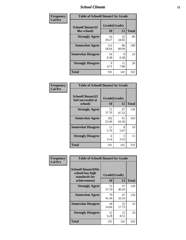### *School Climate* **11**

| <b>Frequency</b> | <b>Table of SchoolClimate1 by Grade</b> |                    |             |              |  |
|------------------|-----------------------------------------|--------------------|-------------|--------------|--|
| <b>Col Pct</b>   | SchoolClimate1(I<br>like school)        | Grade(Grade)<br>10 | 12          | <b>Total</b> |  |
|                  | <b>Strongly Agree</b>                   | 54<br>28.27        | 35<br>24.82 | 89           |  |
|                  | <b>Somewhat Agree</b>                   | 112<br>58.64       | 86<br>60.99 | 198          |  |
|                  | <b>Somewhat Disagree</b>                | 16<br>8.38         | 9<br>6.38   | 25           |  |
|                  | <b>Strongly Disagree</b>                | 9<br>4.71          | 11<br>7.80  | 20           |  |
|                  | <b>Total</b>                            | 191                | 141         | 332          |  |

| <b>Table of SchoolClimate2 by Grade</b>           |                    |             |              |  |  |
|---------------------------------------------------|--------------------|-------------|--------------|--|--|
| SchoolClimate2(I<br>feel successful at<br>school) | Grade(Grade)<br>10 | 12          | <b>Total</b> |  |  |
| <b>Strongly Agree</b>                             | 72<br>37.70        | 67<br>47.52 | 139          |  |  |
| <b>Somewhat Agree</b>                             | 102<br>53.40       | 61<br>43.26 | 163          |  |  |
| <b>Somewhat Disagree</b>                          | 11<br>5.76         | 8<br>5.67   | 19           |  |  |
| <b>Strongly Disagree</b>                          | 6<br>3.14          | 5<br>3.55   | 11           |  |  |
| <b>Total</b>                                      | 191                | 141         | 332          |  |  |

| Frequency      | <b>Table of SchoolClimate3 by Grade</b>                                      |                    |             |              |  |
|----------------|------------------------------------------------------------------------------|--------------------|-------------|--------------|--|
| <b>Col Pct</b> | <b>SchoolClimate3(My</b><br>school has high<br>standards for<br>achievement) | Grade(Grade)<br>10 | 12          | <b>Total</b> |  |
|                | <b>Strongly Agree</b>                                                        | 72<br>37.70        | 57<br>40.43 | 129          |  |
|                | <b>Somewhat Agree</b>                                                        | 79<br>41.36        | 47<br>33.33 | 126          |  |
|                | <b>Somewhat Disagree</b>                                                     | 28<br>14.66        | 25<br>17.73 | 53           |  |
|                | <b>Strongly Disagree</b>                                                     | 12<br>6.28         | 12<br>8.51  | 24           |  |
|                | Total                                                                        | 191                | 141         | 332          |  |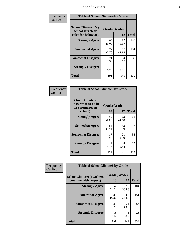### *School Climate* **12**

| Frequency      | <b>Table of SchoolClimate4 by Grade</b>                       |                    |             |              |
|----------------|---------------------------------------------------------------|--------------------|-------------|--------------|
| <b>Col Pct</b> | SchoolClimate4(My<br>school sets clear<br>rules for behavior) | Grade(Grade)<br>10 | 12          | <b>Total</b> |
|                | <b>Strongly Agree</b>                                         | 86<br>45.03        | 62<br>43.97 | 148          |
|                | <b>Somewhat Agree</b>                                         | 72<br>37.70        | 59<br>41.84 | 131          |
|                | <b>Somewhat Disagree</b>                                      | 21<br>10.99        | 14<br>9.93  | 35           |
|                | <b>Strongly Disagree</b>                                      | 12<br>6.28         | 6<br>4.26   | 18           |
|                | <b>Total</b>                                                  | 191                | 141         | 332          |

| <b>Table of SchoolClimate5 by Grade</b>                   |              |             |              |  |  |
|-----------------------------------------------------------|--------------|-------------|--------------|--|--|
| SchoolClimate5(I<br>know what to do in<br>an emergency at | Grade(Grade) |             |              |  |  |
| school)                                                   | 10           | 12          | <b>Total</b> |  |  |
| <b>Strongly Agree</b>                                     | 99<br>51.83  | 63<br>44.68 | 162          |  |  |
| <b>Somewhat Agree</b>                                     | 64<br>33.51  | 53<br>37.59 | 117          |  |  |
| <b>Somewhat Disagree</b>                                  | 17<br>8.90   | 21<br>14.89 | 38           |  |  |
| <b>Strongly Disagree</b>                                  | 11<br>5.76   | 4<br>2.84   | 15           |  |  |
| <b>Total</b>                                              | 191          | 141         | 332          |  |  |

| Frequency      | <b>Table of SchoolClimate6 by Grade</b>                  |                    |             |              |
|----------------|----------------------------------------------------------|--------------------|-------------|--------------|
| <b>Col Pct</b> | <b>SchoolClimate6(Teachers</b><br>treat me with respect) | Grade(Grade)<br>10 | 12          | <b>Total</b> |
|                | <b>Strongly Agree</b>                                    | 52<br>27.23        | 52<br>36.88 | 104          |
|                | <b>Somewhat Agree</b>                                    | 88<br>46.07        | 63<br>44.68 | 151          |
|                | <b>Somewhat Disagree</b>                                 | 33<br>17.28        | 21<br>14.89 | 54           |
|                | <b>Strongly Disagree</b>                                 | 18<br>9.42         | 5<br>3.55   | 23           |
|                | <b>Total</b>                                             | 191                | 141         | 332          |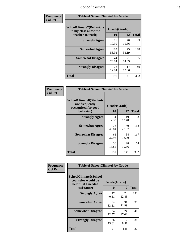### *School Climate* **13**

| Frequency      | <b>Table of SchoolClimate7 by Grade</b>                                       |                           |             |              |
|----------------|-------------------------------------------------------------------------------|---------------------------|-------------|--------------|
| <b>Col Pct</b> | <b>SchoolClimate7(Behaviors</b><br>in my class allow the<br>teacher to teach) | Grade(Grade)<br><b>10</b> | 12          | <b>Total</b> |
|                | <b>Strongly Agree</b>                                                         | 21<br>10.99               | 28<br>19.86 | 49           |
|                | <b>Somewhat Agree</b>                                                         | 103<br>53.93              | 75<br>53.19 | 178          |
|                | <b>Somewhat Disagree</b>                                                      | 44<br>23.04               | 21<br>14.89 | 65           |
|                | <b>Strongly Disagree</b>                                                      | 23<br>12.04               | 17<br>12.06 | 40           |
|                | <b>Total</b>                                                                  | 191                       | 141         | 332          |

| Frequency      | <b>Table of SchoolClimate8 by Grade</b>                                              |                    |             |              |
|----------------|--------------------------------------------------------------------------------------|--------------------|-------------|--------------|
| <b>Col Pct</b> | <b>SchoolClimate8(Students</b><br>are frequently<br>recognized for good<br>behavior) | Grade(Grade)<br>10 | 12          | <b>Total</b> |
|                | <b>Strongly Agree</b>                                                                | 14<br>7.33         | 19<br>13.48 | 33           |
|                | <b>Somewhat Agree</b>                                                                | 78<br>40.84        | 40<br>28.37 | 118          |
|                | <b>Somewhat Disagree</b>                                                             | 63<br>32.98        | 54<br>38.30 | 117          |
|                | <b>Strongly Disagree</b>                                                             | 36<br>18.85        | 28<br>19.86 | 64           |
|                | <b>Total</b>                                                                         | 191                | 141         | 332          |

| Frequency      | <b>Table of SchoolClimate9 by Grade</b>                                           |                    |             |              |
|----------------|-----------------------------------------------------------------------------------|--------------------|-------------|--------------|
| <b>Col Pct</b> | SchoolClimate9(School<br>counselor would be<br>helpful if I needed<br>assistance) | Grade(Grade)<br>10 | 12          | <b>Total</b> |
|                | <b>Strongly Agree</b>                                                             | 77<br>40.31        | 74<br>52.48 | 151          |
|                | <b>Somewhat Agree</b>                                                             | 64<br>33.51        | 31<br>21.99 | 95           |
|                | <b>Somewhat Disagree</b>                                                          | 24<br>12.57        | 24<br>17.02 | 48           |
|                | <b>Strongly Disagree</b>                                                          | 26<br>13.61        | 12<br>8.51  | 38           |
|                | Total                                                                             | 191                | 141         | 332          |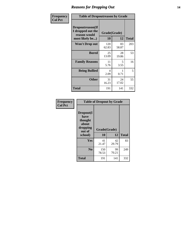### *Reasons for Dropping Out* **14**

| Frequency      | <b>Table of Dropoutreason by Grade</b>                                   |                    |             |              |
|----------------|--------------------------------------------------------------------------|--------------------|-------------|--------------|
| <b>Col Pct</b> | Dropoutreason(If<br>I dropped out the<br>reason would<br>most likely be) | Grade(Grade)<br>10 | 12          | <b>Total</b> |
|                | Won't Drop out                                                           | 120<br>62.83       | 83<br>58.87 | 203          |
|                | <b>Bored</b>                                                             | 25<br>13.09        | 28<br>19.86 | 53           |
|                | <b>Family Reasons</b>                                                    | 11<br>5.76         | 5<br>3.55   | 16           |
|                | <b>Being Bullied</b>                                                     | 4<br>2.09          | 0.71        | 5            |
|                | <b>Other</b>                                                             | 31<br>16.23        | 24<br>17.02 | 55           |
|                | <b>Total</b>                                                             | 191                | 141         | 332          |

| Frequency<br><b>Col Pct</b> | <b>Table of Dropout by Grade</b>                                       |                    |             |              |  |
|-----------------------------|------------------------------------------------------------------------|--------------------|-------------|--------------|--|
|                             | Dropout(I<br>have<br>thought<br>about<br>dropping<br>out of<br>school) | Grade(Grade)<br>10 | 12          | <b>Total</b> |  |
|                             |                                                                        |                    |             |              |  |
|                             | Yes                                                                    | 41<br>21.47        | 42<br>29.79 | 83           |  |
|                             | N <sub>0</sub>                                                         | 150<br>78.53       | 99<br>70.21 | 249          |  |
|                             | <b>Total</b>                                                           | 191                | 141         | 332          |  |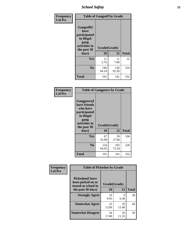*School Safety* **15**

| Frequency      | <b>Table of Gangself by Grade</b>                                                                 |                    |              |              |
|----------------|---------------------------------------------------------------------------------------------------|--------------------|--------------|--------------|
| <b>Col Pct</b> | Gangself(I<br>have<br>participated<br>in illegal<br>gang<br>activities in<br>the past 30<br>days) | Grade(Grade)<br>10 | 12           | <b>Total</b> |
|                | Yes                                                                                               | 11<br>5.76         | 11<br>7.80   | 22           |
|                | N <sub>0</sub>                                                                                    | 180<br>94.24       | 130<br>92.20 | 310          |
|                | <b>Total</b>                                                                                      | 191                | 141          | 332          |

| Frequency<br><b>Col Pct</b> | <b>Table of Gangpeers by Grade</b>                                                                                             |                    |              |              |  |
|-----------------------------|--------------------------------------------------------------------------------------------------------------------------------|--------------------|--------------|--------------|--|
|                             | <b>Gangpeers</b> (I<br>have friends<br>who have<br>participated<br>in illegal<br>gang<br>activities in<br>the past 30<br>days) | Grade(Grade)<br>10 | 12           | <b>Total</b> |  |
|                             | <b>Yes</b>                                                                                                                     | 67<br>35.08        | 39<br>27.66  | 106          |  |
|                             | N <sub>0</sub>                                                                                                                 | 124<br>64.92       | 102<br>72.34 | 226          |  |
|                             | <b>Total</b>                                                                                                                   | 191                | 141          | 332          |  |

| Frequency<br><b>Col Pct</b>                                        | <b>Table of Pickedon by Grade</b> |              |             |              |
|--------------------------------------------------------------------|-----------------------------------|--------------|-------------|--------------|
| <b>Pickedon(I have</b><br>been picked on or<br>teased at school in |                                   | Grade(Grade) |             |              |
|                                                                    | the past 30 days)                 | 10           | 12          | <b>Total</b> |
|                                                                    | <b>Strongly Agree</b>             | 19<br>9.95   | 9<br>6.38   | 28           |
|                                                                    | <b>Somewhat Agree</b>             | 25<br>13.09  | 19<br>13.48 | 44           |
|                                                                    | <b>Somewhat Disagree</b>          | 34<br>17.80  | 16<br>11.35 | 50           |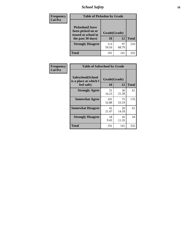# *School Safety* **16**

| <b>Frequency</b> |                                                                                          | <b>Table of Pickedon by Grade</b> |             |              |  |  |  |  |  |  |
|------------------|------------------------------------------------------------------------------------------|-----------------------------------|-------------|--------------|--|--|--|--|--|--|
| <b>Col Pct</b>   | <b>Pickedon</b> (I have<br>been picked on or<br>teased at school in<br>the past 30 days) | Grade(Grade)<br>10                | 12          | <b>Total</b> |  |  |  |  |  |  |
|                  | <b>Strongly Disagree</b>                                                                 | 113<br>59.16                      | 97<br>68.79 | 210          |  |  |  |  |  |  |
|                  | Total                                                                                    | 191                               | 141         | 332          |  |  |  |  |  |  |

| Frequency      |                                                          | <b>Table of Safeschool by Grade</b> |             |              |  |  |  |  |  |
|----------------|----------------------------------------------------------|-------------------------------------|-------------|--------------|--|--|--|--|--|
| <b>Col Pct</b> | Safeschool(School<br>is a place at which I<br>feel safe) | Grade(Grade)<br>10                  | 12          | <b>Total</b> |  |  |  |  |  |
|                | <b>Strongly Agree</b>                                    | 31<br>16.23                         | 30<br>21.28 | 61           |  |  |  |  |  |
|                | <b>Somewhat Agree</b>                                    | 101<br>52.88                        | 75<br>53.19 | 176          |  |  |  |  |  |
|                | <b>Somewhat Disagree</b>                                 | 41<br>21.47                         | 20<br>14.18 | 61           |  |  |  |  |  |
|                | <b>Strongly Disagree</b>                                 | 18<br>9.42                          | 16<br>11.35 | 34           |  |  |  |  |  |
|                | <b>Total</b>                                             | 191                                 | 141         | 332          |  |  |  |  |  |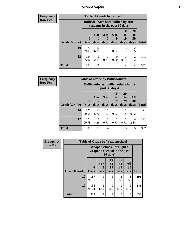*School Safety* **17**

| <b>Frequency</b> | <b>Table of Grade by Bullied</b> |              |                                                                               |                              |                          |                        |                               |              |  |  |  |
|------------------|----------------------------------|--------------|-------------------------------------------------------------------------------|------------------------------|--------------------------|------------------------|-------------------------------|--------------|--|--|--|
| <b>Row Pct</b>   |                                  |              | <b>Bullied</b> (I have been bullied by other<br>students in the past 30 days) |                              |                          |                        |                               |              |  |  |  |
|                  | Grade(Grade)   Days              | $\mathbf 0$  | 1 or<br>days                                                                  | 3 <sub>to</sub><br>5<br>days | <b>6 to</b><br>9<br>days | 10<br>to<br>19<br>days | <b>20</b><br>to<br>29<br>days | <b>Total</b> |  |  |  |
|                  | 10                               | 170<br>89.01 | 12<br>6.28                                                                    | 3<br>1.57                    | 0.52                     | 3<br>1.57              | 2<br>1.05                     | 191          |  |  |  |
|                  | 12                               | 134<br>95.04 | 3<br>2.13                                                                     | 0.71                         | $\Omega$<br>0.00         | 0.71                   | 2<br>1.42                     | 141          |  |  |  |
|                  | <b>Total</b>                     | 304          | 15                                                                            | 4                            |                          | 4                      | 4                             | 332          |  |  |  |

| <b>Frequency</b> |              | <b>Table of Grade by Bulliedothers</b> |                                                                |                   |                               |                               |                   |              |  |
|------------------|--------------|----------------------------------------|----------------------------------------------------------------|-------------------|-------------------------------|-------------------------------|-------------------|--------------|--|
| <b>Row Pct</b>   |              |                                        | <b>Bulliedothers</b> (I bullied others in the<br>past 30 days) |                   |                               |                               |                   |              |  |
|                  | Grade(Grade) | $\mathbf{0}$<br><b>Days</b>            | 1 or<br>days                                                   | 3 to<br>5<br>days | <b>10</b><br>to<br>19<br>days | <b>20</b><br>to<br>29<br>days | All<br>30<br>days | <b>Total</b> |  |
|                  | 10           | 173<br>90.58                           | 11<br>5.76                                                     | 3<br>1.57         | 0.52                          | 2<br>1.05                     | 0.52              | 191          |  |
|                  | 12           | 128<br>90.78                           | 6<br>4.26                                                      | 0.71              | 0.71                          | 0.71                          | 4<br>2.84         | 141          |  |
|                  | <b>Total</b> | 301                                    | 17                                                             | 4                 | $\overline{2}$                | 3                             | 5                 | 332          |  |

| <b>Frequency</b> |              | <b>Table of Grade by Weaponschool</b>                     |                        |                          |                               |                   |              |
|------------------|--------------|-----------------------------------------------------------|------------------------|--------------------------|-------------------------------|-------------------|--------------|
| <b>Row Pct</b>   |              | Weaponschool (I brought a<br>weapon to school in the past |                        |                          |                               |                   |              |
|                  | Grade(Grade) | $\mathbf{0}$<br><b>Days</b>                               | 1 or<br>2<br>days      | 10<br>to -<br>19<br>days | <b>20</b><br>to<br>29<br>days | All<br>30<br>days | <b>Total</b> |
|                  | 10           | 187<br>97.91                                              | 0.52                   | 0.52                     | 0.52                          | 0.52              | 191          |
|                  | 12           | 135<br>95.74                                              | $\overline{2}$<br>1.42 | 0<br>0.00                | $\overline{2}$<br>1.42        | 2<br>1.42         | 141          |
|                  | <b>Total</b> | 322                                                       | 3                      | 1                        | 3                             | 3                 | 332          |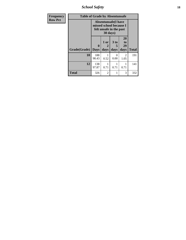*School Safety* **18**

| <b>Frequency</b> | <b>Table of Grade by Absentunsafe</b> |                  |                   |                                                                                  |                        |              |  |  |  |
|------------------|---------------------------------------|------------------|-------------------|----------------------------------------------------------------------------------|------------------------|--------------|--|--|--|
| <b>Row Pct</b>   |                                       |                  | 30 days)          | <b>Absentunsafe(I have</b><br>missed school because I<br>felt unsafe in the past |                        |              |  |  |  |
|                  | Grade(Grade)                          | 0<br><b>Days</b> | 1 or<br>2<br>days | 3 <sub>to</sub><br>5<br>days                                                     | 20<br>to<br>29<br>days | <b>Total</b> |  |  |  |
|                  | 10                                    | 188<br>98.43     | 0.52              | 0<br>0.00                                                                        | $\mathfrak{D}$<br>1.05 | 191          |  |  |  |
|                  | 12                                    | 138<br>97.87     | 0.71              | 0.71                                                                             | 1<br>0.71              | 141          |  |  |  |
|                  | <b>Total</b>                          | 326              | $\mathfrak{D}$    | 1                                                                                | 3                      | 332          |  |  |  |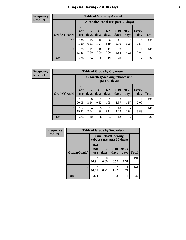# *Drug Use During Last 30 Days* **19**

#### **Frequency Row Pct**

| <b>Table of Grade by Alcohol</b> |                                 |                                                                                                                |            |            |            |                                     |           |     |  |  |
|----------------------------------|---------------------------------|----------------------------------------------------------------------------------------------------------------|------------|------------|------------|-------------------------------------|-----------|-----|--|--|
|                                  |                                 |                                                                                                                |            |            |            | Alcohol (Alcohol use, past 30 days) |           |     |  |  |
| Grade(Grade)                     | <b>Did</b><br>not<br><b>use</b> | $6-9$<br>$10-19$<br>20-29<br>$3 - 5$<br>$1 - 2$<br><b>Every</b><br>days<br>days<br>days<br>day<br>days<br>days |            |            |            |                                     |           |     |  |  |
| 10                               | 136<br>71.20                    | 13<br>6.81                                                                                                     | 10<br>5.24 | 8<br>4.19  | 11<br>5.76 | 10<br>5.24                          | 3<br>1.57 | 191 |  |  |
| 12                               | 90<br>63.83                     | 11<br>7.80                                                                                                     | 10<br>7.09 | 11<br>7.80 | 9<br>6.38  | 6<br>4.26                           | 4<br>2.84 | 141 |  |  |
| <b>Total</b>                     | 226                             | 24                                                                                                             | 20         | 19         | 20         | 16                                  | 7         | 332 |  |  |

#### **Frequency Row Pct**

| <b>Table of Grade by Cigarettes</b> |                                 |                                                                                                                         |      |                        |           |           |           |     |  |  |  |
|-------------------------------------|---------------------------------|-------------------------------------------------------------------------------------------------------------------------|------|------------------------|-----------|-----------|-----------|-----|--|--|--|
|                                     |                                 | <b>Cigarettes</b> (Smoking tobacco use,<br>past 30 days)                                                                |      |                        |           |           |           |     |  |  |  |
| Grade(Grade)                        | <b>Did</b><br>not<br><b>use</b> | $10-19$<br>$6-9$<br>20-29<br>$3 - 5$<br>$1 - 2$<br>Every<br><b>Total</b><br>days<br>days<br>days<br>days<br>day<br>days |      |                        |           |           |           |     |  |  |  |
| 10                                  | 172<br>90.05                    | 6<br>3.14                                                                                                               | 0.52 | $\overline{2}$<br>1.05 | 3<br>1.57 | 3<br>1.57 | 4<br>2.09 | 191 |  |  |  |
| 12                                  | 112<br>79.43                    | 5<br>10<br>5<br>4<br>4<br>7.09<br>2.84<br>2.84<br>0.71<br>3.55<br>3.55                                                  |      |                        |           |           |           |     |  |  |  |
| <b>Total</b>                        | 284                             | 10                                                                                                                      | 6    | 3                      | 13        | 7         | 9         | 332 |  |  |  |

| Frequency      | <b>Table of Grade by Smokeless</b> |                          |                                                         |                 |                   |              |  |  |  |
|----------------|------------------------------------|--------------------------|---------------------------------------------------------|-----------------|-------------------|--------------|--|--|--|
| <b>Row Pct</b> |                                    |                          | <b>Smokeless</b> (Chewing<br>tobacco use, past 30 days) |                 |                   |              |  |  |  |
|                | Grade(Grade)                       | Did<br>not<br><b>use</b> | $1 - 2$<br>days                                         | $10-19$<br>days | $20 - 29$<br>days | <b>Total</b> |  |  |  |
|                | 10                                 | 187<br>97.91             | 0<br>0.00                                               | 0.52            | 3<br>1.57         | 191          |  |  |  |
|                | 12                                 | 137<br>97.16             | 0.71                                                    | 2<br>1.42       | 0.71              | 141          |  |  |  |
|                | <b>Total</b>                       | 324                      |                                                         | 3               | $\overline{4}$    | 332          |  |  |  |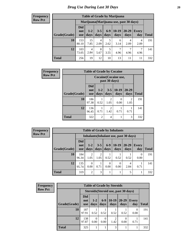#### **Frequency Row Pct**

| <b>Table of Grade by Marijuana</b> |                          |                                                                                                                  |           |           |           |           |           |     |  |  |  |
|------------------------------------|--------------------------|------------------------------------------------------------------------------------------------------------------|-----------|-----------|-----------|-----------|-----------|-----|--|--|--|
|                                    |                          | Marijuana (Marijuana use, past 30 days)                                                                          |           |           |           |           |           |     |  |  |  |
| Grade(Grade)                       | Did<br>not<br><b>use</b> | $6 - 9$<br>$10-19$<br>20-29<br>$3 - 5$<br>$1 - 2$<br><b>Every</b><br>days<br>days<br>days<br>day<br>days<br>days |           |           |           |           |           |     |  |  |  |
| 10                                 | 153<br>80.10             | 15<br>7.85                                                                                                       | 4<br>2.09 | 5<br>2.62 | 6<br>3.14 | 4<br>2.09 | 4<br>2.09 | 191 |  |  |  |
| 12                                 | 103<br>73.05             | $\overline{4}$<br>2.84                                                                                           | 8<br>5.67 | 5<br>3.55 | 7<br>4.96 | 4.96      | 7<br>4.96 | 141 |  |  |  |
| <b>Total</b>                       | 256                      | 19                                                                                                               | 12        | 10        | 13        | 11        | 11        | 332 |  |  |  |

| <b>Frequency</b> |              | <b>Table of Grade by Cocaine</b>       |                |                        |                       |                        |              |  |  |  |
|------------------|--------------|----------------------------------------|----------------|------------------------|-----------------------|------------------------|--------------|--|--|--|
| <b>Row Pct</b>   |              | Cocaine (Cocaine use,<br>past 30 days) |                |                        |                       |                        |              |  |  |  |
|                  | Grade(Grade) | <b>Did</b><br>not<br><b>use</b>        | $1-2$<br>days  | $3 - 5$<br>days        | $10-19$<br>days       | $20 - 29$<br>days      | <b>Total</b> |  |  |  |
|                  | 10           | 186<br>97.38                           | 0.52           | $\overline{2}$<br>1.05 | $\mathcal{L}$<br>0.00 | $\mathfrak{D}$<br>1.05 | 191          |  |  |  |
|                  | 12           | 136<br>96.45                           | 0.71           | $\overline{c}$<br>1.42 | 0.71                  | 0.71                   | 141          |  |  |  |
|                  | <b>Total</b> | 322                                    | $\overline{2}$ | $\overline{4}$         | 1                     | 3                      | 332          |  |  |  |

| Frequency      |              | <b>Table of Grade by Inhalants</b> |                        |                 |                  |                                        |                   |              |              |  |
|----------------|--------------|------------------------------------|------------------------|-----------------|------------------|----------------------------------------|-------------------|--------------|--------------|--|
| <b>Row Pct</b> |              |                                    |                        |                 |                  | Inhalants (Inhalant use, past 30 days) |                   |              |              |  |
|                | Grade(Grade) | <b>Did</b><br>not<br><b>use</b>    | $1-2$<br>days          | $3 - 5$<br>days | $6-9$<br>days    | $ 10-19 $<br>days                      | $20 - 29$<br>days | Every<br>day | <b>Total</b> |  |
|                | 10           | 184<br>96.34                       | $\overline{2}$<br>1.05 | 1.05            | 0.52             | 0.52                                   | 0.52              | 0.00         | 191          |  |
|                | 12           | 135<br>95.74                       | $\Omega$<br>0.00       | 0.71            | $\Omega$<br>0.00 | 0<br>0.00                              | 4<br>2.84         | 0.71         | 141          |  |
|                | <b>Total</b> | 319                                | 2                      | 3               |                  |                                        | 5                 |              | 332          |  |

| <b>Frequency</b> | <b>Table of Grade by Steroids</b> |                                      |                  |                  |                 |                   |                     |              |
|------------------|-----------------------------------|--------------------------------------|------------------|------------------|-----------------|-------------------|---------------------|--------------|
| <b>Row Pct</b>   |                                   | Steroids (Steroid use, past 30 days) |                  |                  |                 |                   |                     |              |
|                  | Grade(Grade)                      | <b>Did</b><br>not<br><b>use</b>      | $1 - 2$<br>days  | $6-9$<br>days    | $10-19$<br>days | $20 - 29$<br>days | <b>Every</b><br>day | <b>Total</b> |
|                  | 10                                | 187<br>97.91                         | 0.52             | 0.52             | 0.52            | 0.52              | 0<br>0.00           | 191          |
|                  | 12                                | 138<br>97.87                         | $\Omega$<br>0.00 | $\Omega$<br>0.00 | 2<br>1.42       | $\Omega$<br>0.00  | 0.71                | 141          |
|                  | <b>Total</b>                      | 325                                  |                  |                  | 3               |                   |                     | 332          |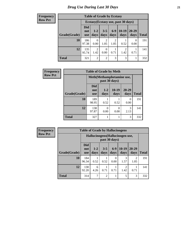| <b>Frequency</b> |  |
|------------------|--|
| <b>Row Pct</b>   |  |

| <b>Table of Grade by Ecstasy</b> |                          |                                     |                 |                        |                 |                   |              |  |  |
|----------------------------------|--------------------------|-------------------------------------|-----------------|------------------------|-----------------|-------------------|--------------|--|--|
|                                  |                          | Ecstasy (Ecstasy use, past 30 days) |                 |                        |                 |                   |              |  |  |
| Grade(Grade)                     | Did<br>not<br><b>use</b> | $1 - 2$<br>days                     | $3 - 5$<br>days | $6-9$<br>days          | $10-19$<br>days | $20 - 29$<br>days | <b>Total</b> |  |  |
| 10                               | 186<br>97.38             | $\Omega$<br>0.00                    | 2<br>1.05       | $\overline{2}$<br>1.05 | 0.52            | 0.00              | 191          |  |  |
| 12                               | 135<br>95.74             | $\mathfrak{D}$<br>1.42              | 0.00            | 0.71                   | 2<br>1.42       | 0.71              | 141          |  |  |
| <b>Total</b>                     | 321                      | $\overline{2}$                      | $\overline{2}$  | 3                      | 3               |                   | 332          |  |  |

| Frequency      | <b>Table of Grade by Meth</b>              |                                 |                 |               |               |              |  |  |
|----------------|--------------------------------------------|---------------------------------|-----------------|---------------|---------------|--------------|--|--|
| <b>Row Pct</b> | Meth(Methamphetamine use,<br>past 30 days) |                                 |                 |               |               |              |  |  |
|                | Grade(Grade)                               | <b>Did</b><br>not<br><b>use</b> | $1 - 2$<br>days | 10-19<br>days | 20-29<br>days | <b>Total</b> |  |  |
|                | 10                                         | 189<br>98.95                    | 0.52            | 0.52          | 0<br>0.00     | 191          |  |  |
|                | 12                                         | 138<br>97.87                    | 0<br>0.00       | 0<br>0.00     | 3<br>2.13     | 141          |  |  |
|                | <b>Total</b>                               | 327                             |                 |               | 3             | 332          |  |  |

| Frequency      |              | <b>Table of Grade by Hallucinogens</b>           |               |                 |               |                 |                   |              |
|----------------|--------------|--------------------------------------------------|---------------|-----------------|---------------|-----------------|-------------------|--------------|
| <b>Row Pct</b> |              | Hallucinogens(Hallucinogen use,<br>past 30 days) |               |                 |               |                 |                   |              |
|                | Grade(Grade) | <b>Did</b><br>not<br><b>use</b>                  | $1-2$<br>days | $3 - 5$<br>days | $6-9$<br>days | $10-19$<br>days | $20 - 29$<br>days | <b>Total</b> |
|                | <b>10</b>    | 184<br>96.34                                     | 0.52          | 0.52            | 0<br>0.00     | 3<br>1.57       | 2<br>1.05         | 191          |
|                | 12           | 130<br>92.20                                     | 6<br>4.26     | 0.71            | 0.71          | 2<br>1.42       | 0.71              | 141          |
|                | <b>Total</b> | 314                                              |               | $\overline{2}$  | 1             | 5               | 3                 | 332          |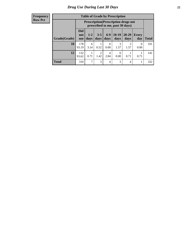#### **Frequency Row Pct**

| <b>Table of Grade by Prescription</b> |                                                                        |                                                                                                                      |      |                  |           |           |           |     |  |
|---------------------------------------|------------------------------------------------------------------------|----------------------------------------------------------------------------------------------------------------------|------|------------------|-----------|-----------|-----------|-----|--|
|                                       |                                                                        | <b>Prescription</b> (Prescription drugs not<br>prescribed to me, past 30 days)                                       |      |                  |           |           |           |     |  |
| Grade(Grade)                          | <b>Did</b><br>not<br><b>use</b>                                        | $6-9$<br>$10-19$<br>$20 - 29$<br>$3 - 5$<br>$1 - 2$<br>Every<br>days<br>days<br>days<br>days<br>day<br>Total<br>days |      |                  |           |           |           |     |  |
| 10                                    | 178<br>93.19                                                           | 6<br>3.14                                                                                                            | 0.52 | $\Omega$<br>0.00 | 3<br>1.57 | 3<br>1.57 | 0<br>0.00 | 191 |  |
| 12                                    | 132<br>4<br>0<br>1.42<br>0.71<br>0.00<br>0.71<br>0.71<br>93.62<br>2.84 |                                                                                                                      |      |                  |           |           |           |     |  |
| <b>Total</b>                          | 310                                                                    | 7                                                                                                                    | 3    | $\overline{4}$   | 3         | 4         |           | 332 |  |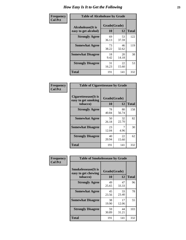| Frequency      | <b>Table of Alcoholease by Grade</b>              |                    |             |              |  |  |  |
|----------------|---------------------------------------------------|--------------------|-------------|--------------|--|--|--|
| <b>Col Pct</b> | <b>Alcoholease</b> (It is<br>easy to get alcohol) | Grade(Grade)<br>10 | 12          | <b>Total</b> |  |  |  |
|                | <b>Strongly Agree</b>                             | 69<br>36.13        | 53<br>37.59 | 122          |  |  |  |
|                | <b>Somewhat Agree</b>                             | 73<br>38.22        | 46<br>32.62 | 119          |  |  |  |
|                | <b>Somewhat Disagree</b>                          | 18<br>9.42         | 20<br>14.18 | 38           |  |  |  |
|                | <b>Strongly Disagree</b>                          | 31<br>16.23        | 22<br>15.60 | 53           |  |  |  |
|                | <b>Total</b>                                      | 191                | 141         | 332          |  |  |  |

| Frequency      | <b>Table of Cigarettesease by Grade</b>                 |                    |             |              |  |  |
|----------------|---------------------------------------------------------|--------------------|-------------|--------------|--|--|
| <b>Col Pct</b> | Cigarettesease(It is<br>easy to get smoking<br>tobacco) | Grade(Grade)<br>10 | 12          | <b>Total</b> |  |  |
|                | <b>Strongly Agree</b>                                   | 78<br>40.84        | 80<br>56.74 | 158          |  |  |
|                | <b>Somewhat Agree</b>                                   | 50<br>26.18        | 32<br>22.70 | 82           |  |  |
|                | <b>Somewhat Disagree</b>                                | 23<br>12.04        | 4.96        | 30           |  |  |
|                | <b>Strongly Disagree</b>                                | 40<br>20.94        | 22<br>15.60 | 62           |  |  |
|                | Total                                                   | 191                | 141         | 332          |  |  |

| Frequency      | <b>Table of Smokelessease by Grade</b>             |              |             |              |  |  |  |  |
|----------------|----------------------------------------------------|--------------|-------------|--------------|--|--|--|--|
| <b>Col Pct</b> | <b>Smokelessease</b> (It is<br>easy to get chewing | Grade(Grade) |             |              |  |  |  |  |
|                | tobacco)                                           | 10           | 12          | <b>Total</b> |  |  |  |  |
|                | <b>Strongly Agree</b>                              | 49<br>25.65  | 47<br>33.33 | 96           |  |  |  |  |
|                | <b>Somewhat Agree</b>                              | 45<br>23.56  | 33<br>23.40 | 78           |  |  |  |  |
|                | <b>Somewhat Disagree</b>                           | 38<br>19.90  | 17<br>12.06 | 55           |  |  |  |  |
|                | <b>Strongly Disagree</b>                           | 59<br>30.89  | 44<br>31.21 | 103          |  |  |  |  |
|                | <b>Total</b>                                       | 191          | 141         | 332          |  |  |  |  |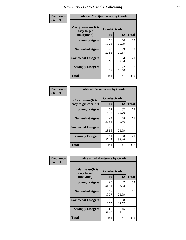| Frequency      | <b>Table of Marijuanaease by Grade</b>           |                    |             |              |  |  |
|----------------|--------------------------------------------------|--------------------|-------------|--------------|--|--|
| <b>Col Pct</b> | Marijuanaease(It is<br>easy to get<br>marijuana) | Grade(Grade)<br>10 | 12          | <b>Total</b> |  |  |
|                | <b>Strongly Agree</b>                            | 96<br>50.26        | 86<br>60.99 | 182          |  |  |
|                | <b>Somewhat Agree</b>                            | 43<br>22.51        | 29<br>20.57 | 72           |  |  |
|                | <b>Somewhat Disagree</b>                         | 17<br>8.90         | 4<br>2.84   | 21           |  |  |
|                | <b>Strongly Disagree</b>                         | 35<br>18.32        | 22<br>15.60 | 57           |  |  |
|                | <b>Total</b>                                     | 191                | 141         | 332          |  |  |

| <b>Table of Cocaineease by Grade</b>              |                    |              |     |  |  |  |
|---------------------------------------------------|--------------------|--------------|-----|--|--|--|
| <b>Cocaineease</b> (It is<br>easy to get cocaine) | Grade(Grade)<br>10 | <b>Total</b> |     |  |  |  |
| <b>Strongly Agree</b>                             | 32<br>16.75        | 32<br>22.70  | 64  |  |  |  |
| <b>Somewhat Agree</b>                             | 43<br>22.51        | 28<br>19.86  | 71  |  |  |  |
| <b>Somewhat Disagree</b>                          | 45<br>23.56        | 31<br>21.99  | 76  |  |  |  |
| <b>Strongly Disagree</b>                          | 71<br>37.17        | 50<br>35.46  | 121 |  |  |  |
| <b>Total</b>                                      | 191                | 141          | 332 |  |  |  |

| Frequency      | <b>Table of Inhalantsease by Grade</b>           |                    |             |              |  |  |
|----------------|--------------------------------------------------|--------------------|-------------|--------------|--|--|
| <b>Col Pct</b> | Inhalantsease(It is<br>easy to get<br>inhalants) | Grade(Grade)<br>10 | 12          | <b>Total</b> |  |  |
|                | <b>Strongly Agree</b>                            | 60<br>31.41        | 47<br>33.33 | 107          |  |  |
|                | <b>Somewhat Agree</b>                            | 37<br>19.37        | 31<br>21.99 | 68           |  |  |
|                | <b>Somewhat Disagree</b>                         | 32<br>16.75        | 18<br>12.77 | 50           |  |  |
|                | <b>Strongly Disagree</b>                         | 62<br>32.46        | 45<br>31.91 | 107          |  |  |
|                | <b>Total</b>                                     | 191                | 141         | 332          |  |  |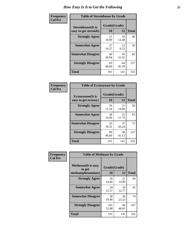| Frequency      | <b>Table of Steroidsease by Grade</b>               |                    |             |              |  |  |  |  |  |  |  |  |
|----------------|-----------------------------------------------------|--------------------|-------------|--------------|--|--|--|--|--|--|--|--|
| <b>Col Pct</b> | <b>Steroidsease</b> (It is<br>easy to get steroids) | Grade(Grade)<br>10 | 12          | <b>Total</b> |  |  |  |  |  |  |  |  |
|                | <b>Strongly Agree</b>                               | 21<br>10.99        | 19<br>13.48 | 40           |  |  |  |  |  |  |  |  |
|                | <b>Somewhat Agree</b>                               | 37<br>19.37        | 13<br>9.22  | 50           |  |  |  |  |  |  |  |  |
|                | <b>Somewhat Disagree</b>                            | 40<br>20.94        | 45<br>31.91 | 85           |  |  |  |  |  |  |  |  |
|                | <b>Strongly Disagree</b>                            | 93<br>48.69        | 64<br>45.39 | 157          |  |  |  |  |  |  |  |  |
|                | <b>Total</b>                                        | 191                | 141         | 332          |  |  |  |  |  |  |  |  |

| <b>Frequency</b> |  |
|------------------|--|
| <b>Col Pct</b>   |  |

| <b>Table of Ecstasyease by Grade</b>              |                    |                   |     |  |  |  |  |  |  |  |  |
|---------------------------------------------------|--------------------|-------------------|-----|--|--|--|--|--|--|--|--|
| <b>Ecstasyease</b> (It is<br>easy to get ecstasy) | Grade(Grade)<br>10 | <b>Total</b>      |     |  |  |  |  |  |  |  |  |
| <b>Strongly Agree</b>                             | 29<br>15.18        | 12<br>21<br>14.89 | 50  |  |  |  |  |  |  |  |  |
| <b>Somewhat Agree</b>                             | 38<br>19.90        | 25<br>17.73       | 63  |  |  |  |  |  |  |  |  |
| <b>Somewhat Disagree</b>                          | 35<br>18.32        | 37<br>26.24       | 72  |  |  |  |  |  |  |  |  |
| <b>Strongly Disagree</b>                          | 89<br>46.60        | 58<br>41.13       | 147 |  |  |  |  |  |  |  |  |
| <b>Total</b>                                      | 191                | 141               | 332 |  |  |  |  |  |  |  |  |

| <b>Frequency</b><br>Col Pct |
|-----------------------------|
|                             |

|                                                            | <b>Table of Methease by Grade</b> |             |              |  |  |  |  |  |  |  |  |
|------------------------------------------------------------|-----------------------------------|-------------|--------------|--|--|--|--|--|--|--|--|
| <b>Methease</b> (It is easy<br>to get<br>methamphetamines) | Grade(Grade)<br>10                | 12          | <b>Total</b> |  |  |  |  |  |  |  |  |
| <b>Strongly Agree</b>                                      | 28<br>14.66                       | 21<br>14.89 | 49           |  |  |  |  |  |  |  |  |
| <b>Somewhat Agree</b>                                      | 24<br>12.57                       | 18<br>12.77 | 42           |  |  |  |  |  |  |  |  |
| <b>Somewhat Disagree</b>                                   | 38<br>19.90                       | 36<br>25.53 | 74           |  |  |  |  |  |  |  |  |
| <b>Strongly Disagree</b>                                   | 101<br>52.88                      | 66<br>46.81 | 167          |  |  |  |  |  |  |  |  |
| Total                                                      | 191                               | 141         | 332          |  |  |  |  |  |  |  |  |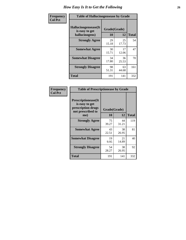| <b>Frequency</b> | <b>Table of Hallucinogensease by Grade</b>               |                    |             |              |  |  |  |  |  |  |  |  |
|------------------|----------------------------------------------------------|--------------------|-------------|--------------|--|--|--|--|--|--|--|--|
| <b>Col Pct</b>   | Hallucinogensease(It<br>is easy to get<br>hallucinogens) | Grade(Grade)<br>10 | 12          | <b>Total</b> |  |  |  |  |  |  |  |  |
|                  | <b>Strongly Agree</b>                                    | 29<br>15.18        | 25<br>17.73 | 54           |  |  |  |  |  |  |  |  |
|                  | <b>Somewhat Agree</b>                                    | 30<br>15.71        | 17<br>12.06 | 47           |  |  |  |  |  |  |  |  |
|                  | <b>Somewhat Disagree</b>                                 | 34<br>17.80        | 36<br>25.53 | 70           |  |  |  |  |  |  |  |  |
|                  | <b>Strongly Disagree</b>                                 | 98<br>51.31        | 63<br>44.68 | 161          |  |  |  |  |  |  |  |  |
|                  | <b>Total</b>                                             | 191                | 141         | 332          |  |  |  |  |  |  |  |  |

| Frequency<br>Col Pct |
|----------------------|
|                      |

| <b>Table of Prescriptionease by Grade</b>                                                |              |             |              |  |  |  |  |  |  |
|------------------------------------------------------------------------------------------|--------------|-------------|--------------|--|--|--|--|--|--|
| <b>Prescriptionease</b> (It<br>is easy to get<br>prescription drugs<br>not prescribed to | Grade(Grade) |             |              |  |  |  |  |  |  |
| me)                                                                                      | 10           | 12          | <b>Total</b> |  |  |  |  |  |  |
| <b>Strongly Agree</b>                                                                    | 75<br>39.27  | 44<br>31.21 | 119          |  |  |  |  |  |  |
| <b>Somewhat Agree</b>                                                                    | 43<br>22.51  | 38<br>26.95 | 81           |  |  |  |  |  |  |
| <b>Somewhat Disagree</b>                                                                 | 19<br>9.95   | 21<br>14.89 | 40           |  |  |  |  |  |  |
| <b>Strongly Disagree</b>                                                                 | 54<br>28.27  | 38<br>26.95 | 92           |  |  |  |  |  |  |
| <b>Total</b>                                                                             | 191          | 141         | 332          |  |  |  |  |  |  |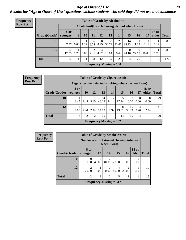*Age at Onset of Use* **27** *Results for "Age at Onset of Use" questions exclude students who said they did not use that substance*

| Frequency      |              | <b>Table of Grade by Alcoholinit</b> |                           |                  |           |           |                           |                                                  |             |             |            |                       |              |
|----------------|--------------|--------------------------------------|---------------------------|------------------|-----------|-----------|---------------------------|--------------------------------------------------|-------------|-------------|------------|-----------------------|--------------|
| <b>Row Pct</b> |              |                                      |                           |                  |           |           |                           | Alcoholinit (I started using alcohol when I was) |             |             |            |                       |              |
|                | Grade(Grade) | <b>8 or</b><br>younger               | 9                         | 10               | 11        | 12        | 13                        | 14                                               | 15          | 16          | 17         | <b>18 or</b><br>older | <b>Total</b> |
|                | 10           | 7.87                                 | $\theta$<br>$0.00\degree$ | 1.12             | 6<br>6.74 | 8<br>8.99 | 30<br>33.71               | 20<br>22.47                                      | 14<br>15.73 | 1.12        | 1.12       | 1.12                  | 89           |
|                | 12           | 10<br>12.05                          | .20                       | $\Omega$<br>0.00 | 2<br>2.41 | 4<br>4.82 | 9<br>10.84                | 8<br>9.64                                        | 20<br>24.10 | 19<br>22.89 | 9<br>10.84 | 1.20                  | 83           |
|                | <b>Total</b> | 17                                   |                           |                  | 8         | 12        | 39                        | 28                                               | 34          | 20          | 10         | 2                     | 172          |
|                |              |                                      |                           |                  |           |           | Frequency Missing $= 160$ |                                                  |             |             |            |                       |              |

| <b>Frequency</b> |              |                                                      |                 |                |             | <b>Table of Grade by Cigarettesinit</b> |            |                  |                  |                       |              |
|------------------|--------------|------------------------------------------------------|-----------------|----------------|-------------|-----------------------------------------|------------|------------------|------------------|-----------------------|--------------|
| <b>Row Pct</b>   |              | Cigarettesinit(I started smoking tobacco when I was) |                 |                |             |                                         |            |                  |                  |                       |              |
|                  | Grade(Grade) | 8 or<br>younger                                      | 10 <sup>1</sup> | 12             | 13          | 14                                      | 15         | <b>16</b>        | 17               | <b>18 or</b><br>older | <b>Total</b> |
|                  | 10           | 3.45                                                 | 3.45            | 3.45           | 14<br>48.28 | 7<br>24.14                              | 17.24      | $\Omega$<br>0.00 | $\Omega$<br>0.00 | $\Omega$<br>0.00      | 29           |
|                  | 12           | 4.88                                                 | 2.44            | 2.44           | 6<br>14.63  | 3<br>7.32                               | 8<br>19.51 | 15<br>36.59      | 4<br>9.76        | 2.44                  | 41           |
|                  | <b>Total</b> | 3                                                    | 2               | $\overline{2}$ | 20          | 10                                      | 13         | 15               | 4                |                       | 70           |
|                  |              |                                                      |                 |                |             | <b>Frequency Missing = 262</b>          |            |                  |                  |                       |              |

| Frequency      | <b>Table of Grade by Smokelessinit</b>                                       |                         |                                                                                                                                                                          |                           |            |                 |                       |              |  |  |  |  |  |
|----------------|------------------------------------------------------------------------------|-------------------------|--------------------------------------------------------------------------------------------------------------------------------------------------------------------------|---------------------------|------------|-----------------|-----------------------|--------------|--|--|--|--|--|
| <b>Row Pct</b> |                                                                              |                         | Smokelessinit (I started chewing tobacco<br>when I was)                                                                                                                  |                           |            |                 |                       |              |  |  |  |  |  |
|                | Grade(Grade)                                                                 | 8 or<br>vounger         | <b>12</b>                                                                                                                                                                | <b>14</b>                 | 15         | 16 <sup>1</sup> | <b>18 or</b><br>older | <b>Total</b> |  |  |  |  |  |
|                | 10                                                                           | $\theta$<br>0.00        | $\mathcal{D}_{\mathcal{A}}^{\mathcal{A}}(\mathcal{A})=\mathcal{D}_{\mathcal{A}}^{\mathcal{A}}(\mathcal{A})\mathcal{D}_{\mathcal{A}}^{\mathcal{A}}(\mathcal{A})$<br>40.00 | ာ<br>40.00                | 20.00      | 0.00            | $\theta$<br>0.00      | 5            |  |  |  |  |  |
|                | 12                                                                           | $\mathfrak{D}$<br>20.00 | 10.00                                                                                                                                                                    | 0.00                      | 4<br>40.00 | 20.00           | 10.00                 | 10           |  |  |  |  |  |
|                | <b>Total</b><br>$\overline{2}$<br>3<br>$\overline{c}$<br>$\overline{c}$<br>5 |                         |                                                                                                                                                                          |                           |            |                 |                       |              |  |  |  |  |  |
|                |                                                                              |                         |                                                                                                                                                                          | Frequency Missing $= 317$ |            |                 |                       |              |  |  |  |  |  |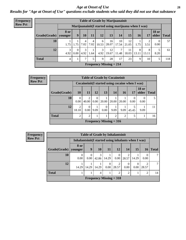#### *Age at Onset of Use* **28**

*Results for "Age at Onset of Use" questions exclude students who said they did not use that substance*

| Frequency                                                              | <b>Table of Grade by Marijuanainit</b> |                        |                  |           |           |            |                                |             |             |            |            |                       |              |  |  |
|------------------------------------------------------------------------|----------------------------------------|------------------------|------------------|-----------|-----------|------------|--------------------------------|-------------|-------------|------------|------------|-----------------------|--------------|--|--|
| <b>Row Pct</b><br>Marijuanainit (I started using marijuana when I was) |                                        |                        |                  |           |           |            |                                |             |             |            |            |                       |              |  |  |
|                                                                        | Grade(Grade)                           | <b>8</b> or<br>younger | 9                | 10        | 11        | 12         | 13                             | 14          | 15          | 16         | 17         | <b>18 or</b><br>older | <b>Total</b> |  |  |
|                                                                        | 10                                     | 1.75                   | 1.75             | 4<br>7.02 | 4<br>7.02 | 6<br>10.53 | 16<br>28.07                    | 10<br>17.54 | 12<br>21.05 | 1.75       | 3.51       | $\Omega$<br>0.00      | 57           |  |  |
|                                                                        | 12                                     | 3<br>4.92              | $\Omega$<br>0.00 | 3<br>4.92 | 1.64      | 3<br>4.92  | 12<br>19.67                    | 7<br>11.48  | 11<br>18.03 | 8<br>13.11 | 8<br>13.11 | 8.20                  | 61           |  |  |
|                                                                        | <b>Total</b>                           | 4                      |                  | 7         |           | 9          | 28                             | 17          | 23          | 9          | 10         |                       | 118          |  |  |
|                                                                        |                                        |                        |                  |           |           |            | <b>Frequency Missing = 214</b> |             |             |            |            |                       |              |  |  |

| Frequency      |              | <b>Table of Grade by Cocaineinit</b> |                                                    |                  |       |                           |       |       |              |             |
|----------------|--------------|--------------------------------------|----------------------------------------------------|------------------|-------|---------------------------|-------|-------|--------------|-------------|
| <b>Row Pct</b> |              |                                      | Cocaine in it (I started using cocaine when I was) |                  |       |                           |       |       |              |             |
|                | Grade(Grade) | <b>10</b>                            | <b>11</b>                                          | <b>12</b>        | 13    | 14                        | 16    | 17    | <b>18 or</b> | older Total |
|                | 10           | 0.00                                 | $\mathfrak{D}$<br>40.00                            | $\Omega$<br>0.00 | 20.00 | 20.00                     | 20.00 | 0.00  | 0.00         | 5           |
|                | 12           | $\mathfrak{D}$<br>18.18              | $\Omega$<br>0.00                                   | 9.09             | 0.00  | 9.09                      | 9.09  | 45.45 | 9.09         | 11          |
|                | <b>Total</b> | $\mathcal{D}_{\mathcal{A}}$          | $\mathfrak{D}$                                     |                  |       | $\overline{2}$            | 2     | 5     |              | 16          |
|                |              |                                      |                                                    |                  |       | Frequency Missing $= 316$ |       |       |              |             |

| <b>Frequency</b> |                        |                                                      |           |            |                  | <b>Table of Grade by Inhalantsinit</b> |                         |                  |       |              |
|------------------|------------------------|------------------------------------------------------|-----------|------------|------------------|----------------------------------------|-------------------------|------------------|-------|--------------|
| <b>Row Pct</b>   |                        | Inhalantsinit (I started using inhalants when I was) |           |            |                  |                                        |                         |                  |       |              |
|                  | Grade(Grade)   younger | 8 or                                                 | 9         | <b>10</b>  | 11               | 12                                     | 14                      | 15               | 16    | <b>Total</b> |
|                  | 10                     | $\theta$<br>0.00                                     | 0<br>0.00 | 3<br>42.86 | 14.29            | 0<br>0.00                              | $\overline{2}$<br>28.57 | 14.29            | 0.00  |              |
|                  | 12                     | 14.29                                                | 14.29     | 14.29      | $\theta$<br>0.00 | 2<br>28.57                             | 0.00                    | $\Omega$<br>0.00 | 28.57 | 7            |
|                  | <b>Total</b>           |                                                      |           | 4          |                  | $\overline{2}$                         | $\mathfrak{D}$          |                  | 2     | 14           |
|                  |                        |                                                      |           |            |                  | Frequency Missing $=$ 318              |                         |                  |       |              |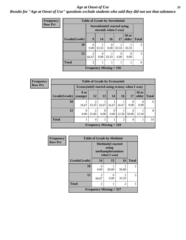#### *Age at Onset of Use* **29**

*Results for "Age at Onset of Use" questions exclude students who said they did not use that substance*

| Frequency      |              | <b>Table of Grade by Steroidsinit</b> |                          |                                                             |       |                       |               |  |  |
|----------------|--------------|---------------------------------------|--------------------------|-------------------------------------------------------------|-------|-----------------------|---------------|--|--|
| <b>Row Pct</b> |              |                                       |                          | <b>Steroidsinit(I started using</b><br>steroids when I was) |       |                       |               |  |  |
|                | Grade(Grade) | 9                                     | 14                       | 16                                                          | 17    | <b>18 or</b><br>older | <b>Total</b>  |  |  |
|                | 10           | 0.00                                  | 33.33                    | 0.00                                                        | 33.33 | 33.33                 | 3             |  |  |
|                | 12           | $\overline{2}$<br>66.67               | $\left( \right)$<br>0.00 | 33.33                                                       | 0.00  | ∩<br>0.00             | $\mathcal{R}$ |  |  |
|                | <b>Total</b> | $\mathfrak{D}$                        |                          |                                                             |       |                       | 6             |  |  |
|                |              |                                       |                          | Frequency Missing $=$ 326                                   |       |                       |               |  |  |

| Frequency      | <b>Table of Grade by Ecstasyinit</b> |       |                                                  |                                |       |           |            |                       |              |  |  |
|----------------|--------------------------------------|-------|--------------------------------------------------|--------------------------------|-------|-----------|------------|-----------------------|--------------|--|--|
| <b>Row Pct</b> |                                      |       | Ecstasyinit (I started using ecstasy when I was) |                                |       |           |            |                       |              |  |  |
|                | Grade(Grade)   younger               | 8 or  | <b>12</b>                                        | 13 <sup>1</sup>                | 14    | <b>16</b> | 17         | <b>18 or</b><br>older | <b>Total</b> |  |  |
|                | 10                                   | 16.67 | 2<br>33.33                                       | 16.67                          | 16.67 | 16.67     | 0.00       | 0.00                  | 6            |  |  |
|                | 12                                   | 0.00  | $\overline{2}$<br>25.00                          | $\theta$<br>0.00               | 0.00  | 12.50     | 4<br>50.00 | 12.50                 | 8            |  |  |
|                | <b>Total</b>                         |       | $\overline{4}$                                   |                                |       | ↑         | 4          |                       | 14           |  |  |
|                |                                      |       |                                                  | <b>Frequency Missing = 318</b> |       |           |            |                       |              |  |  |

| Frequency      | <b>Table of Grade by Methinit</b> |                                                              |       |       |                |  |  |  |  |
|----------------|-----------------------------------|--------------------------------------------------------------|-------|-------|----------------|--|--|--|--|
| <b>Row Pct</b> |                                   | <b>Methinit(I started</b><br>methamphetamines<br>when I was) |       |       |                |  |  |  |  |
|                | Grade(Grade)                      | 14                                                           | 15    | 16    | <b>Total</b>   |  |  |  |  |
|                | 10                                | 0.00                                                         | 50.00 | 50.00 | $\mathfrak{D}$ |  |  |  |  |
|                | 12                                | $\mathfrak{D}$<br>66.67                                      | 0.00  | 33.33 | 3              |  |  |  |  |
|                | <b>Total</b>                      | 2                                                            |       | 2     | 5              |  |  |  |  |
|                |                                   | Frequency Missing $= 327$                                    |       |       |                |  |  |  |  |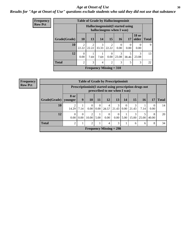#### Age at Onset of Use **30**

### *Results for "Age at Onset of Use" questions exclude students who said they did not use that substance*

| <b>Frequency</b> | <b>Table of Grade by Hallucinogensinit</b> |                         |                        |            |                                                                 |                        |            |                       |              |  |  |
|------------------|--------------------------------------------|-------------------------|------------------------|------------|-----------------------------------------------------------------|------------------------|------------|-----------------------|--------------|--|--|
| <b>Row Pct</b>   |                                            |                         |                        |            | Hallucinogensinit (I started using<br>hallucinogens when I was) |                        |            |                       |              |  |  |
|                  | Grade(Grade)                               | <b>10</b>               | 13                     | 14         | <b>15</b>                                                       | <b>16</b>              | 17         | <b>18 or</b><br>older | <b>Total</b> |  |  |
|                  | 10                                         | $\overline{2}$<br>22.22 | $\mathcal{D}$<br>22.22 | 3<br>33.33 | $\mathcal{D}_{\mathcal{L}}$<br>22.22                            | $\Omega$<br>0.00       | 0<br>0.00  | 0.00                  | 9            |  |  |
|                  | 12                                         | $\theta$<br>0.00        | 7.69                   | 7.69       | 0<br>0.00                                                       | $\mathcal{R}$<br>23.08 | 5<br>38.46 | 3<br>23.08            | 13           |  |  |
|                  | <b>Total</b>                               | $\overline{c}$          | 3                      | 4          | $\overline{2}$                                                  | 3                      | 5          | 3                     | 22           |  |  |
|                  |                                            |                         |                        |            | Frequency Missing $= 310$                                       |                        |            |                       |              |  |  |

| <b>Frequency</b> |  |
|------------------|--|
| <b>Row Pct</b>   |  |

|              | <b>Table of Grade by Prescriptioninit</b>                                                  |                  |                         |                  |                                |                  |                  |            |            |            |              |
|--------------|--------------------------------------------------------------------------------------------|------------------|-------------------------|------------------|--------------------------------|------------------|------------------|------------|------------|------------|--------------|
|              | Prescription in it (I started using prescription drugs not<br>prescribed to me when I was) |                  |                         |                  |                                |                  |                  |            |            |            |              |
| Grade(Grade) | 8 or<br>younger                                                                            | 9                | <b>10</b>               | 11               | <b>12</b>                      | 13               | 14               | 15         | <b>16</b>  | 17         | <b>Total</b> |
| 10           | 2<br>14.29                                                                                 | 7.14             | $\Omega$<br>0.00        | $\theta$<br>0.00 | 4<br>28.57                     | 3<br>21.43       | $\theta$<br>0.00 | 3<br>21.43 | 7.14       | 0.00       | 14           |
| 12           | $\Omega$<br>0.00                                                                           | $\Omega$<br>0.00 | $\overline{2}$<br>10.00 | 5.00             | $\Omega$<br>0.00               | $\Omega$<br>0.00 | 5.00             | 3<br>15.00 | 5<br>25.00 | 8<br>40.00 | 20           |
| <b>Total</b> | $\overline{2}$                                                                             |                  | $\overline{2}$          |                  | 4                              | 3                |                  | 6          | 6          | 8          | 34           |
|              |                                                                                            |                  |                         |                  | <b>Frequency Missing = 298</b> |                  |                  |            |            |            |              |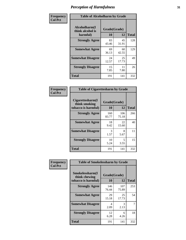| Frequency      |                                               | <b>Table of Alcoholharm by Grade</b> |             |              |  |  |  |  |  |
|----------------|-----------------------------------------------|--------------------------------------|-------------|--------------|--|--|--|--|--|
| <b>Col Pct</b> | Alcoholharm(I<br>think alcohol is<br>harmful) | Grade(Grade)<br>10                   | 12          | <b>Total</b> |  |  |  |  |  |
|                | <b>Strongly Agree</b>                         | 83<br>43.46                          | 45<br>31.91 | 128          |  |  |  |  |  |
|                | <b>Somewhat Agree</b>                         | 69<br>36.13                          | 60<br>42.55 | 129          |  |  |  |  |  |
|                | <b>Somewhat Disagree</b>                      | 24<br>12.57                          | 25<br>17.73 | 49           |  |  |  |  |  |
|                | <b>Strongly Disagree</b>                      | 15<br>7.85                           | 11<br>7.80  | 26           |  |  |  |  |  |
|                | <b>Total</b>                                  | 191                                  | 141         | 332          |  |  |  |  |  |

| <b>Table of Cigarettesharm by Grade</b>                  |                    |              |              |  |  |  |  |  |
|----------------------------------------------------------|--------------------|--------------|--------------|--|--|--|--|--|
| Cigarettesharm(I<br>think smoking<br>tobacco is harmful) | Grade(Grade)<br>10 | 12           | <b>Total</b> |  |  |  |  |  |
| <b>Strongly Agree</b>                                    | 160<br>83.77       | 106<br>75.18 | 266          |  |  |  |  |  |
| <b>Somewhat Agree</b>                                    | 18<br>9.42         | 22<br>15.60  | 40           |  |  |  |  |  |
| <b>Somewhat Disagree</b>                                 | 3<br>1.57          | 8<br>5.67    | 11           |  |  |  |  |  |
| <b>Strongly Disagree</b>                                 | 10<br>5.24         | 5<br>3.55    | 15           |  |  |  |  |  |
| <b>Total</b>                                             | 191                | 141          | 332          |  |  |  |  |  |

| Frequency      | <b>Table of Smokelessharm by Grade</b>                  |                           |              |              |
|----------------|---------------------------------------------------------|---------------------------|--------------|--------------|
| <b>Col Pct</b> | Smokelessharm(I<br>think chewing<br>tobacco is harmful) | Grade(Grade)<br><b>10</b> | 12           | <b>Total</b> |
|                | <b>Strongly Agree</b>                                   | 146<br>76.44              | 107<br>75.89 | 253          |
|                | <b>Somewhat Agree</b>                                   | 29<br>15.18               | 25<br>17.73  | 54           |
|                | <b>Somewhat Disagree</b>                                | 4<br>2.09                 | 3<br>2.13    | 7            |
|                | <b>Strongly Disagree</b>                                | 12<br>6.28                | 6<br>4.26    | 18           |
|                | Total                                                   | 191                       | 141          | 332          |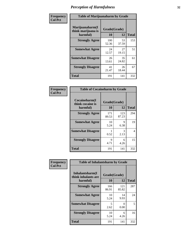| Frequency      |                                                   | <b>Table of Marijuanaharm by Grade</b> |                    |     |  |  |  |  |  |
|----------------|---------------------------------------------------|----------------------------------------|--------------------|-----|--|--|--|--|--|
| <b>Col Pct</b> | Marijuanaharm(I<br>think marijuana is<br>harmful) | 10                                     | Grade(Grade)<br>12 |     |  |  |  |  |  |
|                | <b>Strongly Agree</b>                             | 100<br>52.36                           | 53<br>37.59        | 153 |  |  |  |  |  |
|                | <b>Somewhat Agree</b>                             | 24<br>12.57                            | 27<br>19.15        | 51  |  |  |  |  |  |
|                | <b>Somewhat Disagree</b>                          | 26<br>13.61                            | 35<br>24.82        | 61  |  |  |  |  |  |
|                | <b>Strongly Disagree</b>                          | 41<br>21.47                            | 26<br>18.44        | 67  |  |  |  |  |  |
|                | <b>Total</b>                                      | 191                                    | 141                | 332 |  |  |  |  |  |

| <b>Table of Cocaineharm by Grade</b>          |                    |              |              |  |  |
|-----------------------------------------------|--------------------|--------------|--------------|--|--|
| Cocaineharm(I<br>think cocaine is<br>harmful) | Grade(Grade)<br>10 | 12           | <b>Total</b> |  |  |
| <b>Strongly Agree</b>                         | 171<br>89.53       | 123<br>87.23 | 294          |  |  |
| <b>Somewhat Agree</b>                         | 10<br>5.24         | 9<br>6.38    | 19           |  |  |
| <b>Somewhat Disagree</b>                      | 0.52               | 3<br>2.13    | 4            |  |  |
| <b>Strongly Disagree</b>                      | 9<br>4.71          | 6<br>4.26    | 15           |  |  |
| Total                                         | 191                | 141          | 332          |  |  |

| Frequency      | <b>Table of Inhalantsharm by Grade</b>             |                           |              |              |
|----------------|----------------------------------------------------|---------------------------|--------------|--------------|
| <b>Col Pct</b> | Inhalantsharm(I<br>think inhalants are<br>harmful) | Grade(Grade)<br><b>10</b> | 12           | <b>Total</b> |
|                | <b>Strongly Agree</b>                              | 166<br>86.91              | 121<br>85.82 | 287          |
|                | <b>Somewhat Agree</b>                              | 10<br>5.24                | 14<br>9.93   | 24           |
|                | <b>Somewhat Disagree</b>                           | 5<br>2.62                 | 0<br>0.00    | 5            |
|                | <b>Strongly Disagree</b>                           | 10<br>5.24                | 6<br>4.26    | 16           |
|                | Total                                              | 191                       | 141          | 332          |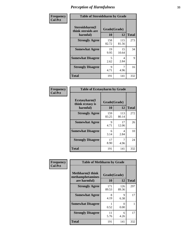| Frequency      | <b>Table of Steroidsharm by Grade</b>            |                                  |              |              |
|----------------|--------------------------------------------------|----------------------------------|--------------|--------------|
| <b>Col Pct</b> | Steroidsharm(I<br>think steroids are<br>harmful) | Grade(Grade)<br>10               | 12           | <b>Total</b> |
|                | <b>Strongly Agree</b>                            | 158<br>82.72                     | 115<br>81.56 | 273          |
|                | <b>Somewhat Agree</b>                            | 19<br>9.95                       | 15<br>10.64  | 34           |
|                | <b>Somewhat Disagree</b>                         | $\overline{\mathcal{L}}$<br>2.62 | 4<br>2.84    | 9            |
|                | <b>Strongly Disagree</b>                         | 9<br>4.71                        | 7<br>4.96    | 16           |
|                | <b>Total</b>                                     | 191                              | 141          | 332          |

| <b>Table of Ecstasyharm by Grade</b>          |                    |              |              |  |  |
|-----------------------------------------------|--------------------|--------------|--------------|--|--|
| Ecstasyharm(I<br>think ecstasy is<br>harmful) | Grade(Grade)<br>10 | 12           | <b>Total</b> |  |  |
| <b>Strongly Agree</b>                         | 159<br>83.25       | 113<br>80.14 | 272          |  |  |
| <b>Somewhat Agree</b>                         | 9<br>4.71          | 17<br>12.06  | 26           |  |  |
| <b>Somewhat Disagree</b>                      | 6<br>3.14          | 4<br>2.84    | 10           |  |  |
| <b>Strongly Disagree</b>                      | 17<br>8.90         | 4.96         | 24           |  |  |
| <b>Total</b>                                  | 191                | 141          | 332          |  |  |

| Frequency      | <b>Table of Methharm by Grade</b>                            |                    |              |              |  |
|----------------|--------------------------------------------------------------|--------------------|--------------|--------------|--|
| <b>Col Pct</b> | <b>Methharm</b> (I think<br>methamphetamines<br>are harmful) | Grade(Grade)<br>10 | 12           | <b>Total</b> |  |
|                | <b>Strongly Agree</b>                                        | 171<br>89.53       | 126<br>89.36 | 297          |  |
|                | <b>Somewhat Agree</b>                                        | 8<br>4.19          | 9<br>6.38    | 17           |  |
|                | <b>Somewhat Disagree</b>                                     | 0.52               | 0<br>0.00    |              |  |
|                | <b>Strongly Disagree</b>                                     | 11<br>5.76         | 6<br>4.26    | 17           |  |
|                | <b>Total</b>                                                 | 191                | 141          | 332          |  |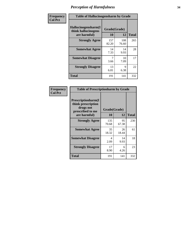| Frequency      | <b>Table of Hallucinogensharm by Grade</b>                 |                    |              |              |
|----------------|------------------------------------------------------------|--------------------|--------------|--------------|
| <b>Col Pct</b> | Hallucinogensharm(I<br>think hallucinogens<br>are harmful) | Grade(Grade)<br>10 | 12           | <b>Total</b> |
|                | <b>Strongly Agree</b>                                      | 157<br>82.20       | 108<br>76.60 | 265          |
|                | <b>Somewhat Agree</b>                                      | 14<br>7.33         | 14<br>9.93   | 28           |
|                | <b>Somewhat Disagree</b>                                   | 3.66               | 10<br>7.09   | 17           |
|                | <b>Strongly Disagree</b>                                   | 13<br>6.81         | 9<br>6.38    | 22           |
|                | <b>Total</b>                                               | 191                | 141          | 332          |

| <b>Table of Prescriptionharm by Grade</b>                                         |              |             |              |  |  |
|-----------------------------------------------------------------------------------|--------------|-------------|--------------|--|--|
| <b>Prescriptionharm(I)</b><br>think prescription<br>drugs not<br>prescribed to me | Grade(Grade) |             |              |  |  |
| are harmful)                                                                      | 10           | 12          | <b>Total</b> |  |  |
| <b>Strongly Agree</b>                                                             | 135<br>70.68 | 95<br>67.38 | 230          |  |  |
| <b>Somewhat Agree</b>                                                             | 35<br>18.32  | 26<br>18.44 | 61           |  |  |
| <b>Somewhat Disagree</b>                                                          | 4<br>2.09    | 14<br>9.93  | 18           |  |  |
| <b>Strongly Disagree</b>                                                          | 17<br>8.90   | 6<br>4.26   | 23           |  |  |
| <b>Total</b>                                                                      | 191          | 141         | 332          |  |  |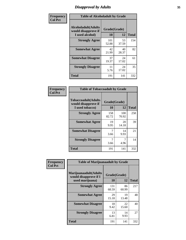# *Disapproval by Adults* **35**

| Frequency      | <b>Table of Alcoholadult by Grade</b>                         |                    |             |              |  |
|----------------|---------------------------------------------------------------|--------------------|-------------|--------------|--|
| <b>Col Pct</b> | Alcoholadult(Adults<br>would disapprove if<br>I used alcohol) | Grade(Grade)<br>10 | 12          | <b>Total</b> |  |
|                | <b>Strongly Agree</b>                                         | 101<br>52.88       | 53<br>37.59 | 154          |  |
|                | <b>Somewhat Agree</b>                                         | 42<br>21.99        | 40<br>28.37 | 82           |  |
|                | <b>Somewhat Disagree</b>                                      | 37<br>19.37        | 24<br>17.02 | 61           |  |
|                | <b>Strongly Disagree</b>                                      | 11<br>5.76         | 24<br>17.02 | 35           |  |
|                | <b>Total</b>                                                  | 191                | 141         | 332          |  |

| <b>Table of Tobaccoadult by Grade</b>                                 |                    |              |              |  |  |
|-----------------------------------------------------------------------|--------------------|--------------|--------------|--|--|
| <b>Tobaccoadult</b> (Adults<br>would disapprove if<br>I used tobacco) | Grade(Grade)<br>10 | 12           | <b>Total</b> |  |  |
| <b>Strongly Agree</b>                                                 | 158<br>82.72       | 100<br>70.92 | 258          |  |  |
| <b>Somewhat Agree</b>                                                 | 19<br>9.95         | 20<br>14.18  | 39           |  |  |
| <b>Somewhat Disagree</b>                                              | 7<br>3.66          | 14<br>9.93   | 21           |  |  |
| <b>Strongly Disagree</b>                                              | 7<br>3.66          | 4.96         | 14           |  |  |
| <b>Total</b>                                                          | 191                | 141          | 332          |  |  |

| Frequency      | <b>Table of Marijuanaadult by Grade</b>                           |                    |             |              |  |
|----------------|-------------------------------------------------------------------|--------------------|-------------|--------------|--|
| <b>Col Pct</b> | Marijuanaadult(Adults<br>would disapprove if I<br>used marijuana) | Grade(Grade)<br>10 | 12          | <b>Total</b> |  |
|                | <b>Strongly Agree</b>                                             | 131<br>68.59       | 86<br>60.99 | 217          |  |
|                | <b>Somewhat Agree</b>                                             | 29<br>15.18        | 19<br>13.48 | 48           |  |
|                | <b>Somewhat Disagree</b>                                          | 18<br>9.42         | 22<br>15.60 | 40           |  |
|                | <b>Strongly Disagree</b>                                          | 13<br>6.81         | 14<br>9.93  | 27           |  |
|                | <b>Total</b>                                                      | 191                | 141         | 332          |  |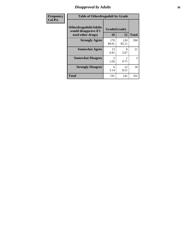# *Disapproval by Adults* **36**

| <b>Frequency</b> | <b>Table of Otherdrugadult by Grade</b>                                     |                       |              |              |
|------------------|-----------------------------------------------------------------------------|-----------------------|--------------|--------------|
| <b>Col Pct</b>   | <b>Otherdrugadult</b> (Adults<br>would disapprove if I<br>used other drugs) | Grade(Grade)<br>10    | 12           | <b>Total</b> |
|                  | <b>Strongly Agree</b>                                                       | 170<br>89.01          | 120<br>85.11 | 290          |
|                  | <b>Somewhat Agree</b>                                                       | 13<br>6.81            | 8<br>5.67    | 21           |
|                  | <b>Somewhat Disagree</b>                                                    | $\mathcal{D}$<br>1.05 | 0.71         | 3            |
|                  | <b>Strongly Disagree</b>                                                    | 6<br>3.14             | 12<br>8.51   | 18           |
|                  | <b>Total</b>                                                                | 191                   | 141          | 332          |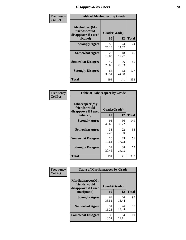# *Disapproval by Peers* **37**

| Frequency      | <b>Table of Alcoholpeer by Grade</b>                    |              |             |              |  |
|----------------|---------------------------------------------------------|--------------|-------------|--------------|--|
| <b>Col Pct</b> | Alcoholpeer(My<br>friends would<br>disapprove if I used | Grade(Grade) |             |              |  |
|                | alcohol)                                                | 10           | 12          | <b>Total</b> |  |
|                | <b>Strongly Agree</b>                                   | 50<br>26.18  | 24<br>17.02 | 74           |  |
|                | <b>Somewhat Agree</b>                                   | 28<br>14.66  | 18<br>12.77 | 46           |  |
|                | <b>Somewhat Disagree</b>                                | 49<br>25.65  | 36<br>25.53 | 85           |  |
|                | <b>Strongly Disagree</b>                                | 64<br>33.51  | 63<br>44.68 | 127          |  |
|                | Total                                                   | 191          | 141         | 332          |  |

| Frequency      | <b>Table of Tobaccopeer by Grade</b>                                |                    |             |              |  |
|----------------|---------------------------------------------------------------------|--------------------|-------------|--------------|--|
| <b>Col Pct</b> | Tobaccopeer(My<br>friends would<br>disapprove if I used<br>tobacco) | Grade(Grade)<br>10 | 12          | <b>Total</b> |  |
|                | <b>Strongly Agree</b>                                               | 93<br>48.69        | 56<br>39.72 | 149          |  |
|                | <b>Somewhat Agree</b>                                               | 33<br>17.28        | 22<br>15.60 | 55           |  |
|                | <b>Somewhat Disagree</b>                                            | 26<br>13.61        | 25<br>17.73 | 51           |  |
|                | <b>Strongly Disagree</b>                                            | 39<br>20.42        | 38<br>26.95 | 77           |  |
|                | Total                                                               | 191                | 141         | 332          |  |

| Frequency      | <b>Table of Marijuanapeer by Grade</b>                    |              |             |              |
|----------------|-----------------------------------------------------------|--------------|-------------|--------------|
| <b>Col Pct</b> | Marijuanapeer(My<br>friends would<br>disapprove if I used | Grade(Grade) |             |              |
|                | marijuana)                                                | 10           | 12          | <b>Total</b> |
|                | <b>Strongly Agree</b>                                     | 64<br>33.51  | 26<br>18.44 | 90           |
|                | <b>Somewhat Agree</b>                                     | 31<br>16.23  | 26<br>18.44 | 57           |
|                | <b>Somewhat Disagree</b>                                  | 35<br>18.32  | 34<br>24.11 | 69           |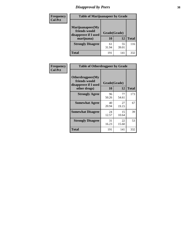# *Disapproval by Peers* **38**

| Frequency<br><b>Col Pct</b> | <b>Table of Marijuanapeer by Grade</b>                                  |                    |             |              |
|-----------------------------|-------------------------------------------------------------------------|--------------------|-------------|--------------|
|                             | Marijuanapeer(My<br>friends would<br>disapprove if I used<br>marijuana) | Grade(Grade)<br>10 | 12          | <b>Total</b> |
|                             | <b>Strongly Disagree</b>                                                | 61<br>31.94        | 55<br>39.01 | 116          |
|                             | Total                                                                   | 191                | 141         | 332          |

| Frequency      | <b>Table of Otherdrugpeer by Grade</b>                                    |                    |             |              |
|----------------|---------------------------------------------------------------------------|--------------------|-------------|--------------|
| <b>Col Pct</b> | Otherdrugpeer(My<br>friends would<br>disapprove if I used<br>other drugs) | Grade(Grade)<br>10 | 12          | <b>Total</b> |
|                | <b>Strongly Agree</b>                                                     | 96<br>50.26        | 77<br>54.61 | 173          |
|                | <b>Somewhat Agree</b>                                                     | 40<br>20.94        | 27<br>19.15 | 67           |
|                | <b>Somewhat Disagree</b>                                                  | 24<br>12.57        | 15<br>10.64 | 39           |
|                | <b>Strongly Disagree</b>                                                  | 31<br>16.23        | 22<br>15.60 | 53           |
|                | <b>Total</b>                                                              | 191                | 141         | 332          |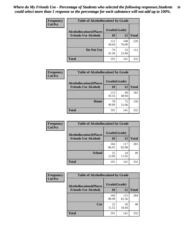| Frequency<br><b>Col Pct</b> | <b>Table of Alcohollocation1 by Grade</b> |              |              |              |
|-----------------------------|-------------------------------------------|--------------|--------------|--------------|
|                             | <b>Alcohollocation1(Places</b>            | Grade(Grade) |              |              |
|                             | <b>Friends Use Alcohol)</b>               | 10           | 12           | <b>Total</b> |
|                             |                                           | 112<br>58.64 | 108<br>76.60 | 220          |
|                             | Do Not Use                                | 79<br>41.36  | 33<br>23.40  | 112          |
|                             | <b>Total</b>                              | 191          | 141          | 332          |

| Frequency      | <b>Table of Alcohollocation2 by Grade</b>                     |                    |             |              |
|----------------|---------------------------------------------------------------|--------------------|-------------|--------------|
| <b>Col Pct</b> | <b>Alcohollocation2(Places</b><br><b>Friends Use Alcohol)</b> | Grade(Grade)<br>10 | <b>12</b>   | <b>Total</b> |
|                |                                                               | 113<br>59.16       | 69<br>48.94 | 182          |
|                | Home                                                          | 78<br>40.84        | 72<br>51.06 | 150          |
|                | <b>Total</b>                                                  | 191                | 141         | 332          |

| Frequency<br><b>Col Pct</b> | <b>Table of Alcohollocation 3 by Grade</b>                    |                    |              |              |
|-----------------------------|---------------------------------------------------------------|--------------------|--------------|--------------|
|                             | <b>Alcohollocation3(Places</b><br><b>Friends Use Alcohol)</b> | Grade(Grade)<br>10 | 12           | <b>Total</b> |
|                             |                                                               | 166<br>86.91       | 117<br>82.98 | 283          |
|                             | <b>School</b>                                                 | 25<br>13.09        | 24<br>17.02  | 49           |
|                             | <b>Total</b>                                                  | 191                | 141          | 332          |

| <b>Frequency</b> | <b>Table of Alcohollocation4 by Grade</b> |              |              |              |
|------------------|-------------------------------------------|--------------|--------------|--------------|
| <b>Col Pct</b>   | <b>Alcohollocation4(Places</b>            | Grade(Grade) |              |              |
|                  | <b>Friends Use Alcohol)</b>               | 10           | 12           | <b>Total</b> |
|                  |                                           | 169<br>88.48 | 115<br>81.56 | 284          |
|                  | Car                                       | 22<br>11.52  | 26<br>18.44  | 48           |
|                  | <b>Total</b>                              | 191          | 141          | 332          |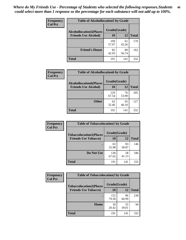| Frequency<br><b>Col Pct</b> | <b>Table of Alcohollocation5 by Grade</b> |              |             |              |  |
|-----------------------------|-------------------------------------------|--------------|-------------|--------------|--|
|                             | <b>Alcohollocation5(Places</b>            | Grade(Grade) |             |              |  |
|                             | <b>Friends Use Alcohol)</b>               | 10           | 12          | <b>Total</b> |  |
|                             |                                           | 109<br>57.07 | 61<br>43.26 | 170          |  |
|                             | <b>Friend's House</b>                     | 82<br>42.93  | 80<br>56.74 | 162          |  |
|                             | <b>Total</b>                              | 191          | 141         | 332          |  |

| <b>Frequency</b> | <b>Table of Alcohollocation6 by Grade</b>                     |                    |             |              |
|------------------|---------------------------------------------------------------|--------------------|-------------|--------------|
| <b>Col Pct</b>   | <b>Alcohollocation6(Places</b><br><b>Friends Use Alcohol)</b> | Grade(Grade)<br>10 | 12          | <b>Total</b> |
|                  |                                                               |                    |             |              |
|                  |                                                               | 129<br>67.54       | 76<br>53.90 | 205          |
|                  | <b>Other</b>                                                  | 62<br>32.46        | 65<br>46.10 | 127          |
|                  | <b>Total</b>                                                  | 191                | 141         | 332          |

| <b>Frequency</b> | <b>Table of Tobaccolocation1 by Grade</b> |              |             |              |
|------------------|-------------------------------------------|--------------|-------------|--------------|
| <b>Col Pct</b>   | <b>Tobaccolocation1(Places</b>            | Grade(Grade) |             |              |
|                  | <b>Friends Use Tobacco)</b>               | 10           | 12          | <b>Total</b> |
|                  |                                           | 63<br>32.98  | 83<br>58.87 | 146          |
|                  | Do Not Use                                | 128<br>67.02 | 58<br>41.13 | 186          |
|                  | <b>Total</b>                              | 191          | 141         | 332          |

| <b>Frequency</b> | <b>Table of Tobaccolocation2 by Grade</b> |              |             |              |  |
|------------------|-------------------------------------------|--------------|-------------|--------------|--|
| <b>Col Pct</b>   | <b>Tobaccolocation2(Places</b>            | Grade(Grade) |             |              |  |
|                  | <b>Friends Use Tobacco)</b>               | 10           | 12          | <b>Total</b> |  |
|                  |                                           | 152<br>79.58 | 86<br>60.99 | 238          |  |
|                  | Home                                      | 39<br>20.42  | 55<br>39.01 | 94           |  |
|                  | <b>Total</b>                              | 191          | 141         | 332          |  |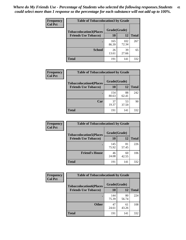| Frequency<br><b>Col Pct</b> | <b>Table of Tobaccolocation 3 by Grade</b> |              |              |              |  |
|-----------------------------|--------------------------------------------|--------------|--------------|--------------|--|
|                             | <b>Tobaccolocation3(Places</b>             | Grade(Grade) |              |              |  |
|                             | <b>Friends Use Tobacco)</b>                | 10           | 12           | <b>Total</b> |  |
|                             |                                            | 165<br>86.39 | 102<br>72.34 | 267          |  |
|                             | <b>School</b>                              | 26<br>13.61  | 39<br>27.66  | 65           |  |
|                             | <b>Total</b>                               | 191          | 141          | 332          |  |

| Frequency      | <b>Table of Tobaccolocation4 by Grade</b> |              |             |              |
|----------------|-------------------------------------------|--------------|-------------|--------------|
| <b>Col Pct</b> | <b>Tobaccolocation4(Places</b>            | Grade(Grade) |             |              |
|                | <b>Friends Use Tobacco)</b>               | 10           | 12          | <b>Total</b> |
|                |                                           | 154<br>80.63 | 88<br>62.41 | 242          |
|                | Car                                       | 37<br>19.37  | 53<br>37.59 | 90           |
|                | <b>Total</b>                              | 191          | 141         | 332          |

| Frequency      | <b>Table of Tobaccolocation5 by Grade</b> |              |             |              |
|----------------|-------------------------------------------|--------------|-------------|--------------|
| <b>Col Pct</b> | <b>Tobaccolocation5(Places</b>            | Grade(Grade) |             |              |
|                | <b>Friends Use Tobacco)</b>               | <b>10</b>    | 12          | <b>Total</b> |
|                |                                           | 145<br>75.92 | 81<br>57.45 | 226          |
|                | <b>Friend's House</b>                     | 46<br>24.08  | 60<br>42.55 | 106          |
|                | <b>Total</b>                              | 191          | 141         | 332          |

| <b>Frequency</b> | <b>Table of Tobaccolocation6 by Grade</b> |              |             |              |  |
|------------------|-------------------------------------------|--------------|-------------|--------------|--|
| <b>Col Pct</b>   | <b>Tobaccolocation6(Places</b>            | Grade(Grade) |             |              |  |
|                  | <b>Friends Use Tobacco)</b>               | 10           | 12          | <b>Total</b> |  |
|                  |                                           | 144<br>75.39 | 80<br>56.74 | 224          |  |
|                  | <b>Other</b>                              | 47<br>24.61  | 61<br>43.26 | 108          |  |
|                  | <b>Total</b>                              | 191          | 141         | 332          |  |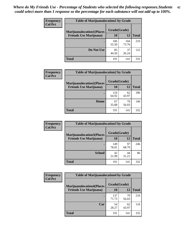| <b>Frequency</b> | <b>Table of Marijuanalocation1 by Grade</b> |              |              |              |
|------------------|---------------------------------------------|--------------|--------------|--------------|
| <b>Col Pct</b>   | <b>Marijuanalocation1(Places</b>            | Grade(Grade) |              |              |
|                  | <b>Friends Use Marijuana</b> )              | 10           | 12           | <b>Total</b> |
|                  |                                             | 106<br>55.50 | 104<br>73.76 | 210          |
|                  | Do Not Use                                  | 85<br>44.50  | 37<br>26.24  | 122          |
|                  | <b>Total</b>                                | 191          | 141          | 332          |

| <b>Frequency</b> | <b>Table of Marijuanalocation2 by Grade</b>                        |                    |             |              |
|------------------|--------------------------------------------------------------------|--------------------|-------------|--------------|
| <b>Col Pct</b>   | <b>Marijuanalocation2(Places</b><br><b>Friends Use Marijuana</b> ) | Grade(Grade)<br>10 | 12          | <b>Total</b> |
|                  |                                                                    | 124<br>64.92       | 62<br>43.97 | 186          |
|                  | Home                                                               | 67<br>35.08        | 79<br>56.03 | 146          |
|                  | <b>Total</b>                                                       | 191                | 141         | 332          |

| Frequency      | <b>Table of Marijuanalocation3 by Grade</b> |              |             |              |
|----------------|---------------------------------------------|--------------|-------------|--------------|
| <b>Col Pct</b> | <b>Marijuanalocation3</b> (Places           | Grade(Grade) |             |              |
|                | <b>Friends Use Marijuana</b> )              | 10           | 12          | <b>Total</b> |
|                |                                             | 149<br>78.01 | 97<br>68.79 | 246          |
|                | <b>School</b>                               | 42<br>21.99  | 44<br>31.21 | 86           |
|                | <b>Total</b>                                | 191          | 141         | 332          |

| <b>Frequency</b> | <b>Table of Marijuanalocation4 by Grade</b> |              |             |              |  |
|------------------|---------------------------------------------|--------------|-------------|--------------|--|
| <b>Col Pct</b>   | <b>Marijuanalocation4(Places</b>            | Grade(Grade) |             |              |  |
|                  | <b>Friends Use Marijuana</b> )              | <b>10</b>    | 12          | <b>Total</b> |  |
|                  |                                             | 137<br>71.73 | 79<br>56.03 | 216          |  |
|                  | Car                                         | 54<br>28.27  | 62<br>43.97 | 116          |  |
|                  | <b>Total</b>                                | 191          | 141         | 332          |  |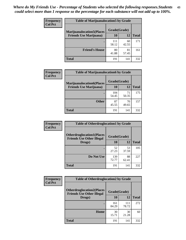| <b>Frequency</b> | <b>Table of Marijuanalocation5 by Grade</b> |              |             |              |
|------------------|---------------------------------------------|--------------|-------------|--------------|
| <b>Col Pct</b>   | <b>Marijuanalocation5(Places)</b>           | Grade(Grade) |             |              |
|                  | <b>Friends Use Marijuana</b> )              | 10           | 12          | <b>Total</b> |
|                  |                                             | 111<br>58.12 | 60<br>42.55 | 171          |
|                  | <b>Friend's House</b>                       | 80<br>41.88  | 81<br>57.45 | 161          |
|                  | <b>Total</b>                                | 191          | 141         | 332          |

| <b>Frequency</b> | <b>Table of Marijuanalocation6 by Grade</b>                        |                    |             |              |
|------------------|--------------------------------------------------------------------|--------------------|-------------|--------------|
| <b>Col Pct</b>   | <b>Marijuanalocation6(Places</b><br><b>Friends Use Marijuana</b> ) | Grade(Grade)<br>10 | 12          | <b>Total</b> |
|                  |                                                                    | 104<br>54.45       | 71<br>50.35 | 175          |
|                  | <b>Other</b>                                                       | 87<br>45.55        | 70<br>49.65 | 157          |
|                  | <b>Total</b>                                                       | 191                | 141         | 332          |

| <b>Frequency</b> | <b>Table of Otherdruglocation1 by Grade</b>                          |              |             |              |
|------------------|----------------------------------------------------------------------|--------------|-------------|--------------|
| <b>Col Pct</b>   | <b>Otherdruglocation1(Places</b><br><b>Friends Use Other Illegal</b> | Grade(Grade) |             |              |
|                  | Drugs)                                                               | 10           | 12          | <b>Total</b> |
|                  |                                                                      | 52<br>27.23  | 53<br>37.59 | 105          |
|                  | Do Not Use                                                           | 139<br>72.77 | 88<br>62.41 | 227          |
|                  | <b>Total</b>                                                         | 191          | 141         | 332          |

| <b>Frequency</b> | <b>Table of Otherdruglocation2 by Grade</b>                          |              |              |              |
|------------------|----------------------------------------------------------------------|--------------|--------------|--------------|
| <b>Col Pct</b>   | <b>Otherdruglocation2(Places</b><br><b>Friends Use Other Illegal</b> | Grade(Grade) |              |              |
|                  | Drugs)                                                               | 10           | 12           | <b>Total</b> |
|                  |                                                                      | 161<br>84.29 | 111<br>78.72 | 272          |
|                  | <b>Home</b>                                                          | 30<br>15.71  | 30<br>21.28  | 60           |
|                  | <b>Total</b>                                                         | 191          | 141          | 332          |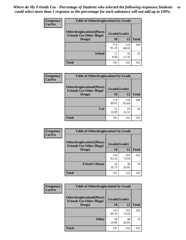| <b>Frequency</b> | <b>Table of Otherdruglocation 3 by Grade</b>                         |              |              |              |
|------------------|----------------------------------------------------------------------|--------------|--------------|--------------|
| <b>Col Pct</b>   | <b>Otherdruglocation3(Places</b><br><b>Friends Use Other Illegal</b> | Grade(Grade) |              |              |
|                  | Drugs)                                                               | 10           | 12           | <b>Total</b> |
|                  |                                                                      | 174<br>91.10 | 125<br>88.65 | 299          |
|                  | <b>School</b>                                                        | 17<br>8.90   | 16<br>11.35  | 33           |
|                  | <b>Total</b>                                                         | 191          | 141          | 332          |

| <b>Frequency</b> | <b>Table of Otherdruglocation4 by Grade</b>                          |              |              |              |  |  |
|------------------|----------------------------------------------------------------------|--------------|--------------|--------------|--|--|
| <b>Col Pct</b>   | <b>Otherdruglocation4(Places</b><br><b>Friends Use Other Illegal</b> | Grade(Grade) |              |              |  |  |
|                  | Drugs)                                                               | 10           | 12           | <b>Total</b> |  |  |
|                  |                                                                      | 170<br>89.01 | 118<br>83.69 | 288          |  |  |
|                  | Car                                                                  | 21<br>10.99  | 23<br>16.31  | 44           |  |  |
|                  | <b>Total</b>                                                         | 191          | 141          | 332          |  |  |

| <b>Frequency</b><br><b>Col Pct</b> | <b>Table of Otherdruglocation5 by Grade</b>                          |              |              |              |
|------------------------------------|----------------------------------------------------------------------|--------------|--------------|--------------|
|                                    | <b>Otherdruglocation5(Places</b><br><b>Friends Use Other Illegal</b> | Grade(Grade) |              |              |
|                                    | Drugs)                                                               | <b>10</b>    | 12           | <b>Total</b> |
|                                    |                                                                      | 159<br>83.25 | 103<br>73.05 | 262          |
|                                    | <b>Friend's House</b>                                                | 32<br>16.75  | 38<br>26.95  | 70           |
|                                    | <b>Total</b>                                                         | 191          | 141          | 332          |

| <b>Frequency</b> | <b>Table of Otherdruglocation6 by Grade</b>                          |              |              |              |
|------------------|----------------------------------------------------------------------|--------------|--------------|--------------|
| <b>Col Pct</b>   | <b>Otherdruglocation6(Places</b><br><b>Friends Use Other Illegal</b> | Grade(Grade) |              |              |
|                  | Drugs)                                                               | <b>10</b>    | 12           | <b>Total</b> |
|                  |                                                                      | 153<br>80.10 | 103<br>73.05 | 256          |
|                  | <b>Other</b>                                                         | 38<br>19.90  | 38<br>26.95  | 76           |
|                  | <b>Total</b>                                                         | 191          | 141          | 332          |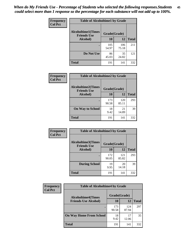| Frequency      | <b>Table of Alcoholtime1 by Grade</b>           |              |              |              |
|----------------|-------------------------------------------------|--------------|--------------|--------------|
| <b>Col Pct</b> | <b>Alcoholtime1(Times</b><br><b>Friends Use</b> | Grade(Grade) |              |              |
|                | Alcohol)                                        | 10           | 12           | <b>Total</b> |
|                |                                                 | 105<br>54.97 | 106<br>75.18 | 211          |
|                | Do Not Use                                      | 86<br>45.03  | 35<br>24.82  | 121          |
|                | <b>Total</b>                                    | 191          | 141          | 332          |

| Frequency      | <b>Table of Alcoholtime2 by Grade</b>           |              |              |              |
|----------------|-------------------------------------------------|--------------|--------------|--------------|
| <b>Col Pct</b> | <b>Alcoholtime2(Times</b><br><b>Friends Use</b> | Grade(Grade) |              |              |
|                | Alcohol)                                        | 10           | 12           | <b>Total</b> |
|                |                                                 | 173<br>90.58 | 120<br>85.11 | 293          |
|                | <b>On Way to School</b>                         | 18<br>9.42   | 21<br>14.89  | 39           |
|                | <b>Total</b>                                    | 191          | 141          | 332          |

| Frequency<br><b>Col Pct</b> | <b>Table of Alcoholtime3 by Grade</b>                           |              |              |              |
|-----------------------------|-----------------------------------------------------------------|--------------|--------------|--------------|
|                             | <b>Alcoholtime3(Times</b><br>Grade(Grade)<br><b>Friends Use</b> |              |              |              |
|                             | Alcohol)                                                        | 10           | 12           | <b>Total</b> |
|                             |                                                                 | 172<br>90.05 | 121<br>85.82 | 293          |
|                             | <b>During School</b>                                            | 19<br>9.95   | 20<br>14.18  | 39           |
|                             | Total                                                           | 191          | 141          | 332          |

| <b>Frequency</b> | <b>Table of Alcoholtime4 by Grade</b> |              |              |              |
|------------------|---------------------------------------|--------------|--------------|--------------|
| <b>Col Pct</b>   | <b>Alcoholtime4(Times</b>             | Grade(Grade) |              |              |
|                  | <b>Friends Use Alcohol)</b>           | 10           | 12           | <b>Total</b> |
|                  | ٠                                     | 173<br>90.58 | 124<br>87.94 | 297          |
|                  | <b>On Way Home From School</b>        | 18<br>9.42   | 17<br>12.06  | 35           |
|                  | <b>Total</b>                          | 191          | 141          | 332          |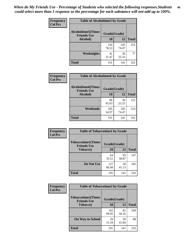*When do My Friends Use - Percentage of Students who selected the following responses.Students could select more than 1 response so the percentage for each substance will not add up to 100%.* **46**

| Frequency      | <b>Table of Alcoholtime5 by Grade</b>           |              |              |              |
|----------------|-------------------------------------------------|--------------|--------------|--------------|
| <b>Col Pct</b> | <b>Alcoholtime5(Times</b><br><b>Friends Use</b> | Grade(Grade) |              |              |
|                | Alcohol)                                        | 10           | 12           | <b>Total</b> |
|                |                                                 | 150<br>78.53 | 105<br>74.47 | 255          |
|                | Weeknights                                      | 41<br>21.47  | 36<br>25.53  | 77           |
|                | <b>Total</b>                                    | 191          | 141          | 332          |

| <b>Frequency</b> |                                                 | <b>Table of Alcoholtime6 by Grade</b> |              |              |  |  |
|------------------|-------------------------------------------------|---------------------------------------|--------------|--------------|--|--|
| <b>Col Pct</b>   | <b>Alcoholtime6(Times</b><br><b>Friends Use</b> | Grade(Grade)                          |              |              |  |  |
|                  | Alcohol)                                        | 10                                    | 12           | <b>Total</b> |  |  |
|                  |                                                 | 86<br>45.03                           | 36<br>25.53  | 122          |  |  |
|                  | Weekends                                        | 105<br>54.97                          | 105<br>74.47 | 210          |  |  |
|                  | <b>Total</b>                                    | 191                                   | 141          | 332          |  |  |

| Frequency<br><b>Col Pct</b> | <b>Table of Tobaccotime1 by Grade</b>           |              |             |              |
|-----------------------------|-------------------------------------------------|--------------|-------------|--------------|
|                             | <b>Tobaccotime1(Times</b><br><b>Friends Use</b> | Grade(Grade) |             |              |
|                             | <b>Tobacco</b> )                                | 10           | 12          | <b>Total</b> |
|                             | ٠                                               | 64<br>33.51  | 83<br>58.87 | 147          |
|                             | Do Not Use                                      | 127<br>66.49 | 58<br>41.13 | 185          |
|                             | <b>Total</b>                                    | 191          | 141         | 332          |

| <b>Frequency</b> | <b>Table of Tobaccotime2 by Grade</b>           |              |             |              |
|------------------|-------------------------------------------------|--------------|-------------|--------------|
| <b>Col Pct</b>   | <b>Tobaccotime2(Times</b><br><b>Friends Use</b> | Grade(Grade) |             |              |
|                  | <b>Tobacco</b> )                                | <b>10</b>    | <b>12</b>   | <b>Total</b> |
|                  |                                                 | 162<br>84.82 | 82<br>58.16 | 244          |
|                  | <b>On Way to School</b>                         | 29<br>15.18  | 59<br>41.84 | 88           |
|                  | <b>Total</b>                                    | 191          | 141         | 332          |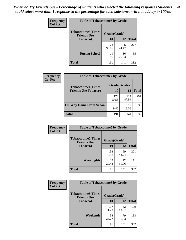*When do My Friends Use - Percentage of Students who selected the following responses.Students could select more than 1 response so the percentage for each substance will not add up to 100%.* **47**

| <b>Frequency</b> | <b>Table of Tobaccotime3 by Grade</b>           |              |              |              |  |
|------------------|-------------------------------------------------|--------------|--------------|--------------|--|
| <b>Col Pct</b>   | <b>Tobaccotime3(Times</b><br><b>Friends Use</b> | Grade(Grade) |              |              |  |
|                  | <b>Tobacco</b> )                                | 10           | 12           | <b>Total</b> |  |
|                  |                                                 | 172<br>90.05 | 105<br>74.47 | 277          |  |
|                  | <b>During School</b>                            | 19<br>9.95   | 36<br>25.53  | 55           |  |
|                  | <b>Total</b>                                    | 191          | 141          | 332          |  |

| <b>Frequency</b> | <b>Table of Tobaccotime4 by Grade</b> |              |              |              |
|------------------|---------------------------------------|--------------|--------------|--------------|
| <b>Col Pct</b>   | <b>Tobaccotime4(Times</b>             | Grade(Grade) |              |              |
|                  | <b>Friends Use Tobacco)</b>           | 10           | 12           | <b>Total</b> |
|                  |                                       | 173<br>90.58 | 124<br>87.94 | 297          |
|                  | <b>On Way Home From School</b>        | 18<br>9.42   | 17<br>12.06  | 35           |
|                  | <b>Total</b>                          | 191          | 141          | 332          |

| <b>Frequency</b> | <b>Table of Tobaccotime5 by Grade</b>            |              |             |              |
|------------------|--------------------------------------------------|--------------|-------------|--------------|
| <b>Col Pct</b>   | <b>Tobaccotime5</b> (Times<br><b>Friends Use</b> | Grade(Grade) |             |              |
|                  | <b>Tobacco</b> )                                 | 10           | 12          | <b>Total</b> |
|                  |                                                  | 152<br>79.58 | 69<br>48.94 | 221          |
|                  | Weeknights                                       | 39<br>20.42  | 72<br>51.06 | 111          |
|                  | <b>Total</b>                                     | 191          | 141         | 332          |

| Frequency<br><b>Col Pct</b> | <b>Table of Tobaccotime6 by Grade</b>                           |              |             |              |
|-----------------------------|-----------------------------------------------------------------|--------------|-------------|--------------|
|                             | <b>Tobaccotime6(Times</b><br>Grade(Grade)<br><b>Friends Use</b> |              |             |              |
|                             | <b>Tobacco</b> )                                                | 10           | 12          | <b>Total</b> |
|                             |                                                                 | 137<br>71.73 | 62<br>43.97 | 199          |
|                             | Weekends                                                        | 54<br>28.27  | 79<br>56.03 | 133          |
|                             | <b>Total</b>                                                    | 191          | 141         | 332          |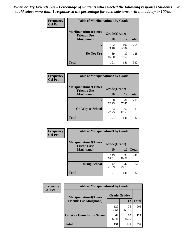| Frequency      | <b>Table of Marijuanatime1 by Grade</b>                           |              |              |              |  |
|----------------|-------------------------------------------------------------------|--------------|--------------|--------------|--|
| <b>Col Pct</b> | <b>Marijuanatime1(Times</b><br>Grade(Grade)<br><b>Friends Use</b> |              |              |              |  |
|                | Marijuana)                                                        | 10           | 12           | <b>Total</b> |  |
|                |                                                                   | 102<br>53.40 | 102<br>72.34 | 204          |  |
|                | Do Not Use                                                        | 89<br>46.60  | 39<br>27.66  | 128          |  |
|                | <b>Total</b>                                                      | 191          | 141          | 332          |  |

| <b>Frequency</b> | <b>Table of Marijuanatime2 by Grade</b>           |              |             |              |
|------------------|---------------------------------------------------|--------------|-------------|--------------|
| <b>Col Pct</b>   | <b>Marijuanatime2(Times</b><br><b>Friends Use</b> | Grade(Grade) |             |              |
|                  | Marijuana)                                        | 10           | 12          | <b>Total</b> |
|                  | ٠                                                 | 138<br>72.25 | 81<br>57.45 | 219          |
|                  | <b>On Way to School</b>                           | 53<br>27.75  | 60<br>42.55 | 113          |
|                  | <b>Total</b>                                      | 191          | 141         | 332          |

| Frequency      | <b>Table of Marijuanatime3 by Grade</b>    |              |             |              |  |
|----------------|--------------------------------------------|--------------|-------------|--------------|--|
| <b>Col Pct</b> | Marijuanatime3(Times<br><b>Friends Use</b> | Grade(Grade) |             |              |  |
|                | Marijuana)                                 | 10           | 12          | <b>Total</b> |  |
|                |                                            | 149<br>78.01 | 99<br>70.21 | 248          |  |
|                | <b>During School</b>                       | 42<br>21.99  | 42<br>29.79 | 84           |  |
|                | <b>Total</b>                               | 191          | 141         | 332          |  |

| <b>Frequency</b> | <b>Table of Marijuanatime4 by Grade</b> |              |             |              |
|------------------|-----------------------------------------|--------------|-------------|--------------|
| <b>Col Pct</b>   | <b>Marijuanatime4</b> (Times            | Grade(Grade) |             |              |
|                  | <b>Friends Use Marijuana</b> )          | 10           | 12          | <b>Total</b> |
|                  | ٠                                       | 129<br>67.54 | 76<br>53.90 | 205          |
|                  | <b>On Way Home From School</b>          | 62<br>32.46  | 65<br>46.10 | 127          |
|                  | <b>Total</b>                            | 191          | 141         | 332          |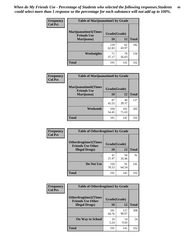| Frequency      | <b>Table of Marijuanatime5 by Grade</b>            |              |             |              |  |
|----------------|----------------------------------------------------|--------------|-------------|--------------|--|
| <b>Col Pct</b> | <b>Marijuanatime5</b> (Times<br><b>Friends Use</b> | Grade(Grade) |             |              |  |
|                | Marijuana)                                         | 10           | 12          | <b>Total</b> |  |
|                |                                                    | 120<br>62.83 | 62<br>43.97 | 182          |  |
|                | Weeknights                                         | 71<br>37.17  | 79<br>56.03 | 150          |  |
|                | <b>Total</b>                                       | 191          | 141         | 332          |  |

| Frequency      | <b>Table of Marijuanatime6 by Grade</b>            |              |              |              |
|----------------|----------------------------------------------------|--------------|--------------|--------------|
| <b>Col Pct</b> | <b>Marijuanatime6</b> (Times<br><b>Friends Use</b> | Grade(Grade) |              |              |
|                | Marijuana)                                         | 10           | 12           | <b>Total</b> |
|                |                                                    | 87<br>45.55  | 40<br>28.37  | 127          |
|                | Weekends                                           | 104<br>54.45 | 101<br>71.63 | 205          |
|                | <b>Total</b>                                       | 191          | 141          | 332          |

| <b>Frequency</b> | <b>Table of Otherdrugtime1 by Grade</b>                  |              |             |              |  |
|------------------|----------------------------------------------------------|--------------|-------------|--------------|--|
| <b>Col Pct</b>   | <b>Otherdrugtime1</b> (Times<br><b>Friends Use Other</b> | Grade(Grade) |             |              |  |
|                  | <b>Illegal Drugs</b> )                                   | 10           | 12          | <b>Total</b> |  |
|                  |                                                          | 41<br>21.47  | 50<br>35.46 | 91           |  |
|                  | Do Not Use                                               | 150<br>78.53 | 91<br>64.54 | 241          |  |
|                  | <b>Total</b>                                             | 191          | 141         | 332          |  |

| Frequency      | <b>Table of Otherdrugtime2 by Grade</b>                 |              |              |              |  |  |
|----------------|---------------------------------------------------------|--------------|--------------|--------------|--|--|
| <b>Col Pct</b> | <b>Otherdrugtime2(Times</b><br><b>Friends Use Other</b> | Grade(Grade) |              |              |  |  |
|                | <b>Illegal Drugs</b> )                                  | 10           | 12           | <b>Total</b> |  |  |
|                |                                                         | 181<br>94.76 | 127<br>90.07 | 308          |  |  |
|                | <b>On Way to School</b>                                 | 10<br>5.24   | 14<br>9.93   | 24           |  |  |
|                | Total                                                   | 191          | 141          | 332          |  |  |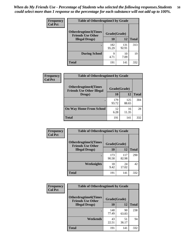| <b>Frequency</b><br><b>Col Pct</b> | <b>Table of Otherdrugtime3 by Grade</b>                          |              |              |              |  |  |
|------------------------------------|------------------------------------------------------------------|--------------|--------------|--------------|--|--|
|                                    | Otherdrugtime3(Times<br>Grade(Grade)<br><b>Friends Use Other</b> |              |              |              |  |  |
|                                    | <b>Illegal Drugs</b> )                                           | 10           | 12           | <b>Total</b> |  |  |
|                                    |                                                                  | 182<br>95.29 | 131<br>92.91 | 313          |  |  |
|                                    | <b>During School</b>                                             | 9<br>4.71    | 10<br>7.09   | 19           |  |  |
|                                    | Total                                                            | 191          | 141          | 332          |  |  |

| Frequency      | <b>Table of Otherdrugtime4 by Grade</b>                         |              |              |              |  |  |
|----------------|-----------------------------------------------------------------|--------------|--------------|--------------|--|--|
| <b>Col Pct</b> | <b>Otherdrugtime4(Times</b><br><b>Friends Use Other Illegal</b> | Grade(Grade) |              |              |  |  |
|                | Drugs)                                                          | 10           | 12           | <b>Total</b> |  |  |
|                |                                                                 | 179<br>93.72 | 125<br>88.65 | 304          |  |  |
|                | <b>On Way Home From School</b>                                  | 12<br>6.28   | 16<br>11.35  | 28           |  |  |
|                | <b>Total</b>                                                    | 191          | 141          | 332          |  |  |

| <b>Frequency</b><br><b>Col Pct</b> | <b>Table of Otherdrugtime5 by Grade</b>                  |              |              |              |  |  |
|------------------------------------|----------------------------------------------------------|--------------|--------------|--------------|--|--|
|                                    | <b>Otherdrugtime5</b> (Times<br><b>Friends Use Other</b> | Grade(Grade) |              |              |  |  |
|                                    | <b>Illegal Drugs</b> )                                   | 10           | 12           | <b>Total</b> |  |  |
|                                    |                                                          | 173<br>90.58 | 117<br>82.98 | 290          |  |  |
|                                    | <b>Weeknights</b>                                        | 18<br>9.42   | 24<br>17.02  | 42           |  |  |
|                                    | Total                                                    | 191          | 141          | 332          |  |  |

| <b>Frequency</b> | <b>Table of Otherdrugtime6 by Grade</b>                 |              |             |              |  |  |
|------------------|---------------------------------------------------------|--------------|-------------|--------------|--|--|
| <b>Col Pct</b>   | <b>Otherdrugtime6(Times</b><br><b>Friends Use Other</b> | Grade(Grade) |             |              |  |  |
|                  | <b>Illegal Drugs</b> )                                  | 10           | 12          | <b>Total</b> |  |  |
|                  |                                                         | 148<br>77.49 | 90<br>63.83 | 238          |  |  |
|                  | Weekends                                                | 43<br>22.51  | 51<br>36.17 | 94           |  |  |
|                  | Total                                                   | 191          | 141         | 332          |  |  |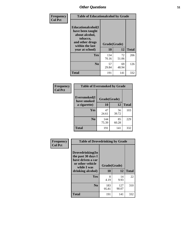| Frequency      | <b>Table of Educationalcohol by Grade</b>                                                                  |              |             |              |  |  |
|----------------|------------------------------------------------------------------------------------------------------------|--------------|-------------|--------------|--|--|
| <b>Col Pct</b> | Educationalcohol(I<br>have been taught<br>about alcohol,<br>tobacco,<br>and other drugs<br>within the last | Grade(Grade) |             |              |  |  |
|                | year at school)                                                                                            | 10           | 12          | <b>Total</b> |  |  |
|                | <b>Yes</b>                                                                                                 | 134<br>70.16 | 72<br>51.06 | 206          |  |  |
|                | N <sub>0</sub>                                                                                             | 57<br>29.84  | 69<br>48.94 | 126          |  |  |
|                | <b>Total</b>                                                                                               | 191          | 141         | 332          |  |  |

| Frequency      | <b>Table of Eversmoked by Grade</b> |              |             |              |  |  |
|----------------|-------------------------------------|--------------|-------------|--------------|--|--|
| <b>Col Pct</b> | Eversmoked(I<br>have smoked         | Grade(Grade) |             |              |  |  |
|                | a cigarette)                        | <b>10</b>    | 12          | <b>Total</b> |  |  |
|                | <b>Yes</b>                          | 47<br>24.61  | 56<br>39.72 | 103          |  |  |
|                | N <sub>0</sub>                      | 144<br>75.39 | 85<br>60.28 | 229          |  |  |
|                | <b>Total</b>                        | 191          | 141         | 332          |  |  |

| Frequency      | <b>Table of Drovedrinking by Grade</b>                                                                              |                    |              |              |  |
|----------------|---------------------------------------------------------------------------------------------------------------------|--------------------|--------------|--------------|--|
| <b>Col Pct</b> | Drovedrinking(In<br>the past 30 days I<br>have driven a car<br>or other vehicle<br>while I was<br>drinking alcohol) | Grade(Grade)<br>10 | 12           | <b>Total</b> |  |
|                | <b>Yes</b>                                                                                                          | 8<br>4.19          | 14<br>9.93   | 22           |  |
|                | N <sub>0</sub>                                                                                                      | 183<br>95.81       | 127<br>90.07 | 310          |  |
|                | <b>Total</b>                                                                                                        | 191                | 141          | 332          |  |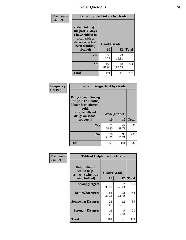| Frequency      | <b>Table of Rodedrinking by Grade</b>                                                                                            |              |              |              |  |  |
|----------------|----------------------------------------------------------------------------------------------------------------------------------|--------------|--------------|--------------|--|--|
| <b>Col Pct</b> | Rodedrinking(In<br>the past 30 days<br>I have ridden in<br>a car with a<br>driver who had<br>Grade(Grade)<br>been drinking<br>10 |              |              |              |  |  |
|                | alcohol)                                                                                                                         |              | 12           | <b>Total</b> |  |  |
|                | <b>Yes</b>                                                                                                                       | 35<br>18.32  | 23<br>16.31  | 58           |  |  |
|                | N <sub>0</sub>                                                                                                                   | 156<br>81.68 | 118<br>83.69 | 274          |  |  |
|                | <b>Total</b>                                                                                                                     | 191          | 141          | 332          |  |  |

#### **Frequency Col Pct**

| <b>Table of Drugsschool by Grade</b>                                                                                      |              |             |              |  |  |  |  |
|---------------------------------------------------------------------------------------------------------------------------|--------------|-------------|--------------|--|--|--|--|
| <b>Drugsschool</b> (During<br>the past 12 months,<br>I have been offered,<br>sold,<br>or given illegal<br>drugs on school | Grade(Grade) |             |              |  |  |  |  |
| property)                                                                                                                 | 10           | 12          | <b>Total</b> |  |  |  |  |
| Yes                                                                                                                       | 55<br>28.80  | 42<br>29.79 | 97           |  |  |  |  |
| N <sub>0</sub>                                                                                                            | 136<br>71.20 | 99<br>70.21 | 235          |  |  |  |  |
| <b>Total</b>                                                                                                              | 191          | 141         | 332          |  |  |  |  |

| Frequency      | <b>Table of Helpbullied by Grade</b>                                   |                          |             |              |  |  |  |
|----------------|------------------------------------------------------------------------|--------------------------|-------------|--------------|--|--|--|
| <b>Col Pct</b> | $Helpb$ ullied $(I$<br>would help<br>someone who was<br>being bullied) | Grade(Grade)<br>10<br>12 |             | <b>Total</b> |  |  |  |
|                | <b>Strongly Agree</b>                                                  | 73<br>38.22              | 57<br>40.43 | 130          |  |  |  |
|                | <b>Somewhat Agree</b>                                                  | 81<br>42.41              | 63<br>44.68 | 144          |  |  |  |
|                | <b>Somewhat Disagree</b>                                               | 25<br>13.09              | 12<br>8.51  | 37           |  |  |  |
|                | <b>Strongly Disagree</b>                                               | 12<br>6.28               | 9<br>6.38   | 21           |  |  |  |
|                | <b>Total</b>                                                           | 191                      | 141         | 332          |  |  |  |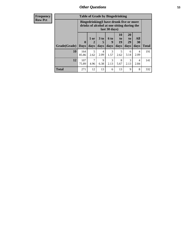| <b>Frequency</b> | <b>Table of Grade by Bingedrinking</b> |                                                                                                         |                     |                   |                     |                               |                               |                        |              |
|------------------|----------------------------------------|---------------------------------------------------------------------------------------------------------|---------------------|-------------------|---------------------|-------------------------------|-------------------------------|------------------------|--------------|
| Row Pct          |                                        | Bingedrinking(I have drunk five or more<br>drinks of alcohol at one sitting during the<br>last 30 days) |                     |                   |                     |                               |                               |                        |              |
|                  | Grade(Grade)                           | $\boldsymbol{0}$<br><b>Days</b>                                                                         | $1$ or<br>2<br>days | 3 to<br>5<br>days | <b>6 to</b><br>days | <b>10</b><br>to<br>19<br>days | <b>20</b><br>to<br>29<br>days | All<br>30<br>days      | <b>Total</b> |
|                  | 10                                     | 164<br>85.86                                                                                            | 5<br>2.62           | 4<br>2.09         | 3<br>1.57           | 5<br>2.62                     | 6<br>3.14                     | 4<br>2.09              | 191          |
|                  | 12                                     | 107<br>75.89                                                                                            | 7<br>4.96           | 9<br>6.38         | 3<br>2.13           | 8<br>5.67                     | 3<br>2.13                     | $\overline{4}$<br>2.84 | 141          |
|                  | <b>Total</b>                           | 271                                                                                                     | 12                  | 13                | 6                   | 13                            | 9                             | 8                      | 332          |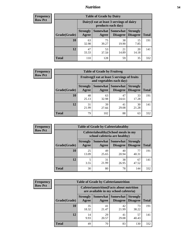## *Nutrition* **54**

| <b>Frequency</b><br>Row Pct |
|-----------------------------|
|                             |

| <b>Table of Grade by Dairy</b> |                                                                                                                           |                                                                 |             |             |     |  |  |  |
|--------------------------------|---------------------------------------------------------------------------------------------------------------------------|-----------------------------------------------------------------|-------------|-------------|-----|--|--|--|
|                                |                                                                                                                           | Dairy (I eat at least 3 servings of dairy<br>products each day) |             |             |     |  |  |  |
| Grade(Grade)                   | <b>Somewhat</b><br><b>Somewhat</b><br><b>Strongly</b><br><b>Strongly</b><br><b>Disagree</b><br>Disagree<br>Agree<br>Agree |                                                                 |             |             |     |  |  |  |
| 10                             | 63<br>32.98                                                                                                               | 75<br>39.27                                                     | 38<br>19.90 | 15<br>7.85  | 191 |  |  |  |
| 12                             | 47<br>33.33                                                                                                               | 53<br>37.59                                                     | 21<br>14.89 | 20<br>14.18 | 141 |  |  |  |
| <b>Total</b>                   | 110                                                                                                                       | 128                                                             | 59          | 35          | 332 |  |  |  |

| <b>Frequency</b> |  |
|------------------|--|
| <b>Row Pct</b>   |  |

|              |                                                                          | <b>Table of Grade by Fruitveg</b> |                                      |                                    |              |  |
|--------------|--------------------------------------------------------------------------|-----------------------------------|--------------------------------------|------------------------------------|--------------|--|
|              | Fruitveg(I eat at least 5 servings of fruits<br>and vegetables each day) |                                   |                                      |                                    |              |  |
| Grade(Grade) | <b>Strongly</b><br>Agree                                                 | Agree                             | <b>Somewhat</b> Somewhat<br>Disagree | <b>Strongly</b><br><b>Disagree</b> | <b>Total</b> |  |
| 10           | 48<br>25.13                                                              | 63<br>32.98                       | 47<br>24.61                          | 33<br>17.28                        | 191          |  |
| 12           | 31<br>21.99                                                              | 39<br>27.66                       | 41<br>29.08                          | 30<br>21.28                        | 141          |  |
| <b>Total</b> | 79                                                                       | 102                               | 88                                   | 63                                 | 332          |  |

| <b>Frequency</b> |              |                                                                       | <b>Table of Grade by Cafeteriahealthy</b> |                                    |                                    |              |  |
|------------------|--------------|-----------------------------------------------------------------------|-------------------------------------------|------------------------------------|------------------------------------|--------------|--|
| <b>Row Pct</b>   |              | Cafeteriahealthy (School meals in my<br>school cafeteria are healthy) |                                           |                                    |                                    |              |  |
|                  | Grade(Grade) | <b>Strongly</b><br>Agree                                              | Somewhat<br>Agree                         | <b>Somewhat</b><br><b>Disagree</b> | <b>Strongly</b><br><b>Disagree</b> | <b>Total</b> |  |
|                  | 10           | 25<br>13.09                                                           | 49<br>25.65                               | 40<br>20.94                        | 77<br>40.31                        | 191          |  |
|                  | 12           | 3.55                                                                  | 31<br>21.99                               | 38<br>26.95                        | 67<br>47.52                        | 141          |  |
|                  | Total        | 30                                                                    | 80                                        | 78                                 | 144                                | 332          |  |

| <b>Frequency</b> |  |
|------------------|--|
| <b>Row Pct</b>   |  |

| <b>Table of Grade by Cafeterianutrition</b> |                                                                                           |                   |                                    |                                    |              |  |
|---------------------------------------------|-------------------------------------------------------------------------------------------|-------------------|------------------------------------|------------------------------------|--------------|--|
|                                             | <b>Cafeterianutrition</b> (Facts about nutrition<br>are available in my school cafeteria) |                   |                                    |                                    |              |  |
| Grade(Grade)                                | <b>Strongly</b><br>Agree                                                                  | Somewhat<br>Agree | <b>Somewhat</b><br><b>Disagree</b> | <b>Strongly</b><br><b>Disagree</b> | <b>Total</b> |  |
| 10                                          | 35<br>18.32                                                                               | 41<br>21.47       | 42<br>21.99                        | 73<br>38.22                        | 191          |  |
| 12                                          | 14<br>9.93                                                                                | 29<br>20.57       | 41<br>29.08                        | 57<br>40.43                        | 141          |  |
| <b>Total</b>                                | 49                                                                                        | 70                | 83                                 | 130                                | 332          |  |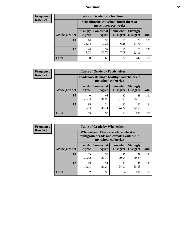## *Nutrition* **55**

| Frequency |
|-----------|
| Row Pct   |

| <b>Table of Grade by Schoollunch</b> |                                                                                                                          |                                                                 |            |             |     |  |  |  |
|--------------------------------------|--------------------------------------------------------------------------------------------------------------------------|-----------------------------------------------------------------|------------|-------------|-----|--|--|--|
|                                      |                                                                                                                          | Schoollunch(I eat school lunch three or<br>more times per week) |            |             |     |  |  |  |
| Grade(Grade)                         | Somewhat Somewhat<br><b>Strongly</b><br><b>Strongly</b><br><b>Disagree</b><br>Disagree<br><b>Total</b><br>Agree<br>Agree |                                                                 |            |             |     |  |  |  |
| 10                                   | 74<br>38.74                                                                                                              | 33<br>17.28                                                     | 12<br>6.28 | 72<br>37.70 | 191 |  |  |  |
| 12                                   | 24<br>17.02                                                                                                              | 32<br>22.70                                                     | 10<br>7.09 | 75<br>53.19 | 141 |  |  |  |
| <b>Total</b>                         | 98                                                                                                                       | 65                                                              | 22         | 147         | 332 |  |  |  |

| <b>Frequency</b> |  |
|------------------|--|
| <b>Row Pct</b>   |  |

| <b>Table of Grade by Foodchoices</b> |                          |                                                                     |                                        |                                    |              |  |  |
|--------------------------------------|--------------------------|---------------------------------------------------------------------|----------------------------------------|------------------------------------|--------------|--|--|
|                                      |                          | Foodchoices (I make healthy food choices in<br>my school cafeteria) |                                        |                                    |              |  |  |
| Grade(Grade)                         | <b>Strongly</b><br>Agree | Agree                                                               | <b>Somewhat   Somewhat</b><br>Disagree | <b>Strongly</b><br><b>Disagree</b> | <b>Total</b> |  |  |
| 10                                   | 40<br>20.94              | 61<br>31.94                                                         | 42<br>21.99                            | 48<br>25.13                        | 191          |  |  |
| 12                                   | 15<br>10.64              | 34<br>24.11                                                         | 32<br>22.70                            | 60<br>42.55                        | 141          |  |  |
| <b>Total</b>                         | 55                       | 95                                                                  | 74                                     | 108                                | 332          |  |  |

| Frequency      | <b>Table of Grade by Wholewheat</b> |                                                                                                             |                     |                             |                                    |              |  |  |  |
|----------------|-------------------------------------|-------------------------------------------------------------------------------------------------------------|---------------------|-----------------------------|------------------------------------|--------------|--|--|--|
| <b>Row Pct</b> |                                     | Wholewheat (There are whole wheat and<br>multigrain breads and cereals available in<br>my school cafeteria) |                     |                             |                                    |              |  |  |  |
|                | Grade(Grade)                        | <b>Strongly</b><br>Agree                                                                                    | Somewhat  <br>Agree | <b>Somewhat</b><br>Disagree | <b>Strongly</b><br><b>Disagree</b> | <b>Total</b> |  |  |  |
|                | 10                                  | 39<br>20.42                                                                                                 | 53<br>27.75         | 40<br>20.94                 | 59<br>30.89                        | 191          |  |  |  |
|                | 12                                  | 23<br>16.31                                                                                                 | 37<br>26.24         | 34<br>24.11                 | 47<br>33.33                        | 141          |  |  |  |
|                | <b>Total</b>                        | 62                                                                                                          | 90                  | 74                          | 106                                | 332          |  |  |  |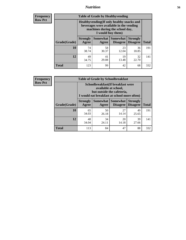## *Nutrition* **56**

**Frequency Row Pct**

| <b>Table of Grade by Healthyvending</b> |                                                                                                                                               |             |                                        |                                    |              |  |
|-----------------------------------------|-----------------------------------------------------------------------------------------------------------------------------------------------|-------------|----------------------------------------|------------------------------------|--------------|--|
|                                         | Healthyvending (If only healthy snacks and<br>beverages were available in the vending<br>machines during the school day,<br>I would buy them) |             |                                        |                                    |              |  |
| Grade(Grade)                            | <b>Strongly</b><br>Agree                                                                                                                      | Agree       | Somewhat   Somewhat<br><b>Disagree</b> | <b>Strongly</b><br><b>Disagree</b> | <b>Total</b> |  |
| 10                                      | 74<br>38.74                                                                                                                                   | 58<br>30.37 | 23<br>12.04                            | 36<br>18.85                        | 191          |  |
| 12                                      | 49<br>34.75                                                                                                                                   | 41<br>29.08 | 19<br>13.48                            | 32<br>22.70                        | 141          |  |
| <b>Total</b>                            | 123                                                                                                                                           | 99          | 42                                     | 68                                 | 332          |  |

**Frequency Row Pct**

| <b>Table of Grade by Schoolbreakfast</b> |                                                                                                                                         |             |                                        |                                    |              |  |
|------------------------------------------|-----------------------------------------------------------------------------------------------------------------------------------------|-------------|----------------------------------------|------------------------------------|--------------|--|
|                                          | Schoolbreakfast (If breakfast were<br>available at school,<br>but outside the cafeteria,<br>I would eat breakfast at school more often) |             |                                        |                                    |              |  |
| Grade(Grade)                             | <b>Strongly</b><br>Agree                                                                                                                | Agree       | Somewhat   Somewhat<br><b>Disagree</b> | <b>Strongly</b><br><b>Disagree</b> | <b>Total</b> |  |
| 10                                       | 65<br>34.03                                                                                                                             | 50<br>26.18 | 27<br>14.14                            | 49<br>25.65                        | 191          |  |
| 12                                       | 48<br>34.04                                                                                                                             | 34<br>24.11 | 20<br>14.18                            | 39<br>27.66                        | 141          |  |
| <b>Total</b>                             | 113                                                                                                                                     | 84          | 47                                     | 88                                 | 332          |  |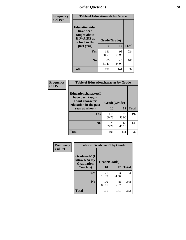| Frequency<br><b>Col Pct</b> | <b>Table of Educationaids by Grade</b>                                                                    |                    |             |              |
|-----------------------------|-----------------------------------------------------------------------------------------------------------|--------------------|-------------|--------------|
|                             | <b>Educationaids</b> (I<br>have been<br>taught about<br><b>HIV/AIDS</b> at<br>school in the<br>past year) | Grade(Grade)<br>10 | 12          | <b>Total</b> |
|                             | Yes                                                                                                       | 131<br>68.59       | 93<br>65.96 | 224          |
|                             | N <sub>0</sub>                                                                                            | 60<br>31.41        | 48<br>34.04 | 108          |
|                             | <b>Total</b>                                                                                              | 191                | 141         | 332          |

| Frequency<br><b>Col Pct</b> | <b>Table of Educationcharacter by Grade</b>                         |              |             |              |  |
|-----------------------------|---------------------------------------------------------------------|--------------|-------------|--------------|--|
|                             | <b>Educationcharacter(I)</b><br>have been taught<br>about character | Grade(Grade) |             |              |  |
|                             | education in the past                                               | 10           | 12          |              |  |
|                             | year at school)                                                     |              |             | <b>Total</b> |  |
|                             | Yes                                                                 | 116<br>60.73 | 76<br>53.90 | 192          |  |
|                             | N <sub>0</sub>                                                      | 75<br>39.27  | 65<br>46.10 | 140          |  |
|                             | <b>Total</b>                                                        | 191          | 141         | 332          |  |

| Frequency      | <b>Table of Gradcoach1 by Grade</b>              |              |             |              |
|----------------|--------------------------------------------------|--------------|-------------|--------------|
| <b>Col Pct</b> | Gradcoach1(I<br>know who my<br><b>Graduation</b> | Grade(Grade) |             |              |
|                | Coach is)                                        | 10           | 12          | <b>Total</b> |
|                | Yes                                              | 21<br>10.99  | 63<br>44.68 | 84           |
|                | N <sub>0</sub>                                   | 170<br>89.01 | 78<br>55.32 | 248          |
|                | <b>Total</b>                                     | 191          | 141         | 332          |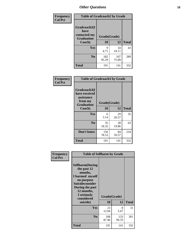| Frequency      | <b>Table of Gradcoach2 by Grade</b> |              |              |              |
|----------------|-------------------------------------|--------------|--------------|--------------|
| <b>Col Pct</b> | Gradcoach2(I<br>have                |              |              |              |
|                | contacted my<br><b>Graduation</b>   | Grade(Grade) |              |              |
|                | Coach)                              | 10           | 12           | <b>Total</b> |
|                | Yes                                 | 9<br>4.71    | 34<br>24.11  | 43           |
|                | N <sub>0</sub>                      | 182<br>95.29 | 107<br>75.89 | 289          |
|                | <b>Total</b>                        | 191          | 141          | 332          |

| <b>Frequency</b><br><b>Col Pct</b> | <b>Table of Gradcoach3 by Grade</b>                                         |              |             |              |
|------------------------------------|-----------------------------------------------------------------------------|--------------|-------------|--------------|
|                                    | Gradcoach3(I<br>have received<br>assistance<br>from my<br><b>Graduation</b> | Grade(Grade) |             |              |
|                                    | Coach)                                                                      | 10           | 12          | <b>Total</b> |
|                                    | Yes                                                                         | 6<br>3.14    | 29<br>20.57 | 35           |
|                                    | N <sub>0</sub>                                                              | 35<br>18.32  | 28<br>19.86 | 63           |
|                                    | Don't know                                                                  | 150<br>78.53 | 84<br>59.57 | 234          |
|                                    | <b>Total</b>                                                                | 191          | 141         | 332          |

| Frequency      | <b>Table of Selfharm by Grade</b>                                                                                                                                                      |                    |              |              |
|----------------|----------------------------------------------------------------------------------------------------------------------------------------------------------------------------------------|--------------------|--------------|--------------|
| <b>Col Pct</b> | <b>Selfharm</b> (During<br>the past 12<br>months,<br>I harmed myself<br>on purpose<br><b>Suicideconsider</b><br>During the past<br>12 months,<br>I seriously<br>considered<br>suicide) | Grade(Grade)<br>10 | 12           | <b>Total</b> |
|                | <b>Yes</b>                                                                                                                                                                             | 23<br>12.04        | 8<br>5.67    | 31           |
|                | N <sub>0</sub>                                                                                                                                                                         | 168<br>87.96       | 133<br>94.33 | 301          |
|                | <b>Total</b>                                                                                                                                                                           | 191                | 141          | 332          |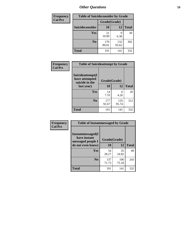| <b>Frequency</b> | <b>Table of Suicideconsider by Grade</b> |              |              |              |
|------------------|------------------------------------------|--------------|--------------|--------------|
| <b>Col Pct</b>   |                                          | Grade(Grade) |              |              |
|                  | <b>Suicideconsider</b>                   | <b>10</b>    | 12           | <b>Total</b> |
|                  | <b>Yes</b>                               | 21<br>10.99  | 9<br>6.38    | 30           |
|                  | N <sub>0</sub>                           | 170<br>89.01 | 132<br>93.62 | 302          |
|                  | <b>Total</b>                             | 191          | 141          | 332          |

| Frequency      | <b>Table of Suicideattempt by Grade</b>              |              |              |              |
|----------------|------------------------------------------------------|--------------|--------------|--------------|
| <b>Col Pct</b> | Suicideattempt(I<br>have attempted<br>suicide in the | Grade(Grade) |              |              |
|                | last year)                                           | 10           | 12           | <b>Total</b> |
|                | Yes                                                  | 14<br>7.33   | 6<br>4.26    | 20           |
|                | N <sub>0</sub>                                       | 177<br>92.67 | 135<br>95.74 | 312          |
|                | <b>Total</b>                                         | 191          | 141          | 332          |

| Frequency      | <b>Table of Instantmessaged by Grade</b>                       |              |              |              |
|----------------|----------------------------------------------------------------|--------------|--------------|--------------|
| <b>Col Pct</b> | <b>Instantmessaged</b> (I<br>have instant<br>messaged people I | Grade(Grade) |              |              |
|                | do not even know)                                              | 10           | 12           | <b>Total</b> |
|                | Yes                                                            | 54<br>28.27  | 35<br>24.82  | 89           |
|                | N <sub>0</sub>                                                 | 137<br>71.73 | 106<br>75.18 | 243          |
|                | <b>Total</b>                                                   | 191          | 141          | 332          |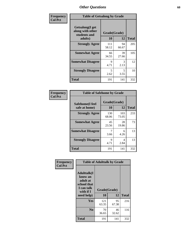| Frequency      | <b>Table of Getsalong by Grade</b>                  |                    |             |              |
|----------------|-----------------------------------------------------|--------------------|-------------|--------------|
| <b>Col Pct</b> | Getsalong(I get<br>along with other<br>students and | Grade(Grade)<br>10 |             | <b>Total</b> |
|                | adults)                                             |                    | 12          |              |
|                | <b>Strongly Agree</b>                               | 111<br>58.12       | 94<br>66.67 | 205          |
|                | <b>Somewhat Agree</b>                               | 66<br>34.55        | 39<br>27.66 | 105          |
|                | <b>Somewhat Disagree</b>                            | 9<br>4.71          | 3<br>2.13   | 12           |
|                | <b>Strongly Disagree</b>                            | 5<br>2.62          | 5<br>3.55   | 10           |
|                | <b>Total</b>                                        | 191                | 141         | 332          |

| <b>Frequency</b> |  |
|------------------|--|
| <b>Col Pct</b>   |  |

| <b>Table of Safehome by Grade</b> |                    |              |     |  |  |  |  |
|-----------------------------------|--------------------|--------------|-----|--|--|--|--|
| Safehome(I feel<br>safe at home)  | Grade(Grade)<br>10 | <b>Total</b> |     |  |  |  |  |
| <b>Strongly Agree</b>             | 130<br>68.06       | 103<br>73.05 | 233 |  |  |  |  |
| <b>Somewhat Agree</b>             | 45<br>23.56        | 28<br>19.86  | 73  |  |  |  |  |
| <b>Somewhat Disagree</b>          | 3.66               | 6<br>4.26    | 13  |  |  |  |  |
| <b>Strongly Disagree</b>          | 9<br>4.71          | Δ<br>2.84    | 13  |  |  |  |  |
| <b>Total</b>                      | 191                | 141          | 332 |  |  |  |  |

| Frequency      | <b>Table of Adulttalk by Grade</b>                                                   |              |             |              |  |  |  |  |
|----------------|--------------------------------------------------------------------------------------|--------------|-------------|--------------|--|--|--|--|
| <b>Col Pct</b> | <b>Adulttalk</b> (I<br>know an<br>adult at<br>school that<br>I can talk<br>with if I | Grade(Grade) |             |              |  |  |  |  |
|                | need help)                                                                           | 10           | 12          | <b>Total</b> |  |  |  |  |
|                | <b>Yes</b>                                                                           | 121<br>63.35 | 95<br>67.38 | 216          |  |  |  |  |
|                | N <sub>0</sub>                                                                       | 70<br>36.65  | 46<br>32.62 | 116          |  |  |  |  |
|                | <b>Total</b>                                                                         | 191          | 141         | 332          |  |  |  |  |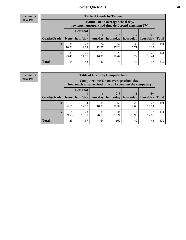**Frequency Row Pct**

r

| <b>Table of Grade by Tvtime</b> |             |                                                                                         |                     |                      |                                    |             |              |  |  |  |  |
|---------------------------------|-------------|-----------------------------------------------------------------------------------------|---------------------|----------------------|------------------------------------|-------------|--------------|--|--|--|--|
|                                 |             | Tytime (On an average school day,<br>how much unsupervised time do I spend watching TV) |                     |                      |                                    |             |              |  |  |  |  |
| Grade(Grade)   None             |             | <b>Less that</b>                                                                        | hour/day   hour/day | $2 - 3$<br>hours/day | $4 - 5$<br>  hours/day   hours/day | $6+$        | <b>Total</b> |  |  |  |  |
| <b>10</b>                       | 31<br>16.23 | 23<br>12.04                                                                             | 24<br>12.57         | 52<br>27.23          | 30<br>15.71                        | 31<br>16.23 | 191          |  |  |  |  |
| 12                              | 33<br>23.40 | 20<br>14.18                                                                             | 23<br>16.31         | 26<br>18.44          | 13<br>9.22                         | 26<br>18.44 | 141          |  |  |  |  |
| <b>Total</b>                    | 64          | 43                                                                                      | 47                  | 78                   | 43                                 | 57          | 332          |  |  |  |  |

**Frequency Row Pct**

| <b>Table of Grade by Computertime</b> |            |                                                                                                   |                     |                      |                      |                   |              |  |  |  |
|---------------------------------------|------------|---------------------------------------------------------------------------------------------------|---------------------|----------------------|----------------------|-------------------|--------------|--|--|--|
|                                       |            | Computertime (On an average school day,<br>how much unsupervised time do I spend on the computer) |                     |                      |                      |                   |              |  |  |  |
| Grade(Grade)                          |            | <b>Less that</b>                                                                                  | hour/day   hour/day | $2 - 3$<br>hours/day | $4 - 5$<br>hours/day | $6+$<br>hours/day | <b>Total</b> |  |  |  |
|                                       | None $ $   |                                                                                                   |                     |                      |                      |                   |              |  |  |  |
| 10                                    | 9<br>4.71  | 34<br>17.80                                                                                       | 35<br>18.32         | 58<br>30.37          | 28<br>14.66          | 27<br>14.14       | 191          |  |  |  |
| 12                                    | 14<br>9.93 | 23<br>16.31                                                                                       | 29<br>20.57         | 44<br>31.21          | 14<br>9.93           | 17<br>12.06       | 141          |  |  |  |
| <b>Total</b>                          | 23         | 57                                                                                                | 64                  | 102                  | 42                   | 44                | 332          |  |  |  |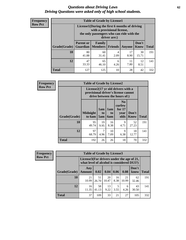#### *Questions about Driving Laws* **62** *Driving Questions were asked only of high school students.*

| <b>Frequency</b> |
|------------------|
| <b>Row Pct</b>   |

| <b>Table of Grade by License1</b> |                                     |                                                                                                                                           |                |            |               |              |  |  |  |
|-----------------------------------|-------------------------------------|-------------------------------------------------------------------------------------------------------------------------------------------|----------------|------------|---------------|--------------|--|--|--|
|                                   |                                     | License1(During the first 6 months of driving<br>with a provisional license,<br>the only passengers who can ride with the<br>driver are:) |                |            |               |              |  |  |  |
| Grade(Grade)                      | <b>Parent or</b><br><b>Guardian</b> | Family<br><b>Members</b>                                                                                                                  | <b>Friends</b> | Anyone     | Don't<br>Know | <b>Total</b> |  |  |  |
| 10                                | 80<br>41.88                         | 60<br>31.41                                                                                                                               | 4<br>2.09      | 17<br>8.90 | 30<br>15.71   | 191          |  |  |  |
| 12                                | 47<br>33.33                         | 65<br>46.10                                                                                                                               | 6<br>4.26      | 11<br>7.80 | 12<br>8.51    | 141          |  |  |  |
| <b>Total</b>                      | 127                                 | 125                                                                                                                                       | 10             | 28         | 42            | 332          |  |  |  |

| <b>Frequency</b> |              | <b>Table of Grade by License2</b>                                                                                    |                  |                                     |                                                      |               |              |  |
|------------------|--------------|----------------------------------------------------------------------------------------------------------------------|------------------|-------------------------------------|------------------------------------------------------|---------------|--------------|--|
| <b>Row Pct</b>   |              | License $2(17 \text{ yr})$ old drivers with a<br>provisional driver's license cannot<br>drive between the hours of:) |                  |                                     |                                                      |               |              |  |
|                  | Grade(Grade) | <b>Midnight</b><br>to 6am                                                                                            | 1am<br>to<br>5am | 1am<br>t <sub>0</sub><br><b>6am</b> | N <sub>0</sub><br>curfew<br>for $17$<br>vear<br>olds | Don't<br>Know | <b>Total</b> |  |
|                  | 10           | 95<br>49.74                                                                                                          | 19<br>9.95       | 16<br>8.38                          | 9<br>4.71                                            | 52<br>27.23   | 191          |  |
|                  | 12           | 97<br>68.79                                                                                                          | 7<br>4.96        | 10<br>7.09                          | 9<br>6.38                                            | 18<br>12.77   | 141          |  |
|                  | <b>Total</b> | 192                                                                                                                  | 26               | 26                                  | 18                                                   | 70            | 332          |  |

| Frequency      | <b>Table of Grade by License3</b> |                      |                                                                                        |             |            |             |               |              |  |
|----------------|-----------------------------------|----------------------|----------------------------------------------------------------------------------------|-------------|------------|-------------|---------------|--------------|--|
| <b>Row Pct</b> |                                   |                      | License3(For drivers under the age of 21,<br>what level of alcohol is considered DUI?) |             |            |             |               |              |  |
|                | Grade(Grade)                      | Any<br><b>Amount</b> | 0.02                                                                                   | 0.04        | 0.06       | 0.08        | Don't<br>know | <b>Total</b> |  |
|                | <b>10</b>                         | 21<br>10.99          | 51<br>26.70                                                                            | 20<br>10.47 | 16<br>8.38 | 21<br>10.99 | 62<br>32.46   | 191          |  |
|                | 12                                | 16<br>11.35          | 58<br>41.13                                                                            | 13<br>9.22  | 3.55       | 6<br>4.26   | 43<br>30.50   | 141          |  |
|                | <b>Total</b>                      | 37                   | 109                                                                                    | 33          | 21         | 27          | 105           | 332          |  |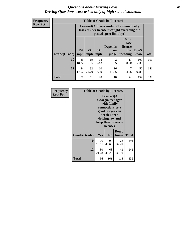#### *Questions about Driving Laws* **63** *Driving Questions were asked only of high school students.*

**Frequency Row Pct**

| <b>Table of Grade by License4</b> |                                                                                                                                                      |                                                                                                                      |            |                        |            |              |              |  |  |
|-----------------------------------|------------------------------------------------------------------------------------------------------------------------------------------------------|----------------------------------------------------------------------------------------------------------------------|------------|------------------------|------------|--------------|--------------|--|--|
|                                   |                                                                                                                                                      | License4(A driver under 21 automatically<br>loses his/her license if caught exceeding the<br>posted speet limit by:) |            |                        |            |              |              |  |  |
| Grade(Grade)                      | Can't<br>lose<br>license<br><b>Depends</b><br>$15+$<br>$25+$<br>$35+$<br>Don't<br>for<br><b>on</b><br>mph<br>mph<br>speeding<br>know<br>mph<br>judge |                                                                                                                      |            |                        |            |              | <b>Total</b> |  |  |
| 10                                | 35<br>18.32                                                                                                                                          | 19<br>9.95                                                                                                           | 18<br>9.42 | $\overline{2}$<br>1.05 | 17<br>8.90 | 100<br>52.36 | 191          |  |  |
| 12                                | 24<br>17.02                                                                                                                                          | 32<br>22.70                                                                                                          | 10<br>7.09 | 16<br>11.35            | 7<br>4.96  | 52<br>36.88  | 141          |  |  |
| <b>Total</b>                      | 59                                                                                                                                                   | 51                                                                                                                   | 28         | 18                     | 24         | 152          | 332          |  |  |

| Frequency      | <b>Table of Grade by License5</b> |                                                                                                                                                            |                |               |              |  |
|----------------|-----------------------------------|------------------------------------------------------------------------------------------------------------------------------------------------------------|----------------|---------------|--------------|--|
| <b>Row Pct</b> |                                   | License5(A<br>Georgia teenager<br>with family<br>connections or a<br>good lawyer can<br>break a teen<br>driving law and<br>keep their driver's<br>license) |                |               |              |  |
|                | Grade(Grade)                      | <b>Yes</b>                                                                                                                                                 | N <sub>0</sub> | Don't<br>know | <b>Total</b> |  |
|                | 10                                | 26<br>13.61                                                                                                                                                | 93<br>48.69    | 72<br>37.70   | 191          |  |
|                | 12                                | 30<br>21.28                                                                                                                                                | 68<br>48.23    | 43<br>30.50   | 141          |  |
|                | Total                             | 56                                                                                                                                                         | 161            | 115           | 332          |  |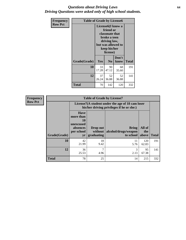### *Questions about Driving Laws* **64** *Driving Questions were asked only of high school students.*

| <b>Frequency</b> | <b>Table of Grade by License6</b> |                                                                                                                                                 |                |               |              |  |  |
|------------------|-----------------------------------|-------------------------------------------------------------------------------------------------------------------------------------------------|----------------|---------------|--------------|--|--|
| <b>Row Pct</b>   |                                   | License <sub>6</sub> (I know a<br>friend or<br>classmate that<br>broke a teen<br>driving law,<br>but was allowed to<br>keep his/her<br>license) |                |               |              |  |  |
|                  | Grade(Grade)                      | <b>Yes</b>                                                                                                                                      | N <sub>0</sub> | Don't<br>know | <b>Total</b> |  |  |
|                  | 10                                | 33<br>17.28                                                                                                                                     | 90<br>47.12    | 68<br>35.60   | 191          |  |  |
|                  | 12                                | 37<br>26.24                                                                                                                                     | 52<br>36.88    | 52<br>36.88   | 141          |  |  |
|                  | Total                             | 70                                                                                                                                              | 142            | 120           | 332          |  |  |

| <b>Frequency</b> | <b>Table of Grade by License7</b> |                                                                             |                                                                                               |                                            |                        |              |  |
|------------------|-----------------------------------|-----------------------------------------------------------------------------|-----------------------------------------------------------------------------------------------|--------------------------------------------|------------------------|--------------|--|
| <b>Row Pct</b>   |                                   |                                                                             | License7(A student under the age of 18 cam loser<br>his/her driving privileges if he or she:) |                                            |                        |              |  |
|                  | Grade(Grade)                      | <b>Have</b><br>more than<br>10<br>unexcused<br>absences<br>per school<br>yr | Drop out<br>without<br>graduating                                                             | Bring<br>alcohol/drugs/weapon<br>to school | All of<br>the<br>above | <b>Total</b> |  |
|                  | 10                                | 42<br>21.99                                                                 | 18<br>9.42                                                                                    | 11<br>5.76                                 | 120<br>62.83           | 191          |  |
|                  | 12                                | 36<br>25.53                                                                 | ⇁<br>4.96                                                                                     | 3<br>2.13                                  | 95<br>67.38            | 141          |  |
|                  | <b>Total</b>                      | 78                                                                          | 25                                                                                            | 14                                         | 215                    | 332          |  |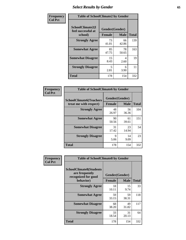# *Select Results by Gender* **65**

| Frequency      | <b>Table of SchoolClimate2 by Gender</b>          |                                 |             |              |
|----------------|---------------------------------------------------|---------------------------------|-------------|--------------|
| <b>Col Pct</b> | SchoolClimate2(I<br>feel successful at<br>school) | Gender(Gender)<br><b>Female</b> | <b>Male</b> | <b>Total</b> |
|                | <b>Strongly Agree</b>                             | 73<br>41.01                     | 66<br>42.86 | 139          |
|                | <b>Somewhat Agree</b>                             | 85<br>47.75                     | 78<br>50.65 | 163          |
|                | <b>Somewhat Disagree</b>                          | 15<br>8.43                      | 4<br>2.60   | 19           |
|                | <b>Strongly Disagree</b>                          | 5<br>2.81                       | 6<br>3.90   | 11           |
|                | <b>Total</b>                                      | 178                             | 154         | 332          |

| Frequency      | <b>Table of SchoolClimate6 by Gender</b>                 |               |                               |              |  |
|----------------|----------------------------------------------------------|---------------|-------------------------------|--------------|--|
| <b>Col Pct</b> | <b>SchoolClimate6(Teachers</b><br>treat me with respect) | <b>Female</b> | Gender(Gender)<br><b>Male</b> | <b>Total</b> |  |
|                | <b>Strongly Agree</b>                                    | 48<br>26.97   | 56<br>36.36                   | 104          |  |
|                | <b>Somewhat Agree</b>                                    | 90<br>50.56   | 61<br>39.61                   | 151          |  |
|                | <b>Somewhat Disagree</b>                                 | 31<br>17.42   | 23<br>14.94                   | 54           |  |
|                | <b>Strongly Disagree</b>                                 | 9<br>5.06     | 14<br>9.09                    | 23           |  |
|                | Total                                                    | 178           | 154                           | 332          |  |

| Frequency      | <b>Table of SchoolClimate8 by Gender</b>                                             |                                 |             |              |
|----------------|--------------------------------------------------------------------------------------|---------------------------------|-------------|--------------|
| <b>Col Pct</b> | <b>SchoolClimate8(Students</b><br>are frequently<br>recognized for good<br>behavior) | Gender(Gender)<br><b>Female</b> | <b>Male</b> | <b>Total</b> |
|                | <b>Strongly Agree</b>                                                                | 18<br>10.11                     | 15<br>9.74  | 33           |
|                | <b>Somewhat Agree</b>                                                                | 59<br>33.15                     | 59<br>38.31 | 118          |
|                | <b>Somewhat Disagree</b>                                                             | 68<br>38.20                     | 49<br>31.82 | 117          |
|                | <b>Strongly Disagree</b>                                                             | 33<br>18.54                     | 31<br>20.13 | 64           |
|                | Total                                                                                | 178                             | 154         | 332          |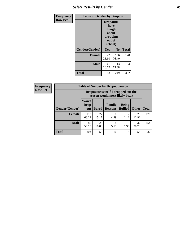# *Select Results by Gender* **66**

| Frequency      | <b>Table of Gender by Dropout</b> |                                                                        |                |              |
|----------------|-----------------------------------|------------------------------------------------------------------------|----------------|--------------|
| <b>Row Pct</b> |                                   | Dropout(I<br>have<br>thought<br>about<br>dropping<br>out of<br>school) |                |              |
|                | Gender(Gender)                    | Yes                                                                    | N <sub>0</sub> | <b>Total</b> |
|                | <b>Female</b>                     | 42<br>23.60                                                            | 136<br>76.40   | 178          |
|                | <b>Male</b>                       | 41<br>26.62                                                            | 113<br>73.38   | 154          |
|                | <b>Total</b>                      | 83                                                                     | 249            | 332          |

ï

| <b>Frequency</b> | <b>Table of Gender by Dropoutreason</b> |                                                                     |              |                          |                                |              |              |
|------------------|-----------------------------------------|---------------------------------------------------------------------|--------------|--------------------------|--------------------------------|--------------|--------------|
| <b>Row Pct</b>   |                                         | Dropoutreason (If I dropped out the<br>reason would most likely be) |              |                          |                                |              |              |
|                  | Gender(Gender)                          | Won't<br><b>Drop</b><br>out                                         | <b>Bored</b> | Family<br><b>Reasons</b> | <b>Being</b><br><b>Bullied</b> | <b>Other</b> | <b>Total</b> |
|                  | Female                                  | 118<br>66.29                                                        | 27<br>15.17  | 8<br>4.49                | 2<br>1.12                      | 23<br>12.92  | 178          |
|                  | <b>Male</b>                             | 85<br>55.19                                                         | 26<br>16.88  | 8<br>5.19                | 3<br>1.95                      | 32<br>20.78  | 154          |
|                  | <b>Total</b>                            | 203                                                                 | 53           | 16                       |                                | 55           | 332          |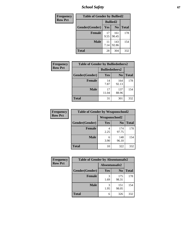*School Safety* **67**

| Frequency      | <b>Table of Gender by Bullied2</b> |                 |                |              |
|----------------|------------------------------------|-----------------|----------------|--------------|
| <b>Row Pct</b> |                                    | <b>Bullied2</b> |                |              |
|                | Gender(Gender)                     | Yes             | N <sub>0</sub> | <b>Total</b> |
|                | Female                             | 17<br>9.55      | 161<br>90.45   | 178          |
|                | <b>Male</b>                        | 11<br>7.14      | 143<br>92.86   | 154          |
|                | <b>Total</b>                       | 28              | 304            | 332          |

| Frequency      | <b>Table of Gender by Bulliedothers2</b> |                       |                |              |
|----------------|------------------------------------------|-----------------------|----------------|--------------|
| <b>Row Pct</b> |                                          | <b>Bulliedothers2</b> |                |              |
|                | Gender(Gender)                           | <b>Yes</b>            | N <sub>0</sub> | <b>Total</b> |
|                | <b>Female</b>                            | 14<br>7.87            | 164<br>92.13   | 178          |
|                | <b>Male</b>                              | 17<br>11.04           | 137<br>88.96   | 154          |
|                | <b>Total</b>                             | 31                    | 301            | 332          |

| Frequency      | <b>Table of Gender by Weaponschool2</b> |               |                |              |
|----------------|-----------------------------------------|---------------|----------------|--------------|
| <b>Row Pct</b> |                                         | Weaponschool2 |                |              |
|                | Gender(Gender)                          | Yes           | N <sub>0</sub> | <b>Total</b> |
|                | <b>Female</b>                           | 2.25          | 174<br>97.75   | 178          |
|                | <b>Male</b>                             | 6<br>3.90     | 148<br>96.10   | 154          |
|                | <b>Total</b>                            | 10            | 322            | 332          |

| Frequency      | <b>Table of Gender by Absentunsafe2</b> |               |                |              |
|----------------|-----------------------------------------|---------------|----------------|--------------|
| <b>Row Pct</b> |                                         | Absentunsafe2 |                |              |
|                | Gender(Gender)                          | Yes           | N <sub>0</sub> | <b>Total</b> |
|                | <b>Female</b>                           | 1.69          | 175<br>98.31   | 178          |
|                | <b>Male</b>                             | 1.95          | 151<br>98.05   | 154          |
|                | <b>Total</b>                            | 6             | 326            | 332          |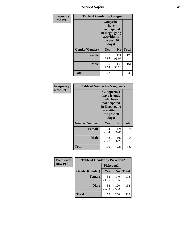*School Safety* **68**

| Frequency      | <b>Table of Gender by Gangself</b> |                                                                                                        |              |              |
|----------------|------------------------------------|--------------------------------------------------------------------------------------------------------|--------------|--------------|
| <b>Row Pct</b> |                                    | <b>Gangself</b> (I<br>have<br>participated<br>in illegal gang<br>activities in<br>the past 30<br>days) |              |              |
|                | Gender(Gender)                     | Yes                                                                                                    | No           | <b>Total</b> |
|                | <b>Female</b>                      | 7<br>3.93                                                                                              | 171<br>96.07 | 178          |
|                | <b>Male</b>                        | 15<br>9.74                                                                                             | 139<br>90.26 | 154          |
|                | <b>Total</b>                       | 22                                                                                                     | 310          | 332          |

| Frequency      | <b>Table of Gender by Gangpeers</b> |                                                                                                                             |                |              |  |
|----------------|-------------------------------------|-----------------------------------------------------------------------------------------------------------------------------|----------------|--------------|--|
| <b>Row Pct</b> |                                     | <b>Gangpeers</b> (I<br>have friends<br>who have<br>participated<br>in illegal gang<br>activities in<br>the past 30<br>days) |                |              |  |
|                | Gender(Gender)                      | Yes                                                                                                                         | N <sub>0</sub> | <b>Total</b> |  |
|                | <b>Female</b>                       | 54<br>30.34                                                                                                                 | 124<br>69.66   | 178          |  |
|                | <b>Male</b>                         | 52<br>33.77                                                                                                                 | 102<br>66.23   | 154          |  |
|                | Total                               | 106                                                                                                                         | 226            | 332          |  |

| Frequency      | <b>Table of Gender by Pickedon2</b> |             |                |              |
|----------------|-------------------------------------|-------------|----------------|--------------|
| <b>Row Pct</b> |                                     | Pickedon2   |                |              |
|                | Gender(Gender)                      | <b>Yes</b>  | N <sub>0</sub> | <b>Total</b> |
|                | <b>Female</b>                       | 38<br>21.35 | 140<br>78.65   | 178          |
|                | <b>Male</b>                         | 34<br>22.08 | 120<br>77.92   | 154          |
|                | <b>Total</b>                        | 72          | 260            | 332          |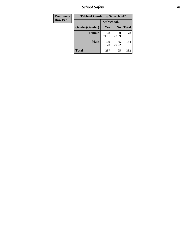*School Safety* **69**

| Frequency      | <b>Table of Gender by Safeschool2</b> |              |                |              |  |
|----------------|---------------------------------------|--------------|----------------|--------------|--|
| <b>Row Pct</b> |                                       | Safeschool2  |                |              |  |
|                | Gender(Gender)                        | <b>Yes</b>   | N <sub>0</sub> | <b>Total</b> |  |
|                | <b>Female</b>                         | 128<br>71.91 | 50<br>28.09    | 178          |  |
|                | <b>Male</b>                           | 109<br>70.78 | 45<br>29.22    | 154          |  |
|                | <b>Total</b>                          | 237          | 95             | 332          |  |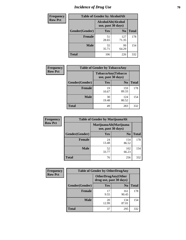# *Incidence of Drug Use* **70**

| <b>Frequency</b> | <b>Table of Gender by AlcoholAlt</b> |                                          |                |              |
|------------------|--------------------------------------|------------------------------------------|----------------|--------------|
| <b>Row Pct</b>   |                                      | AlcoholAlt(Alcohol<br>use, past 30 days) |                |              |
|                  | Gender(Gender)                       | Yes                                      | N <sub>0</sub> | <b>Total</b> |
|                  | <b>Female</b>                        | 51<br>28.65                              | 127<br>71.35   | 178          |
|                  | <b>Male</b>                          | 55<br>35.71                              | 99<br>64.29    | 154          |
|                  | <b>Total</b>                         | 106                                      | 226            | 332          |

| Frequency      | <b>Table of Gender by TobaccoAny</b> |                    |                    |              |  |
|----------------|--------------------------------------|--------------------|--------------------|--------------|--|
| <b>Row Pct</b> |                                      | use, past 30 days) | TobaccoAny(Tobacco |              |  |
|                | Gender(Gender)                       | Yes                | N <sub>0</sub>     | <b>Total</b> |  |
|                | <b>Female</b>                        | 19<br>10.67        | 159<br>89.33       | 178          |  |
|                | <b>Male</b>                          | 30<br>19.48        | 124<br>80.52       | 154          |  |
|                | <b>Total</b>                         | 49                 | 283                | 332          |  |

| <b>Frequency</b> | <b>Table of Gender by MarijuanaAlt</b> |             |                                              |              |
|------------------|----------------------------------------|-------------|----------------------------------------------|--------------|
| <b>Row Pct</b>   |                                        |             | MarijuanaAlt(Marijuana<br>use, past 30 days) |              |
|                  | Gender(Gender)                         | <b>Yes</b>  | N <sub>0</sub>                               | <b>Total</b> |
|                  | <b>Female</b>                          | 24<br>13.48 | 154<br>86.52                                 | 178          |
|                  | <b>Male</b>                            | 52<br>33.77 | 102<br>66.23                                 | 154          |
|                  | <b>Total</b>                           | 76          | 256                                          | 332          |

| <b>Frequency</b> | <b>Table of Gender by OtherDrugAny</b> |                                                       |                |              |
|------------------|----------------------------------------|-------------------------------------------------------|----------------|--------------|
| <b>Row Pct</b>   |                                        | <b>OtherDrugAny</b> (Other<br>drug use, past 30 days) |                |              |
|                  | Gender(Gender)                         | <b>Yes</b>                                            | N <sub>0</sub> | <b>Total</b> |
|                  | <b>Female</b>                          | 17<br>9.55                                            | 161<br>90.45   | 178          |
|                  | <b>Male</b>                            | 20<br>12.99                                           | 134<br>87.01   | 154          |
|                  | <b>Total</b>                           | 37                                                    | 295            | 332          |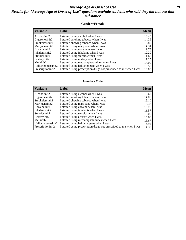### *Average Age at Onset of Use* **71** *Results for "Average Age at Onset of Use" questions exclude students who said they did not use that substance*

#### **Gender=Female**

| <b>Variable</b>    | Label                                                              | <b>Mean</b> |
|--------------------|--------------------------------------------------------------------|-------------|
| Alcoholinit2       | I started using alcohol when I was                                 | 13.40       |
| Cigarettesinit2    | I started smoking tobacco when I was                               | 14.29       |
| Smokelessinit2     | I started chewing tobacco when I was                               | 10.80       |
| Marijuanainit2     | I started using marijuana when I was                               | 14.31       |
| Cocaineinit2       | I started using cocaine when I was                                 | 11.75       |
| Inhalantsinit2     | I started using inhalants when I was                               | 12.29       |
| Steroidsinit2      | I started using steroids when I was                                | 11.67       |
| Ecstasyinit2       | I started using ecstasy when I was                                 | 11.25       |
| Methinit2          | I started using methamphetamines when I was                        | 14.00       |
| Hallucinogensinit2 | I started using hallucinogens when I was                           | 15.50       |
| Prescriptioninit2  | I started using prescription drugs not prescribed to me when I was | 13.80       |

#### **Gender=Male**

| <b>Variable</b>                 | Label                                                              | <b>Mean</b> |
|---------------------------------|--------------------------------------------------------------------|-------------|
| Alcoholinit2                    | I started using alcohol when I was                                 | 13.62       |
| Cigarettesinit2                 | I started smoking tobacco when I was                               | 14.00       |
| Smokelessinit2                  | I started chewing tobacco when I was                               | 15.10       |
| Marijuanainit2                  | I started using marijuana when I was                               | 13.36       |
| Cocaineinit2                    | I started using cocaine when I was                                 | 15.25       |
| Inhalantsinit2                  | I started using inhalants when I was                               | 11.57       |
| Steroidsinit2                   | I started using steroids when I was                                | 16.00       |
| Ecstasyinit2                    | I started using ecstasy when I was                                 | 15.60       |
| Methinit2                       | I started using methamphetamines when I was                        | 15.67       |
| Hallucinogensinit2              | I started using hallucinogens when I was                           | 14.94       |
| Prescription in it <sub>2</sub> | I started using prescription drugs not prescribed to me when I was | 14.32       |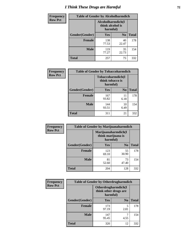# *I Think These Drugs are Harmful* **72**

| Frequency      | <b>Table of Gender by Alcoholharmdich</b> |                                                   |                |              |
|----------------|-------------------------------------------|---------------------------------------------------|----------------|--------------|
| <b>Row Pct</b> |                                           | Alcoholharmdich(I<br>think alcohol is<br>harmful) |                |              |
|                | Gender(Gender)                            | Yes                                               | N <sub>0</sub> | <b>Total</b> |
|                | <b>Female</b>                             | 138<br>77.53                                      | 40<br>22.47    | 178          |
|                | <b>Male</b>                               | 119<br>77.27                                      | 35<br>22.73    | 154          |
|                | <b>Total</b>                              | 257                                               | 75             | 332          |

| Frequency      | <b>Table of Gender by Tobaccoharmdich</b> |                                                   |                |              |
|----------------|-------------------------------------------|---------------------------------------------------|----------------|--------------|
| <b>Row Pct</b> |                                           | Tobaccoharmdich(I<br>think tobacco is<br>harmful) |                |              |
|                | Gender(Gender)                            | <b>Yes</b>                                        | N <sub>0</sub> | <b>Total</b> |
|                | <b>Female</b>                             | 167<br>93.82                                      | 11<br>6.18     | 178          |
|                | <b>Male</b>                               | 144<br>93.51                                      | 10<br>6.49     | 154          |
|                | <b>Total</b>                              | 311                                               | 21             | 332          |

| Frequency      | <b>Table of Gender by Marijuanaharmdich</b> |                                                       |                |              |  |
|----------------|---------------------------------------------|-------------------------------------------------------|----------------|--------------|--|
| <b>Row Pct</b> |                                             | Marijuanaharmdich(I<br>think marijuana is<br>harmful) |                |              |  |
|                | Gender(Gender)                              | <b>Yes</b>                                            | N <sub>0</sub> | <b>Total</b> |  |
|                | <b>Female</b>                               | 123<br>69.10                                          | 55<br>30.90    | 178          |  |
|                | <b>Male</b>                                 | 81<br>52.60                                           | 73<br>47.40    | 154          |  |
|                | <b>Total</b>                                | 204                                                   | 128            | 332          |  |

| Frequency      | <b>Table of Gender by Otherdrugharmdich</b> |                                                          |                |              |  |
|----------------|---------------------------------------------|----------------------------------------------------------|----------------|--------------|--|
| <b>Row Pct</b> |                                             | Otherdrugharmdich(I<br>think other drugs are<br>harmful) |                |              |  |
|                | Gender(Gender)                              | <b>Yes</b>                                               | N <sub>0</sub> | <b>Total</b> |  |
|                | <b>Female</b>                               | 173<br>97.19                                             | 5<br>2.81      | 178          |  |
|                | <b>Male</b>                                 | 147<br>95.45                                             | 4.55           | 154          |  |
|                | <b>Total</b>                                | 320                                                      | 12             | 332          |  |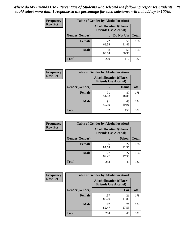| <b>Frequency</b> | <b>Table of Gender by Alcohollocation1</b> |                                                               |             |              |
|------------------|--------------------------------------------|---------------------------------------------------------------|-------------|--------------|
| <b>Row Pct</b>   |                                            | <b>Alcohollocation1(Places</b><br><b>Friends Use Alcohol)</b> |             |              |
|                  | Gender(Gender)                             |                                                               | Do Not Use  | <b>Total</b> |
|                  | <b>Female</b>                              | 122<br>68.54                                                  | 56<br>31.46 | 178          |
|                  | <b>Male</b>                                | 98<br>63.64                                                   | 56<br>36.36 | 154          |
|                  | <b>Total</b>                               | 220                                                           | 112         | 332          |

| <b>Frequency</b> | <b>Table of Gender by Alcohollocation2</b> |             |                                                               |              |
|------------------|--------------------------------------------|-------------|---------------------------------------------------------------|--------------|
| <b>Row Pct</b>   |                                            |             | <b>Alcohollocation2(Places</b><br><b>Friends Use Alcohol)</b> |              |
|                  | Gender(Gender)                             |             | Home                                                          | <b>Total</b> |
|                  | <b>Female</b>                              | 91<br>51.12 | 87<br>48.88                                                   | 178          |
|                  | <b>Male</b>                                | 91<br>59.09 | 63<br>40.91                                                   | 154          |
|                  | <b>Total</b>                               | 182         | 150                                                           | 332          |

| Frequency      | <b>Table of Gender by Alcohollocation3</b> |                                                               |               |              |
|----------------|--------------------------------------------|---------------------------------------------------------------|---------------|--------------|
| <b>Row Pct</b> |                                            | <b>Alcohollocation3(Places</b><br><b>Friends Use Alcohol)</b> |               |              |
|                | Gender(Gender)                             |                                                               | <b>School</b> | <b>Total</b> |
|                | <b>Female</b>                              | 156<br>87.64                                                  | 22<br>12.36   | 178          |
|                | <b>Male</b>                                | 127<br>82.47                                                  | 27<br>17.53   | 154          |
|                | <b>Total</b>                               | 283                                                           | 49            | 332          |

| <b>Frequency</b> |                | <b>Table of Gender by Alcohollocation4</b>                    |             |              |  |
|------------------|----------------|---------------------------------------------------------------|-------------|--------------|--|
| <b>Row Pct</b>   |                | <b>Alcohollocation4(Places</b><br><b>Friends Use Alcohol)</b> |             |              |  |
|                  | Gender(Gender) |                                                               | Car         | <b>Total</b> |  |
|                  | <b>Female</b>  | 157<br>88.20                                                  | 21<br>11.80 | 178          |  |
|                  | <b>Male</b>    | 127<br>82.47                                                  | 27<br>17.53 | 154          |  |
|                  | <b>Total</b>   | 284                                                           | 48          | 332          |  |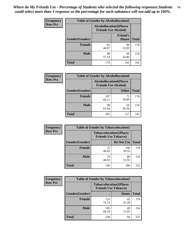| <b>Frequency</b> |                | <b>Table of Gender by Alcohollocation5</b>                    |                                 |              |
|------------------|----------------|---------------------------------------------------------------|---------------------------------|--------------|
| <b>Row Pct</b>   |                | <b>Alcohollocation5(Places</b><br><b>Friends Use Alcohol)</b> |                                 |              |
|                  | Gender(Gender) | $\bullet$                                                     | <b>Friend's</b><br><b>House</b> | <b>Total</b> |
|                  | <b>Female</b>  | 82<br>46.07                                                   | 96<br>53.93                     | 178          |
|                  | <b>Male</b>    | 88<br>57.14                                                   | 66<br>42.86                     | 154          |
|                  | <b>Total</b>   | 170                                                           | 162                             | 332          |

| Frequency      | <b>Table of Gender by Alcohollocation6</b> |                                                               |              |              |
|----------------|--------------------------------------------|---------------------------------------------------------------|--------------|--------------|
| <b>Row Pct</b> |                                            | <b>Alcohollocation6(Places</b><br><b>Friends Use Alcohol)</b> |              |              |
|                | Gender(Gender)                             |                                                               | <b>Other</b> | <b>Total</b> |
|                | <b>Female</b>                              | 107<br>60.11                                                  | 71<br>39.89  | 178          |
|                | <b>Male</b>                                | 98<br>63.64                                                   | 56<br>36.36  | 154          |
|                | <b>Total</b>                               | 205                                                           | 127          | 332          |

| Frequency      | <b>Table of Gender by Tobaccolocation1</b> |                                                               |              |              |  |
|----------------|--------------------------------------------|---------------------------------------------------------------|--------------|--------------|--|
| <b>Row Pct</b> |                                            | <b>Tobaccolocation1(Places</b><br><b>Friends Use Tobacco)</b> |              |              |  |
|                | Gender(Gender)                             |                                                               | Do Not Use   | <b>Total</b> |  |
|                | <b>Female</b>                              | 72<br>40.45                                                   | 106<br>59.55 | 178          |  |
|                | <b>Male</b>                                | 74<br>48.05                                                   | 80<br>51.95  | 154          |  |
|                | <b>Total</b>                               | 146                                                           | 186          | 332          |  |

| <b>Frequency</b> | <b>Table of Gender by Tobaccolocation2</b> |                                                               |             |              |
|------------------|--------------------------------------------|---------------------------------------------------------------|-------------|--------------|
| <b>Row Pct</b>   |                                            | <b>Tobaccolocation2(Places</b><br><b>Friends Use Tobacco)</b> |             |              |
|                  | Gender(Gender)                             |                                                               | Home        | <b>Total</b> |
|                  | Female                                     | 133<br>74.72                                                  | 45<br>25.28 | 178          |
|                  | <b>Male</b>                                | 105<br>68.18                                                  | 49<br>31.82 | 154          |
|                  | <b>Total</b>                               | 238                                                           | 94          | 332          |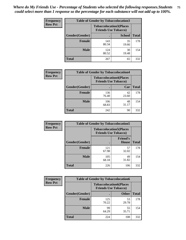| <b>Frequency</b> | <b>Table of Gender by Tobaccolocation3</b> |              |                                                               |              |
|------------------|--------------------------------------------|--------------|---------------------------------------------------------------|--------------|
| <b>Row Pct</b>   |                                            |              | <b>Tobaccolocation3(Places</b><br><b>Friends Use Tobacco)</b> |              |
|                  | Gender(Gender)                             |              | <b>School</b>                                                 | <b>Total</b> |
|                  | <b>Female</b>                              | 143<br>80.34 | 35<br>19.66                                                   | 178          |
|                  | <b>Male</b>                                | 124<br>80.52 | 30<br>19.48                                                   | 154          |
|                  | Total                                      | 267          | 65                                                            | 332          |

| <b>Frequency</b> | <b>Table of Gender by Tobaccolocation4</b> |                             |                                |              |
|------------------|--------------------------------------------|-----------------------------|--------------------------------|--------------|
| <b>Row Pct</b>   |                                            | <b>Friends Use Tobacco)</b> | <b>Tobaccolocation4(Places</b> |              |
|                  | Gender(Gender)                             |                             | Car                            | <b>Total</b> |
|                  | <b>Female</b>                              | 136<br>76.40                | 42<br>23.60                    | 178          |
|                  | <b>Male</b>                                | 106<br>68.83                | 48<br>31.17                    | 154          |
|                  | <b>Total</b>                               | 242                         | 90                             | 332          |

| <b>Frequency</b> | <b>Table of Gender by Tobaccolocation5</b> |                                                               |                                 |              |
|------------------|--------------------------------------------|---------------------------------------------------------------|---------------------------------|--------------|
| <b>Row Pct</b>   |                                            | <b>Tobaccolocation5(Places</b><br><b>Friends Use Tobacco)</b> |                                 |              |
|                  | Gender(Gender)                             |                                                               | <b>Friend's</b><br><b>House</b> | <b>Total</b> |
|                  | <b>Female</b>                              | 121<br>67.98                                                  | 57<br>32.02                     | 178          |
|                  | <b>Male</b>                                | 105<br>68.18                                                  | 49<br>31.82                     | 154          |
|                  | <b>Total</b>                               | 226                                                           | 106                             | 332          |

| <b>Frequency</b> | <b>Table of Gender by Tobaccolocation6</b> |                                                               |              |              |
|------------------|--------------------------------------------|---------------------------------------------------------------|--------------|--------------|
| <b>Row Pct</b>   |                                            | <b>Tobaccolocation6(Places</b><br><b>Friends Use Tobacco)</b> |              |              |
|                  | Gender(Gender)                             |                                                               | <b>Other</b> | <b>Total</b> |
|                  | Female                                     | 125<br>70.22                                                  | 53<br>29.78  | 178          |
|                  | <b>Male</b>                                | 99<br>64.29                                                   | 55<br>35.71  | 154          |
|                  | <b>Total</b>                               | 224                                                           | 108          | 332          |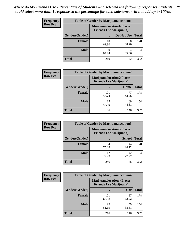| <b>Frequency</b> | <b>Table of Gender by Marijuanalocation1</b> |                                |                                  |              |
|------------------|----------------------------------------------|--------------------------------|----------------------------------|--------------|
| <b>Row Pct</b>   |                                              | <b>Friends Use Marijuana</b> ) | <b>Marijuanalocation1(Places</b> |              |
|                  | Gender(Gender)                               |                                | Do Not Use                       | <b>Total</b> |
|                  | <b>Female</b>                                | 110<br>61.80                   | 68<br>38.20                      | 178          |
|                  | <b>Male</b>                                  | 100<br>64.94                   | 54<br>35.06                      | 154          |
|                  | Total                                        | 210                            | 122                              | 332          |

| <b>Frequency</b> | <b>Table of Gender by Marijuanalocation2</b> |                                |                                   |              |
|------------------|----------------------------------------------|--------------------------------|-----------------------------------|--------------|
| <b>Row Pct</b>   |                                              | <b>Friends Use Marijuana</b> ) | <b>Marijuanalocation2(Places)</b> |              |
|                  | Gender(Gender)                               |                                | Home                              | <b>Total</b> |
|                  | <b>Female</b>                                | 101<br>56.74                   | 77<br>43.26                       | 178          |
|                  | <b>Male</b>                                  | 85<br>55.19                    | 69<br>44.81                       | 154          |
|                  | Total                                        | 186                            | 146                               | 332          |

| Frequency      | <b>Table of Gender by Marijuanalocation3</b> |              |                                                                    |              |  |
|----------------|----------------------------------------------|--------------|--------------------------------------------------------------------|--------------|--|
| <b>Row Pct</b> |                                              |              | <b>Marijuanalocation3(Places</b><br><b>Friends Use Marijuana</b> ) |              |  |
|                | Gender(Gender)                               |              | <b>School</b>                                                      | <b>Total</b> |  |
|                | Female                                       | 134<br>75.28 | 44<br>24.72                                                        | 178          |  |
|                | <b>Male</b>                                  | 112<br>72.73 | 42<br>27.27                                                        | 154          |  |
|                | <b>Total</b>                                 | 246          | 86                                                                 | 332          |  |

| <b>Frequency</b> | <b>Table of Gender by Marijuanalocation4</b> |                                                                    |             |              |
|------------------|----------------------------------------------|--------------------------------------------------------------------|-------------|--------------|
| <b>Row Pct</b>   |                                              | <b>Marijuanalocation4(Places</b><br><b>Friends Use Marijuana</b> ) |             |              |
|                  | Gender(Gender)                               |                                                                    | Car         | <b>Total</b> |
|                  | Female                                       | 121<br>67.98                                                       | 57<br>32.02 | 178          |
|                  | <b>Male</b>                                  | 95<br>61.69                                                        | 59<br>38.31 | 154          |
|                  | <b>Total</b>                                 | 216                                                                | 116         | 332          |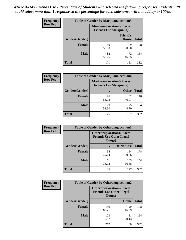| <b>Frequency</b> | <b>Table of Gender by Marijuanalocation5</b> |                                                                     |                                 |              |
|------------------|----------------------------------------------|---------------------------------------------------------------------|---------------------------------|--------------|
| <b>Row Pct</b>   |                                              | <b>Marijuanalocation5</b> (Places<br><b>Friends Use Marijuana</b> ) |                                 |              |
|                  | Gender(Gender)                               |                                                                     | <b>Friend's</b><br><b>House</b> | <b>Total</b> |
|                  | <b>Female</b>                                | 89<br>50.00                                                         | 89<br>50.00                     | 178          |
|                  | <b>Male</b>                                  | 82<br>53.25                                                         | 72<br>46.75                     | 154          |
|                  | <b>Total</b>                                 | 171                                                                 | 161                             | 332          |

| <b>Frequency</b> | <b>Table of Gender by Marijuanalocation6</b> |                                |                                  |              |
|------------------|----------------------------------------------|--------------------------------|----------------------------------|--------------|
| <b>Row Pct</b>   |                                              | <b>Friends Use Marijuana</b> ) | <b>Marijuanalocation6(Places</b> |              |
|                  | <b>Gender</b> (Gender)                       |                                | <b>Other</b>                     | <b>Total</b> |
|                  | Female                                       | 96<br>53.93                    | 82<br>46.07                      | 178          |
|                  | <b>Male</b>                                  | 79<br>51.30                    | 75<br>48.70                      | 154          |
|                  | Total                                        | 175                            | 157                              | 332          |

| Frequency      | <b>Table of Gender by Otherdruglocation1</b> |                                                                                |              |              |
|----------------|----------------------------------------------|--------------------------------------------------------------------------------|--------------|--------------|
| <b>Row Pct</b> |                                              | <b>Otherdruglocation1(Places</b><br><b>Friends Use Other Illegal</b><br>Drugs) |              |              |
|                | Gender(Gender)                               |                                                                                | Do Not Use   | <b>Total</b> |
|                | Female                                       | 54<br>30.34                                                                    | 124<br>69.66 | 178          |
|                | <b>Male</b>                                  | 51<br>33.12                                                                    | 103<br>66.88 | 154          |
|                | <b>Total</b>                                 | 105                                                                            | 227          | 332          |

| <b>Frequency</b> | <b>Table of Gender by Otherdruglocation2</b> |                                            |                                  |              |
|------------------|----------------------------------------------|--------------------------------------------|----------------------------------|--------------|
| <b>Row Pct</b>   |                                              | <b>Friends Use Other Illegal</b><br>Drugs) | <b>Otherdruglocation2(Places</b> |              |
|                  | Gender(Gender)                               |                                            | Home                             | <b>Total</b> |
|                  | Female                                       | 149<br>83.71                               | 29<br>16.29                      | 178          |
|                  | <b>Male</b>                                  | 123<br>79.87                               | 31<br>20.13                      | 154          |
|                  | <b>Total</b>                                 | 272                                        | 60                               | 332          |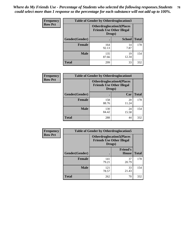| <b>Frequency</b> | <b>Table of Gender by Otherdruglocation3</b> |                                                                                |               |              |
|------------------|----------------------------------------------|--------------------------------------------------------------------------------|---------------|--------------|
| <b>Row Pct</b>   |                                              | <b>Otherdruglocation3(Places</b><br><b>Friends Use Other Illegal</b><br>Drugs) |               |              |
|                  | Gender(Gender)                               |                                                                                | <b>School</b> | <b>Total</b> |
|                  | <b>Female</b>                                | 164<br>92.13                                                                   | 14<br>7.87    | 178          |
|                  | <b>Male</b>                                  | 135<br>87.66                                                                   | 19<br>12.34   | 154          |
|                  | <b>Total</b>                                 | 299                                                                            | 33            | 332          |

| <b>Frequency</b> | <b>Table of Gender by Otherdruglocation4</b> |                                                                                |             |              |
|------------------|----------------------------------------------|--------------------------------------------------------------------------------|-------------|--------------|
| <b>Row Pct</b>   |                                              | <b>Otherdruglocation4(Places</b><br><b>Friends Use Other Illegal</b><br>Drugs) |             |              |
|                  | Gender(Gender)                               |                                                                                | Car         | <b>Total</b> |
|                  | <b>Female</b>                                | 158<br>88.76                                                                   | 20<br>11.24 | 178          |
|                  | <b>Male</b>                                  | 130<br>84.42                                                                   | 24<br>15.58 | 154          |
|                  | <b>Total</b>                                 | 288                                                                            | 44          | 332          |

| <b>Frequency</b> | <b>Table of Gender by Otherdruglocation5</b> |              |                                                                      |              |
|------------------|----------------------------------------------|--------------|----------------------------------------------------------------------|--------------|
| <b>Row Pct</b>   |                                              | Drugs)       | <b>Otherdruglocation5(Places</b><br><b>Friends Use Other Illegal</b> |              |
|                  | Gender(Gender)                               |              | <b>Friend's</b><br><b>House</b>                                      | <b>Total</b> |
|                  | <b>Female</b>                                | 141<br>79.21 | 37<br>20.79                                                          | 178          |
|                  | <b>Male</b>                                  | 121<br>78.57 | 33<br>21.43                                                          | 154          |
|                  | <b>Total</b>                                 | 262          | 70                                                                   | 332          |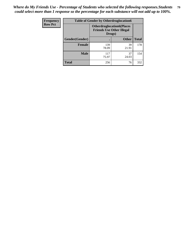| Frequency      | <b>Table of Gender by Otherdruglocation6</b> |                                            |                                  |              |
|----------------|----------------------------------------------|--------------------------------------------|----------------------------------|--------------|
| <b>Row Pct</b> |                                              | <b>Friends Use Other Illegal</b><br>Drugs) | <b>Otherdruglocation6(Places</b> |              |
|                | Gender(Gender)                               |                                            | <b>Other</b>                     | <b>Total</b> |
|                | <b>Female</b>                                | 139<br>78.09                               | 39<br>21.91                      | 178          |
|                | <b>Male</b>                                  | 117<br>75.97                               | 37<br>24.03                      | 154          |
|                | <b>Total</b>                                 | 256                                        | 76                               | 332          |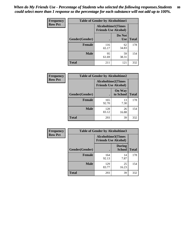| <b>Frequency</b> | <b>Table of Gender by Alcoholtime1</b> |                                                          |                      |              |
|------------------|----------------------------------------|----------------------------------------------------------|----------------------|--------------|
| <b>Row Pct</b>   |                                        | <b>Alcoholtime1(Times</b><br><b>Friends Use Alcohol)</b> |                      |              |
|                  | Gender(Gender)                         | $\bullet$                                                | Do Not<br><b>Use</b> | <b>Total</b> |
|                  | <b>Female</b>                          | 116<br>65.17                                             | 62<br>34.83          | 178          |
|                  | <b>Male</b>                            | 95<br>61.69                                              | 59<br>38.31          | 154          |
|                  | <b>Total</b>                           | 211                                                      | 121                  | 332          |

| <b>Frequency</b> | <b>Table of Gender by Alcoholtime2</b> |              |                                                          |              |
|------------------|----------------------------------------|--------------|----------------------------------------------------------|--------------|
| <b>Row Pct</b>   |                                        |              | <b>Alcoholtime2(Times</b><br><b>Friends Use Alcohol)</b> |              |
|                  | Gender(Gender)                         |              | <b>On Way</b><br>to School                               | <b>Total</b> |
|                  | <b>Female</b>                          | 165<br>92.70 | 13<br>7.30                                               | 178          |
|                  | <b>Male</b>                            | 128<br>83.12 | 26<br>16.88                                              | 154          |
|                  | <b>Total</b>                           | 293          | 39                                                       | 332          |

| Frequency      | <b>Table of Gender by Alcoholtime3</b> |                                                          |                                |              |
|----------------|----------------------------------------|----------------------------------------------------------|--------------------------------|--------------|
| <b>Row Pct</b> |                                        | <b>Alcoholtime3(Times</b><br><b>Friends Use Alcohol)</b> |                                |              |
|                | Gender(Gender)                         |                                                          | <b>During</b><br><b>School</b> | <b>Total</b> |
|                | <b>Female</b>                          | 164<br>92.13                                             | 14<br>7.87                     | 178          |
|                | <b>Male</b>                            | 129<br>83.77                                             | 25<br>16.23                    | 154          |
|                | <b>Total</b>                           | 293                                                      | 39                             | 332          |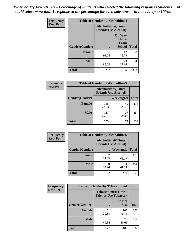*When do My Friends Use - Percentage of Students who selected the following responses.Students could select more than 1 response so the percentage for each substance will not add up to 100%.* **81**

| <b>Frequency</b> | <b>Table of Gender by Alcoholtime4</b> |                                                          |                                                |              |
|------------------|----------------------------------------|----------------------------------------------------------|------------------------------------------------|--------------|
| <b>Row Pct</b>   |                                        | <b>Alcoholtime4(Times</b><br><b>Friends Use Alcohol)</b> |                                                |              |
|                  | Gender(Gender)                         |                                                          | <b>On Way</b><br>Home<br>From<br><b>School</b> | <b>Total</b> |
|                  | <b>Female</b>                          | 166<br>93.26                                             | 12<br>6.74                                     | 178          |
|                  | <b>Male</b>                            | 131<br>85.06                                             | 23<br>14.94                                    | 154          |
|                  | <b>Total</b>                           | 297                                                      | 35                                             | 332          |

| <b>Frequency</b> | <b>Table of Gender by Alcoholtime5</b> |                                                           |             |              |
|------------------|----------------------------------------|-----------------------------------------------------------|-------------|--------------|
| <b>Row Pct</b>   |                                        | <b>Alcoholtime5</b> (Times<br><b>Friends Use Alcohol)</b> |             |              |
|                  | Gender(Gender)                         |                                                           | Weeknights  | <b>Total</b> |
|                  | <b>Female</b>                          | 138<br>77.53                                              | 40<br>22.47 | 178          |
|                  | <b>Male</b>                            | 117<br>75.97                                              | 37<br>24.03 | 154          |
|                  | <b>Total</b>                           | 255                                                       | 77          | 332          |

| <b>Frequency</b> | <b>Table of Gender by Alcoholtime6</b> |             |                                                          |              |
|------------------|----------------------------------------|-------------|----------------------------------------------------------|--------------|
| <b>Row Pct</b>   |                                        |             | <b>Alcoholtime6(Times</b><br><b>Friends Use Alcohol)</b> |              |
|                  | Gender(Gender)                         |             | <b>Weekends</b>                                          | <b>Total</b> |
|                  | <b>Female</b>                          | 62<br>34.83 | 116<br>65.17                                             | 178          |
|                  | <b>Male</b>                            | 60<br>38.96 | 94<br>61.04                                              | 154          |
|                  | <b>Total</b>                           | 122         | 210                                                      | 332          |

| <b>Frequency</b> | <b>Table of Gender by Tobaccotime1</b> |                                                          |                      |              |
|------------------|----------------------------------------|----------------------------------------------------------|----------------------|--------------|
| <b>Row Pct</b>   |                                        | <b>Tobaccotime1(Times</b><br><b>Friends Use Tobacco)</b> |                      |              |
|                  | Gender(Gender)                         |                                                          | Do Not<br><b>Use</b> | <b>Total</b> |
|                  | <b>Female</b>                          | 71<br>39.89                                              | 107<br>60.11         | 178          |
|                  | <b>Male</b>                            | 76<br>49.35                                              | 78<br>50.65          | 154          |
|                  | <b>Total</b>                           | 147                                                      | 185                  | 332          |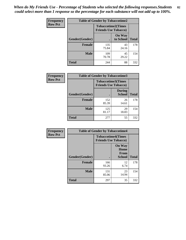*When do My Friends Use - Percentage of Students who selected the following responses.Students could select more than 1 response so the percentage for each substance will not add up to 100%.* **82**

| <b>Frequency</b> | <b>Table of Gender by Tobaccotime2</b> |                                                          |                            |              |
|------------------|----------------------------------------|----------------------------------------------------------|----------------------------|--------------|
| <b>Row Pct</b>   |                                        | <b>Tobaccotime2(Times</b><br><b>Friends Use Tobacco)</b> |                            |              |
|                  | Gender(Gender)                         | $\bullet$                                                | <b>On Way</b><br>to School | <b>Total</b> |
|                  | Female                                 | 135<br>75.84                                             | 43<br>24.16                | 178          |
|                  | <b>Male</b>                            | 109<br>70.78                                             | 45<br>29.22                | 154          |
|                  | <b>Total</b>                           | 244                                                      | 88                         | 332          |

| Frequency      | <b>Table of Gender by Tobaccotime3</b> |                                                          |                                |              |
|----------------|----------------------------------------|----------------------------------------------------------|--------------------------------|--------------|
| <b>Row Pct</b> |                                        | <b>Tobaccotime3(Times</b><br><b>Friends Use Tobacco)</b> |                                |              |
|                | Gender(Gender)                         |                                                          | <b>During</b><br><b>School</b> | <b>Total</b> |
|                | Female                                 | 152<br>85.39                                             | 26<br>14.61                    | 178          |
|                | <b>Male</b>                            | 125<br>81.17                                             | 29<br>18.83                    | 154          |
|                | <b>Total</b>                           | 277                                                      | 55                             | 332          |

| <b>Frequency</b> | <b>Table of Gender by Tobaccotime4</b> |                                                          |                                                |              |
|------------------|----------------------------------------|----------------------------------------------------------|------------------------------------------------|--------------|
| <b>Row Pct</b>   |                                        | <b>Tobaccotime4(Times</b><br><b>Friends Use Tobacco)</b> |                                                |              |
|                  | Gender(Gender)                         |                                                          | <b>On Way</b><br>Home<br>From<br><b>School</b> | <b>Total</b> |
|                  | <b>Female</b>                          | 166<br>93.26                                             | 12<br>6.74                                     | 178          |
|                  | <b>Male</b>                            | 131<br>85.06                                             | 23<br>14.94                                    | 154          |
|                  | <b>Total</b>                           | 297                                                      | 35                                             | 332          |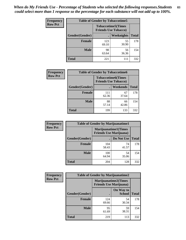| Frequency      | <b>Table of Gender by Tobaccotime5</b> |              |                                                           |              |
|----------------|----------------------------------------|--------------|-----------------------------------------------------------|--------------|
| <b>Row Pct</b> |                                        |              | <b>Tobaccotime5</b> (Times<br><b>Friends Use Tobacco)</b> |              |
|                | Gender(Gender)                         |              | Weeknights                                                | <b>Total</b> |
|                | <b>Female</b>                          | 123<br>69.10 | 55<br>30.90                                               | 178          |
|                | <b>Male</b>                            | 98<br>63.64  | 56<br>36.36                                               | 154          |
|                | <b>Total</b>                           | 221          | 111                                                       | 332          |

| <b>Frequency</b> |                | <b>Table of Gender by Tobaccotime6</b>                   |                 |              |
|------------------|----------------|----------------------------------------------------------|-----------------|--------------|
| <b>Row Pct</b>   |                | <b>Tobaccotime6(Times</b><br><b>Friends Use Tobacco)</b> |                 |              |
|                  | Gender(Gender) |                                                          | <b>Weekends</b> | <b>Total</b> |
|                  | Female         | 111<br>62.36                                             | 67<br>37.64     | 178          |
|                  | <b>Male</b>    | 88<br>57.14                                              | 66<br>42.86     | 154          |
|                  | <b>Total</b>   | 199                                                      | 133             | 332          |

| <b>Frequency</b> | <b>Table of Gender by Marijuanatime1</b> |                                                               |             |              |  |
|------------------|------------------------------------------|---------------------------------------------------------------|-------------|--------------|--|
| <b>Row Pct</b>   |                                          | <b>Marijuanatime1(Times</b><br><b>Friends Use Marijuana</b> ) |             |              |  |
|                  | Gender(Gender)                           |                                                               | Do Not Use  | <b>Total</b> |  |
|                  | <b>Female</b>                            | 104<br>58.43                                                  | 74<br>41.57 | 178          |  |
|                  | <b>Male</b>                              | 100<br>64.94                                                  | 54<br>35.06 | 154          |  |
|                  | <b>Total</b>                             | 204                                                           | 128         | 332          |  |

| <b>Frequency</b> | <b>Table of Gender by Marijuanatime2</b> |                                                               |                            |              |
|------------------|------------------------------------------|---------------------------------------------------------------|----------------------------|--------------|
| <b>Row Pct</b>   |                                          | <b>Marijuanatime2(Times</b><br><b>Friends Use Marijuana</b> ) |                            |              |
|                  | Gender(Gender)                           |                                                               | On Way to<br><b>School</b> | <b>Total</b> |
|                  | <b>Female</b>                            | 124<br>69.66                                                  | 54<br>30.34                | 178          |
|                  | <b>Male</b>                              | 95<br>61.69                                                   | 59<br>38.31                | 154          |
|                  | <b>Total</b>                             | 219                                                           | 113                        | 332          |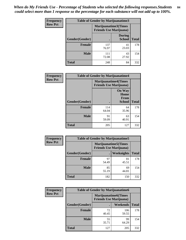*When do My Friends Use - Percentage of Students who selected the following responses.Students could select more than 1 response so the percentage for each substance will not add up to 100%.* **84**

| <b>Frequency</b> | Table of Gender by Marijuanatime3 |                                                        |                                |              |
|------------------|-----------------------------------|--------------------------------------------------------|--------------------------------|--------------|
| <b>Row Pct</b>   |                                   | Marijuanatime3(Times<br><b>Friends Use Marijuana</b> ) |                                |              |
|                  | Gender(Gender)                    |                                                        | <b>During</b><br><b>School</b> | <b>Total</b> |
|                  | <b>Female</b>                     | 137<br>76.97                                           | 41<br>23.03                    | 178          |
|                  | <b>Male</b>                       | 111<br>72.08                                           | 43<br>27.92                    | 154          |
|                  | <b>Total</b>                      | 248                                                    | 84                             | 332          |

| Frequency      | <b>Table of Gender by Marijuanatime4</b> |                                                               |                                                |              |
|----------------|------------------------------------------|---------------------------------------------------------------|------------------------------------------------|--------------|
| <b>Row Pct</b> |                                          | <b>Marijuanatime4(Times</b><br><b>Friends Use Marijuana</b> ) |                                                |              |
|                | Gender(Gender)                           |                                                               | <b>On Way</b><br>Home<br>From<br><b>School</b> | <b>Total</b> |
|                | <b>Female</b>                            | 114<br>64.04                                                  | 64<br>35.96                                    | 178          |
|                | <b>Male</b>                              | 91<br>59.09                                                   | 63<br>40.91                                    | 154          |
|                | <b>Total</b>                             | 205                                                           | 127                                            | 332          |

| Frequency      | <b>Table of Gender by Marijuanatime5</b> |             |                                                                |              |  |
|----------------|------------------------------------------|-------------|----------------------------------------------------------------|--------------|--|
| <b>Row Pct</b> |                                          |             | <b>Marijuanatime5</b> (Times<br><b>Friends Use Marijuana</b> ) |              |  |
|                | Gender(Gender)                           |             | Weeknights                                                     | <b>Total</b> |  |
|                | <b>Female</b>                            | 97<br>54.49 | 81<br>45.51                                                    | 178          |  |
|                | <b>Male</b>                              | 85<br>55.19 | 69<br>44.81                                                    | 154          |  |
|                | <b>Total</b>                             | 182         | 150                                                            | 332          |  |

| Frequency      | <b>Table of Gender by Marijuanatime6</b> |                                                               |                 |              |  |
|----------------|------------------------------------------|---------------------------------------------------------------|-----------------|--------------|--|
| <b>Row Pct</b> |                                          | <b>Marijuanatime6(Times</b><br><b>Friends Use Marijuana</b> ) |                 |              |  |
|                | Gender(Gender)                           |                                                               | <b>Weekends</b> | <b>Total</b> |  |
|                | <b>Female</b>                            | 72<br>40.45                                                   | 106<br>59.55    | 178          |  |
|                | <b>Male</b>                              | 55<br>35.71                                                   | 99<br>64.29     | 154          |  |
|                | <b>Total</b>                             | 127                                                           | 205             | 332          |  |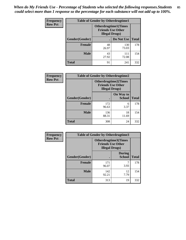| <b>Frequency</b> | <b>Table of Gender by Otherdrugtime1</b> |                                                                                   |              |              |
|------------------|------------------------------------------|-----------------------------------------------------------------------------------|--------------|--------------|
| <b>Row Pct</b>   |                                          | <b>Otherdrugtime1</b> (Times<br><b>Friends Use Other</b><br><b>Illegal Drugs)</b> |              |              |
|                  | <b>Gender</b> (Gender)                   |                                                                                   | Do Not Use   | <b>Total</b> |
|                  | <b>Female</b>                            | 48<br>26.97                                                                       | 130<br>73.03 | 178          |
|                  | <b>Male</b>                              | 43<br>27.92                                                                       | 111<br>72.08 | 154          |
|                  | <b>Total</b>                             | 91                                                                                | 241          | 332          |

| Frequency      | <b>Table of Gender by Otherdrugtime2</b> |                                                    |                             |              |
|----------------|------------------------------------------|----------------------------------------------------|-----------------------------|--------------|
| <b>Row Pct</b> |                                          | <b>Friends Use Other</b><br><b>Illegal Drugs</b> ) | <b>Otherdrugtime2(Times</b> |              |
|                | Gender(Gender)                           |                                                    | On Way to<br><b>School</b>  | <b>Total</b> |
|                | <b>Female</b>                            | 172<br>96.63                                       | 6<br>3.37                   | 178          |
|                | <b>Male</b>                              | 136<br>88.31                                       | 18<br>11.69                 | 154          |
|                | <b>Total</b>                             | 308                                                | 24                          | 332          |

| Frequency      | <b>Table of Gender by Otherdrugtime3</b> |                        |                                                  |              |
|----------------|------------------------------------------|------------------------|--------------------------------------------------|--------------|
| <b>Row Pct</b> |                                          | <b>Illegal Drugs</b> ) | Otherdrugtime3(Times<br><b>Friends Use Other</b> |              |
|                | Gender(Gender)                           |                        | <b>During</b><br><b>School</b>                   | <b>Total</b> |
|                | <b>Female</b>                            | 171<br>96.07           | 7<br>3.93                                        | 178          |
|                | <b>Male</b>                              | 142<br>92.21           | 12<br>7.79                                       | 154          |
|                | <b>Total</b>                             | 313                    | 19                                               | 332          |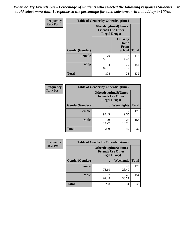*When do My Friends Use - Percentage of Students who selected the following responses.Students could select more than 1 response so the percentage for each substance will not add up to 100%.* **86**

| <b>Frequency</b> | <b>Table of Gender by Otherdrugtime4</b> |                        |                                                         |              |
|------------------|------------------------------------------|------------------------|---------------------------------------------------------|--------------|
| <b>Row Pct</b>   |                                          | <b>Illegal Drugs</b> ) | <b>Otherdrugtime4(Times</b><br><b>Friends Use Other</b> |              |
|                  | Gender(Gender)                           |                        | <b>On Way</b><br>Home<br>From<br><b>School</b>          | <b>Total</b> |
|                  | Female                                   | 170<br>95.51           | 8<br>4.49                                               | 178          |
|                  | <b>Male</b>                              | 134<br>87.01           | 20<br>12.99                                             | 154          |
|                  | <b>Total</b>                             | 304                    | 28                                                      | 332          |

| Frequency      | <b>Table of Gender by Otherdrugtime5</b> |                                                                                    |             |              |
|----------------|------------------------------------------|------------------------------------------------------------------------------------|-------------|--------------|
| <b>Row Pct</b> |                                          | <b>Otherdrugtime5</b> (Times<br><b>Friends Use Other</b><br><b>Illegal Drugs</b> ) |             |              |
|                | Gender(Gender)                           |                                                                                    | Weeknights  | <b>Total</b> |
|                | <b>Female</b>                            | 161<br>90.45                                                                       | 17<br>9.55  | 178          |
|                | <b>Male</b>                              | 129<br>83.77                                                                       | 25<br>16.23 | 154          |
|                | <b>Total</b>                             | 290                                                                                | 42          | 332          |

| <b>Frequency</b> | <b>Table of Gender by Otherdrugtime6</b> |                                                                                   |             |              |
|------------------|------------------------------------------|-----------------------------------------------------------------------------------|-------------|--------------|
| <b>Row Pct</b>   |                                          | <b>Otherdrugtime6(Times</b><br><b>Friends Use Other</b><br><b>Illegal Drugs</b> ) |             |              |
|                  | Gender(Gender)                           |                                                                                   | Weekends    | <b>Total</b> |
|                  | Female                                   | 131<br>73.60                                                                      | 47<br>26.40 | 178          |
|                  | <b>Male</b>                              | 107<br>69.48                                                                      | 47<br>30.52 | 154          |
|                  | <b>Total</b>                             | 238                                                                               | 94          | 332          |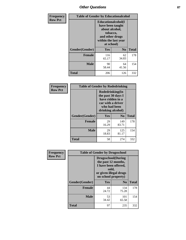# *Other Questions* **87**

| <b>Frequency</b> | <b>Table of Gender by Educationalcohol</b> |                                                                                                                                       |                |              |  |
|------------------|--------------------------------------------|---------------------------------------------------------------------------------------------------------------------------------------|----------------|--------------|--|
| <b>Row Pct</b>   |                                            | <b>Educationalcohol</b> (I<br>have been taught<br>about alcohol,<br>tobacco,<br>and other drugs<br>within the last year<br>at school) |                |              |  |
|                  | Gender(Gender)                             | <b>Yes</b>                                                                                                                            | N <sub>0</sub> | <b>Total</b> |  |
|                  | <b>Female</b>                              | 116<br>65.17                                                                                                                          | 62<br>34.83    | 178          |  |
|                  | <b>Male</b>                                | 90<br>58.44                                                                                                                           | 64<br>41.56    | 154          |  |
|                  | <b>Total</b>                               | 206                                                                                                                                   | 126            | 332          |  |

| Frequency      | <b>Table of Gender by Rodedrinking</b> |                                                                                                                     |                |              |  |
|----------------|----------------------------------------|---------------------------------------------------------------------------------------------------------------------|----------------|--------------|--|
| <b>Row Pct</b> |                                        | Rodedrinking(In<br>the past 30 days I<br>have ridden in a<br>car with a driver<br>who had been<br>drinking alcohol) |                |              |  |
|                | Gender(Gender)                         | Yes                                                                                                                 | N <sub>0</sub> | <b>Total</b> |  |
|                | <b>Female</b>                          | 29<br>16.29                                                                                                         | 149<br>83.71   | 178          |  |
|                | <b>Male</b>                            | 29<br>18.83                                                                                                         | 125<br>81.17   | 154          |  |
|                | <b>Total</b>                           | 58                                                                                                                  | 274            | 332          |  |

| Frequency      | <b>Table of Gender by Drugsschool</b> |                                                                                                                                     |                |              |  |
|----------------|---------------------------------------|-------------------------------------------------------------------------------------------------------------------------------------|----------------|--------------|--|
| <b>Row Pct</b> |                                       | <b>Drugsschool</b> (During<br>the past 12 months,<br>I have been offered,<br>sold,<br>or given illegal drugs<br>on school property) |                |              |  |
|                | Gender(Gender)                        | Yes                                                                                                                                 | N <sub>0</sub> | <b>Total</b> |  |
|                | <b>Female</b>                         | 44<br>24.72                                                                                                                         | 134<br>75.28   | 178          |  |
|                | <b>Male</b>                           | 53<br>34.42                                                                                                                         | 101<br>65.58   | 154          |  |
|                | <b>Total</b>                          | 97                                                                                                                                  | 235            | 332          |  |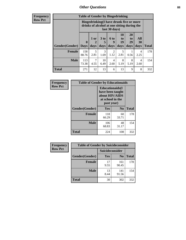## *Other Questions* **88**

**Frequency Row Pct**

| <b>Table of Gender by Bingedrinking</b> |                         |                                                                                                         |                   |                          |                        |                               |                   |              |
|-----------------------------------------|-------------------------|---------------------------------------------------------------------------------------------------------|-------------------|--------------------------|------------------------|-------------------------------|-------------------|--------------|
|                                         |                         | Bingedrinking(I have drunk five or more<br>drinks of alcohol at one sitting during the<br>last 30 days) |                   |                          |                        |                               |                   |              |
| <b>Gender</b> (Gender)                  | $\bf{0}$<br><b>Days</b> | 1 or<br>days                                                                                            | 3 to<br>5<br>days | <b>6 to</b><br>9<br>days | 10<br>to<br>19<br>days | <b>20</b><br>to<br>29<br>days | All<br>30<br>days | <b>Total</b> |
|                                         |                         |                                                                                                         |                   |                          |                        |                               |                   |              |
| <b>Female</b>                           | 158<br>88.76            | 5<br>2.81                                                                                               | 3<br>1.69         | 2<br>1.12                | 5<br>2.81              | 0.56                          | 4<br>2.25         | 178          |
| <b>Male</b>                             | 113<br>73.38            | 4.55                                                                                                    | 10<br>6.49        | 4<br>2.60                | 8<br>5.19              | 8<br>5.19                     | 4<br>2.60         | 154          |

| Frequency      | <b>Table of Gender by Educationaids</b> |                                                                                                 |                |              |  |
|----------------|-----------------------------------------|-------------------------------------------------------------------------------------------------|----------------|--------------|--|
| <b>Row Pct</b> |                                         | <b>Educationaids</b> (I<br>have been taught<br>about HIV/AIDS<br>at school in the<br>past year) |                |              |  |
|                | Gender(Gender)                          | Yes                                                                                             | $\mathbf{N_0}$ | <b>Total</b> |  |
|                | <b>Female</b>                           | 118<br>66.29                                                                                    | 60<br>33.71    | 178          |  |
|                | <b>Male</b>                             | 106<br>68.83                                                                                    | 48<br>31.17    | 154          |  |
|                | <b>Total</b>                            | 224                                                                                             | 108            | 332          |  |

| <b>Frequency</b> | <b>Table of Gender by Suicideconsider</b> |                 |                |              |  |
|------------------|-------------------------------------------|-----------------|----------------|--------------|--|
| <b>Row Pct</b>   |                                           | Suicideconsider |                |              |  |
|                  | Gender(Gender)                            | Yes             | N <sub>0</sub> | <b>Total</b> |  |
|                  | <b>Female</b>                             | 17<br>9.55      | 161<br>90.45   | 178          |  |
|                  | <b>Male</b>                               | 13<br>8.44      | 141<br>91.56   | 154          |  |
|                  | Total                                     | 30              | 302            | 332          |  |